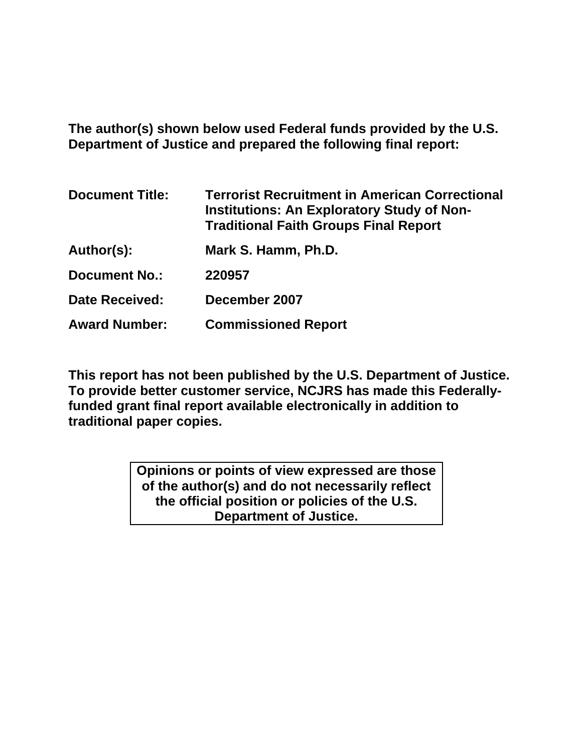**The author(s) shown below used Federal funds provided by the U.S. Department of Justice and prepared the following final report:** 

| <b>Document Title:</b> | <b>Terrorist Recruitment in American Correctional</b><br><b>Institutions: An Exploratory Study of Non-</b><br><b>Traditional Faith Groups Final Report</b> |
|------------------------|------------------------------------------------------------------------------------------------------------------------------------------------------------|
| Author(s):             | Mark S. Hamm, Ph.D.                                                                                                                                        |
| <b>Document No.:</b>   | 220957                                                                                                                                                     |
| <b>Date Received:</b>  | December 2007                                                                                                                                              |
| <b>Award Number:</b>   | <b>Commissioned Report</b>                                                                                                                                 |

**This report has not been published by the U.S. Department of Justice. To provide better customer service, NCJRS has made this Federallyfunded grant final report available electronically in addition to traditional paper copies.**

> **Opinions or points of view expressed are those of the author(s) and do not necessarily reflect the official position or policies of the U.S. Department of Justice.**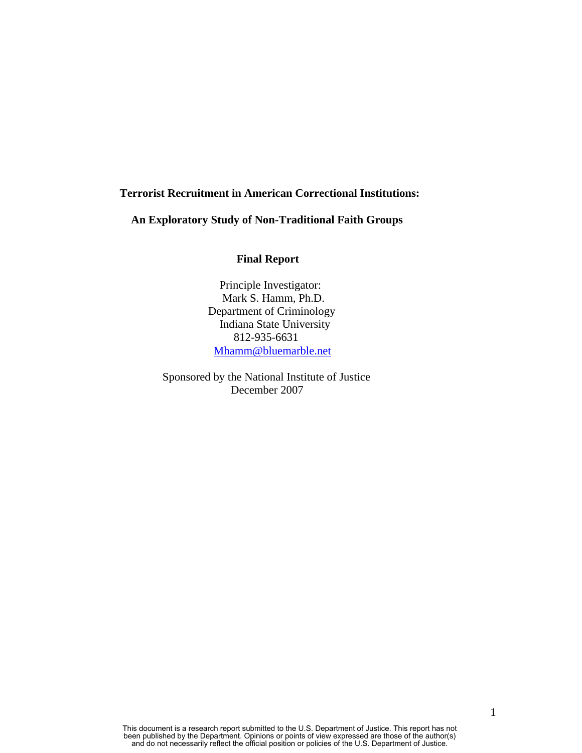### **Terrorist Recruitment in American Correctional Institutions:**

 **An Exploratory Study of Non-Traditional Faith Groups**

## **Final Report**

Principle Investigator: Mark S. Hamm, Ph.D. Department of Criminology Indiana State University 812-935-6631 [Mhamm@bluemarble.net](mailto:Mhamm@bluemarble.net)

 Sponsored by the National Institute of Justice December 2007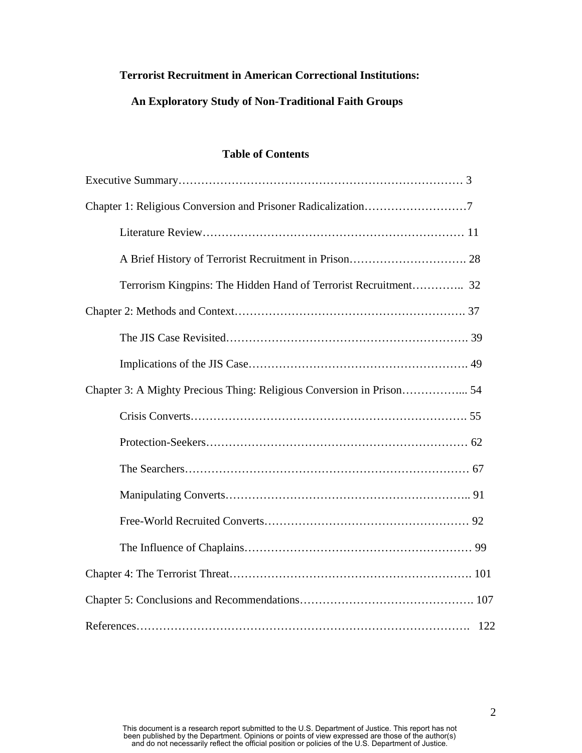# **Terrorist Recruitment in American Correctional Institutions:**

# **An Exploratory Study of Non-Traditional Faith Groups**

## **Table of Contents**

| Terrorism Kingpins: The Hidden Hand of Terrorist Recruitment 32       |
|-----------------------------------------------------------------------|
|                                                                       |
|                                                                       |
|                                                                       |
| Chapter 3: A Mighty Precious Thing: Religious Conversion in Prison 54 |
|                                                                       |
|                                                                       |
|                                                                       |
|                                                                       |
|                                                                       |
|                                                                       |
|                                                                       |
|                                                                       |
|                                                                       |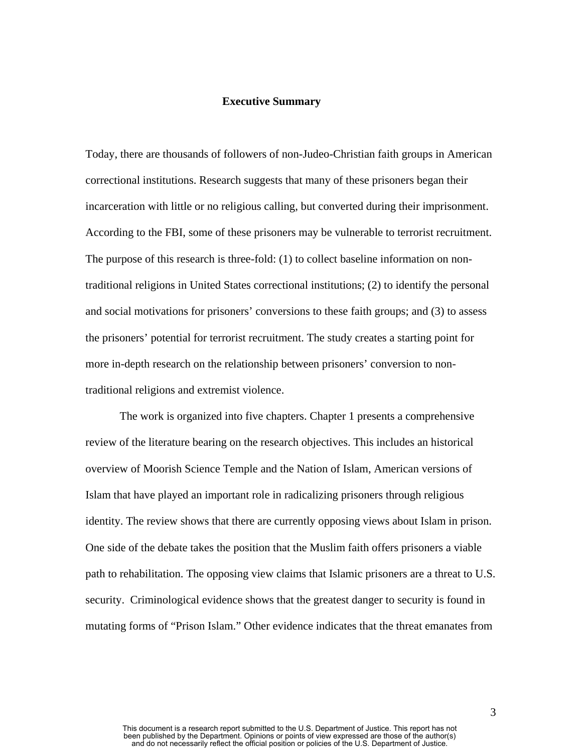#### **Executive Summary**

Today, there are thousands of followers of non-Judeo-Christian faith groups in American correctional institutions. Research suggests that many of these prisoners began their incarceration with little or no religious calling, but converted during their imprisonment. According to the FBI, some of these prisoners may be vulnerable to terrorist recruitment. The purpose of this research is three-fold: (1) to collect baseline information on nontraditional religions in United States correctional institutions; (2) to identify the personal and social motivations for prisoners' conversions to these faith groups; and (3) to assess the prisoners' potential for terrorist recruitment. The study creates a starting point for more in-depth research on the relationship between prisoners' conversion to nontraditional religions and extremist violence.

The work is organized into five chapters. Chapter 1 presents a comprehensive review of the literature bearing on the research objectives. This includes an historical overview of Moorish Science Temple and the Nation of Islam, American versions of Islam that have played an important role in radicalizing prisoners through religious identity. The review shows that there are currently opposing views about Islam in prison. One side of the debate takes the position that the Muslim faith offers prisoners a viable path to rehabilitation. The opposing view claims that Islamic prisoners are a threat to U.S. security. Criminological evidence shows that the greatest danger to security is found in mutating forms of "Prison Islam." Other evidence indicates that the threat emanates from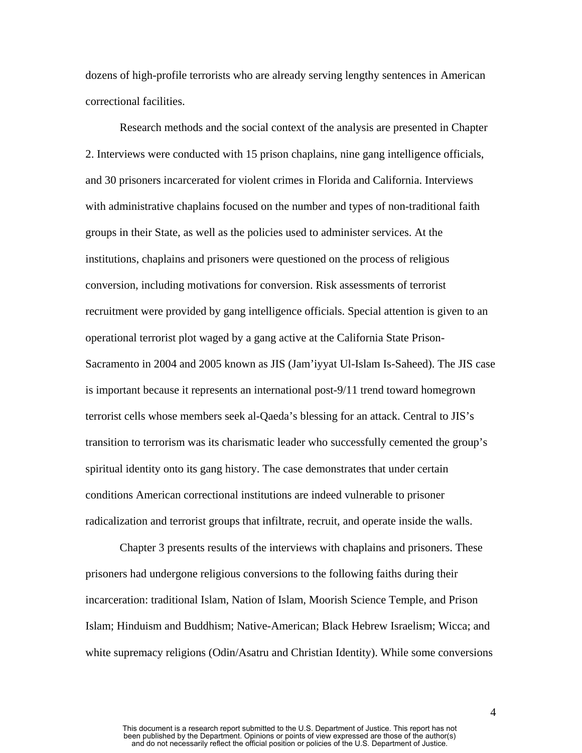dozens of high-profile terrorists who are already serving lengthy sentences in American correctional facilities.

Research methods and the social context of the analysis are presented in Chapter 2. Interviews were conducted with 15 prison chaplains, nine gang intelligence officials, and 30 prisoners incarcerated for violent crimes in Florida and California. Interviews with administrative chaplains focused on the number and types of non-traditional faith groups in their State, as well as the policies used to administer services. At the institutions, chaplains and prisoners were questioned on the process of religious conversion, including motivations for conversion. Risk assessments of terrorist recruitment were provided by gang intelligence officials. Special attention is given to an operational terrorist plot waged by a gang active at the California State Prison-Sacramento in 2004 and 2005 known as JIS (Jam'iyyat Ul-Islam Is-Saheed). The JIS case is important because it represents an international post-9/11 trend toward homegrown terrorist cells whose members seek al-Qaeda's blessing for an attack. Central to JIS's transition to terrorism was its charismatic leader who successfully cemented the group's spiritual identity onto its gang history. The case demonstrates that under certain conditions American correctional institutions are indeed vulnerable to prisoner radicalization and terrorist groups that infiltrate, recruit, and operate inside the walls.

Chapter 3 presents results of the interviews with chaplains and prisoners. These prisoners had undergone religious conversions to the following faiths during their incarceration: traditional Islam, Nation of Islam, Moorish Science Temple, and Prison Islam; Hinduism and Buddhism; Native-American; Black Hebrew Israelism; Wicca; and white supremacy religions (Odin/Asatru and Christian Identity). While some conversions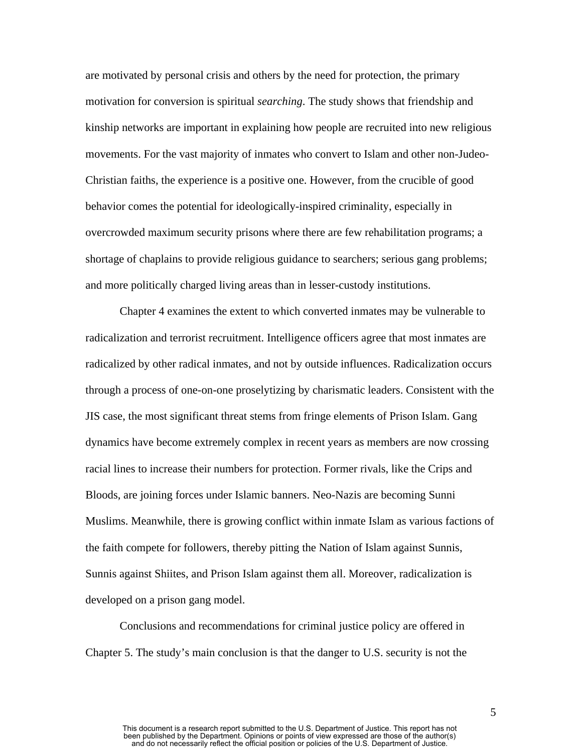are motivated by personal crisis and others by the need for protection, the primary motivation for conversion is spiritual *searching*. The study shows that friendship and kinship networks are important in explaining how people are recruited into new religious movements. For the vast majority of inmates who convert to Islam and other non-Judeo-Christian faiths, the experience is a positive one. However, from the crucible of good behavior comes the potential for ideologically-inspired criminality, especially in overcrowded maximum security prisons where there are few rehabilitation programs; a shortage of chaplains to provide religious guidance to searchers; serious gang problems; and more politically charged living areas than in lesser-custody institutions.

Chapter 4 examines the extent to which converted inmates may be vulnerable to radicalization and terrorist recruitment. Intelligence officers agree that most inmates are radicalized by other radical inmates, and not by outside influences. Radicalization occurs through a process of one-on-one proselytizing by charismatic leaders. Consistent with the JIS case, the most significant threat stems from fringe elements of Prison Islam. Gang dynamics have become extremely complex in recent years as members are now crossing racial lines to increase their numbers for protection. Former rivals, like the Crips and Bloods, are joining forces under Islamic banners. Neo-Nazis are becoming Sunni Muslims. Meanwhile, there is growing conflict within inmate Islam as various factions of the faith compete for followers, thereby pitting the Nation of Islam against Sunnis, Sunnis against Shiites, and Prison Islam against them all. Moreover, radicalization is developed on a prison gang model.

Conclusions and recommendations for criminal justice policy are offered in Chapter 5. The study's main conclusion is that the danger to U.S. security is not the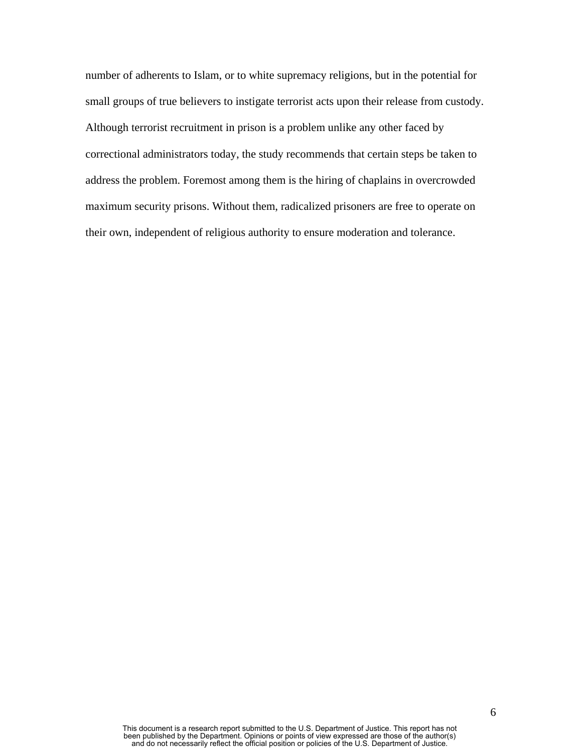number of adherents to Islam, or to white supremacy religions, but in the potential for small groups of true believers to instigate terrorist acts upon their release from custody. Although terrorist recruitment in prison is a problem unlike any other faced by correctional administrators today, the study recommends that certain steps be taken to address the problem. Foremost among them is the hiring of chaplains in overcrowded maximum security prisons. Without them, radicalized prisoners are free to operate on their own, independent of religious authority to ensure moderation and tolerance.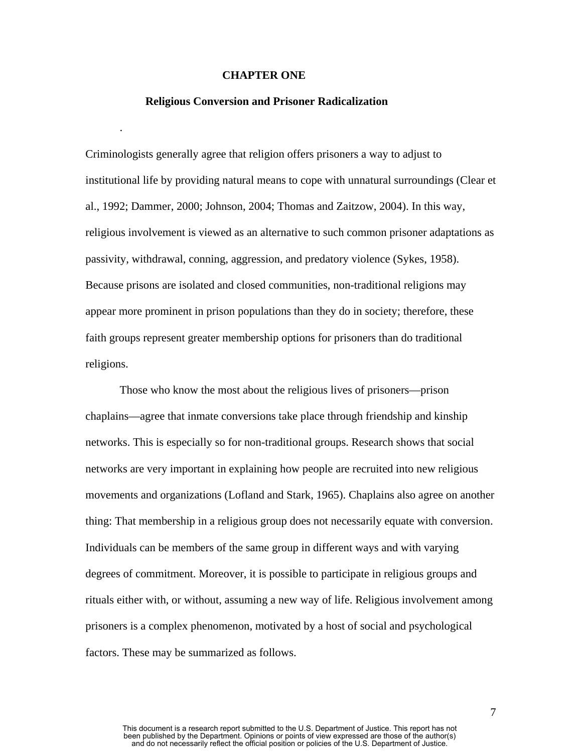#### **CHAPTER ONE**

#### **Religious Conversion and Prisoner Radicalization**

.

Criminologists generally agree that religion offers prisoners a way to adjust to institutional life by providing natural means to cope with unnatural surroundings (Clear et al., 1992; Dammer, 2000; Johnson, 2004; Thomas and Zaitzow, 2004). In this way, religious involvement is viewed as an alternative to such common prisoner adaptations as passivity, withdrawal, conning, aggression, and predatory violence (Sykes, 1958). Because prisons are isolated and closed communities, non-traditional religions may appear more prominent in prison populations than they do in society; therefore, these faith groups represent greater membership options for prisoners than do traditional religions.

Those who know the most about the religious lives of prisoners—prison chaplains—agree that inmate conversions take place through friendship and kinship networks. This is especially so for non-traditional groups. Research shows that social networks are very important in explaining how people are recruited into new religious movements and organizations (Lofland and Stark, 1965). Chaplains also agree on another thing: That membership in a religious group does not necessarily equate with conversion. Individuals can be members of the same group in different ways and with varying degrees of commitment. Moreover, it is possible to participate in religious groups and rituals either with, or without, assuming a new way of life. Religious involvement among prisoners is a complex phenomenon, motivated by a host of social and psychological factors. These may be summarized as follows.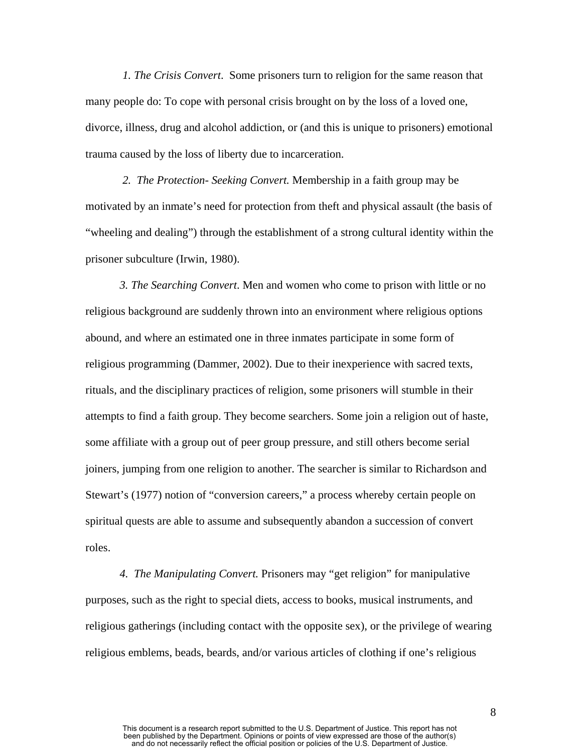*1. The Crisis Convert*. Some prisoners turn to religion for the same reason that many people do: To cope with personal crisis brought on by the loss of a loved one, divorce, illness, drug and alcohol addiction, or (and this is unique to prisoners) emotional trauma caused by the loss of liberty due to incarceration.

 *2. The Protection- Seeking Convert.* Membership in a faith group may be motivated by an inmate's need for protection from theft and physical assault (the basis of "wheeling and dealing") through the establishment of a strong cultural identity within the prisoner subculture (Irwin, 1980).

*3. The Searching Convert*. Men and women who come to prison with little or no religious background are suddenly thrown into an environment where religious options abound, and where an estimated one in three inmates participate in some form of religious programming (Dammer, 2002). Due to their inexperience with sacred texts, rituals, and the disciplinary practices of religion, some prisoners will stumble in their attempts to find a faith group. They become searchers. Some join a religion out of haste, some affiliate with a group out of peer group pressure, and still others become serial joiners, jumping from one religion to another. The searcher is similar to Richardson and Stewart's (1977) notion of "conversion careers," a process whereby certain people on spiritual quests are able to assume and subsequently abandon a succession of convert roles.

*4. The Manipulating Convert.* Prisoners may "get religion" for manipulative purposes, such as the right to special diets, access to books, musical instruments, and religious gatherings (including contact with the opposite sex), or the privilege of wearing religious emblems, beads, beards, and/or various articles of clothing if one's religious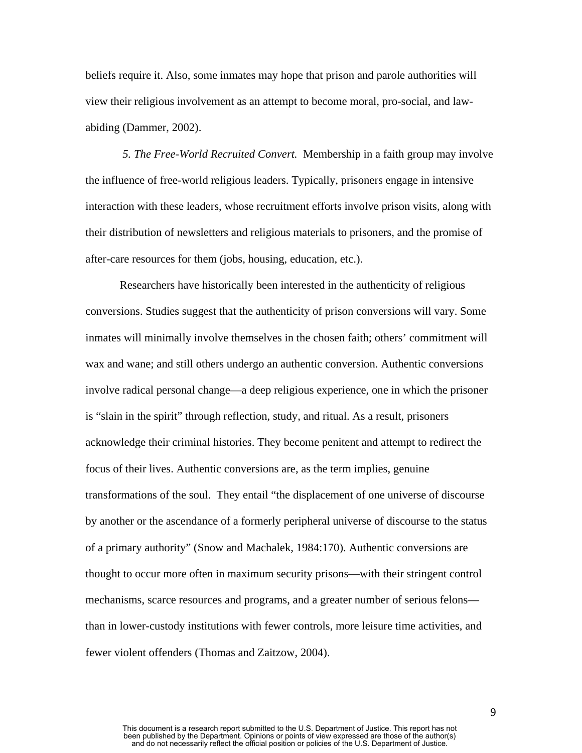beliefs require it. Also, some inmates may hope that prison and parole authorities will view their religious involvement as an attempt to become moral, pro-social, and lawabiding (Dammer, 2002).

 *5. The Free-World Recruited Convert.* Membership in a faith group may involve the influence of free-world religious leaders. Typically, prisoners engage in intensive interaction with these leaders, whose recruitment efforts involve prison visits, along with their distribution of newsletters and religious materials to prisoners, and the promise of after-care resources for them (jobs, housing, education, etc.).

Researchers have historically been interested in the authenticity of religious conversions. Studies suggest that the authenticity of prison conversions will vary. Some inmates will minimally involve themselves in the chosen faith; others' commitment will wax and wane; and still others undergo an authentic conversion. Authentic conversions involve radical personal change—a deep religious experience, one in which the prisoner is "slain in the spirit" through reflection, study, and ritual. As a result, prisoners acknowledge their criminal histories. They become penitent and attempt to redirect the focus of their lives. Authentic conversions are, as the term implies, genuine transformations of the soul. They entail "the displacement of one universe of discourse by another or the ascendance of a formerly peripheral universe of discourse to the status of a primary authority" (Snow and Machalek, 1984:170). Authentic conversions are thought to occur more often in maximum security prisons—with their stringent control mechanisms, scarce resources and programs, and a greater number of serious felons than in lower-custody institutions with fewer controls, more leisure time activities, and fewer violent offenders (Thomas and Zaitzow, 2004).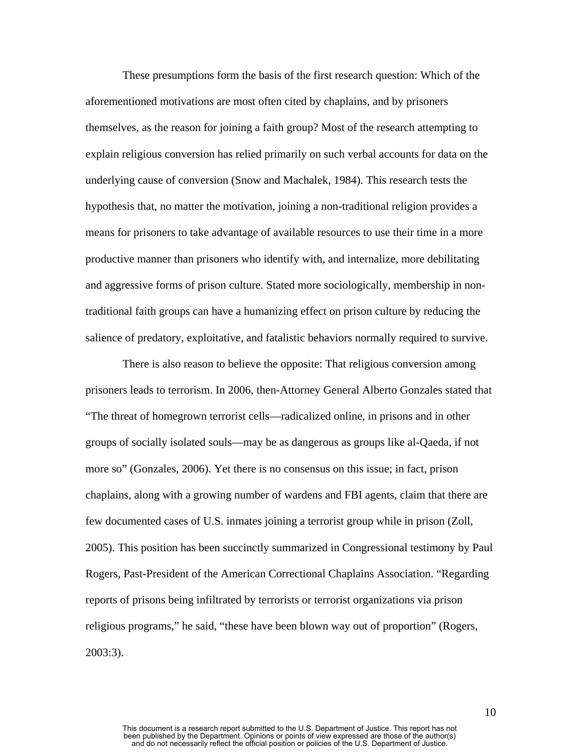These presumptions form the basis of the first research question: Which of the aforementioned motivations are most often cited by chaplains, and by prisoners themselves, as the reason for joining a faith group? Most of the research attempting to explain religious conversion has relied primarily on such verbal accounts for data on the underlying cause of conversion (Snow and Machalek, 1984). This research tests the hypothesis that, no matter the motivation, joining a non-traditional religion provides a means for prisoners to take advantage of available resources to use their time in a more productive manner than prisoners who identify with, and internalize, more debilitating and aggressive forms of prison culture. Stated more sociologically, membership in nontraditional faith groups can have a humanizing effect on prison culture by reducing the salience of predatory, exploitative, and fatalistic behaviors normally required to survive.

 There is also reason to believe the opposite: That religious conversion among prisoners leads to terrorism. In 2006, then-Attorney General Alberto Gonzales stated that "The threat of homegrown terrorist cells—radicalized online, in prisons and in other groups of socially isolated souls—may be as dangerous as groups like al-Qaeda, if not more so" (Gonzales, 2006). Yet there is no consensus on this issue; in fact, prison chaplains, along with a growing number of wardens and FBI agents, claim that there are few documented cases of U.S. inmates joining a terrorist group while in prison (Zoll, 2005). This position has been succinctly summarized in Congressional testimony by Paul Rogers, Past-President of the American Correctional Chaplains Association. "Regarding reports of prisons being infiltrated by terrorists or terrorist organizations via prison religious programs," he said, "these have been blown way out of proportion" (Rogers, 2003:3).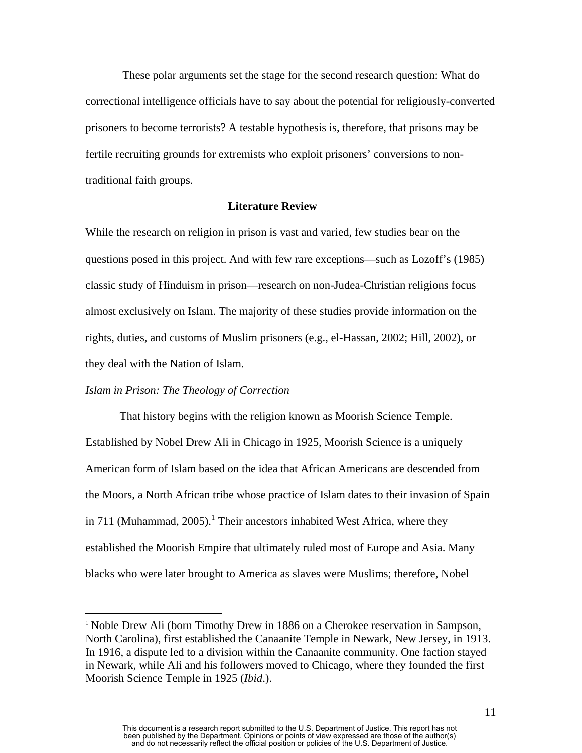These polar arguments set the stage for the second research question: What do correctional intelligence officials have to say about the potential for religiously-converted prisoners to become terrorists? A testable hypothesis is, therefore, that prisons may be fertile recruiting grounds for extremists who exploit prisoners' conversions to nontraditional faith groups.

#### **Literature Review**

While the research on religion in prison is vast and varied, few studies bear on the questions posed in this project. And with few rare exceptions—such as Lozoff's (1985) classic study of Hinduism in prison—research on non-Judea-Christian religions focus almost exclusively on Islam. The majority of these studies provide information on the rights, duties, and customs of Muslim prisoners (e.g., el-Hassan, 2002; Hill, 2002), or they deal with the Nation of Islam.

#### *Islam in Prison: The Theology of Correction*

1

That history begins with the religion known as Moorish Science Temple. Established by Nobel Drew Ali in Chicago in 1925, Moorish Science is a uniquely American form of Islam based on the idea that African Americans are descended from the Moors, a North African tribe whose practice of Islam dates to their invasion of Spain in 711 (Muhammad, 2005).<sup>1</sup> Their ancestors inhabited West Africa, where they established the Moorish Empire that ultimately ruled most of Europe and Asia. Many blacks who were later brought to America as slaves were Muslims; therefore, Nobel

<span id="page-11-0"></span><sup>&</sup>lt;sup>1</sup> Noble Drew Ali (born Timothy Drew in 1886 on a Cherokee reservation in Sampson, North Carolina), first established the Canaanite Temple in Newark, New Jersey, in 1913. In 1916, a dispute led to a division within the Canaanite community. One faction stayed in Newark, while Ali and his followers moved to Chicago, where they founded the first Moorish Science Temple in 1925 (*Ibid*.).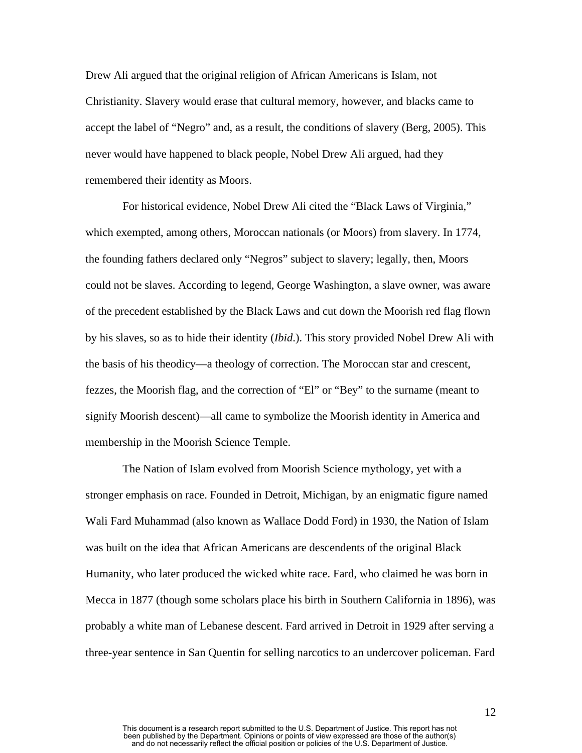Drew Ali argued that the original religion of African Americans is Islam, not Christianity. Slavery would erase that cultural memory, however, and blacks came to accept the label of "Negro" and, as a result, the conditions of slavery (Berg, 2005). This never would have happened to black people, Nobel Drew Ali argued, had they remembered their identity as Moors.

 For historical evidence, Nobel Drew Ali cited the "Black Laws of Virginia," which exempted, among others, Moroccan nationals (or Moors) from slavery. In 1774, the founding fathers declared only "Negros" subject to slavery; legally, then, Moors could not be slaves. According to legend, George Washington, a slave owner, was aware of the precedent established by the Black Laws and cut down the Moorish red flag flown by his slaves, so as to hide their identity (*Ibid*.). This story provided Nobel Drew Ali with the basis of his theodicy—a theology of correction. The Moroccan star and crescent, fezzes, the Moorish flag, and the correction of "El" or "Bey" to the surname (meant to signify Moorish descent)—all came to symbolize the Moorish identity in America and membership in the Moorish Science Temple.

 The Nation of Islam evolved from Moorish Science mythology, yet with a stronger emphasis on race. Founded in Detroit, Michigan, by an enigmatic figure named Wali Fard Muhammad (also known as Wallace Dodd Ford) in 1930, the Nation of Islam was built on the idea that African Americans are descendents of the original Black Humanity, who later produced the wicked white race. Fard, who claimed he was born in Mecca in 1877 (though some scholars place his birth in Southern California in 1896), was probably a white man of Lebanese descent. Fard arrived in Detroit in 1929 after serving a three-year sentence in San Quentin for selling narcotics to an undercover policeman. Fard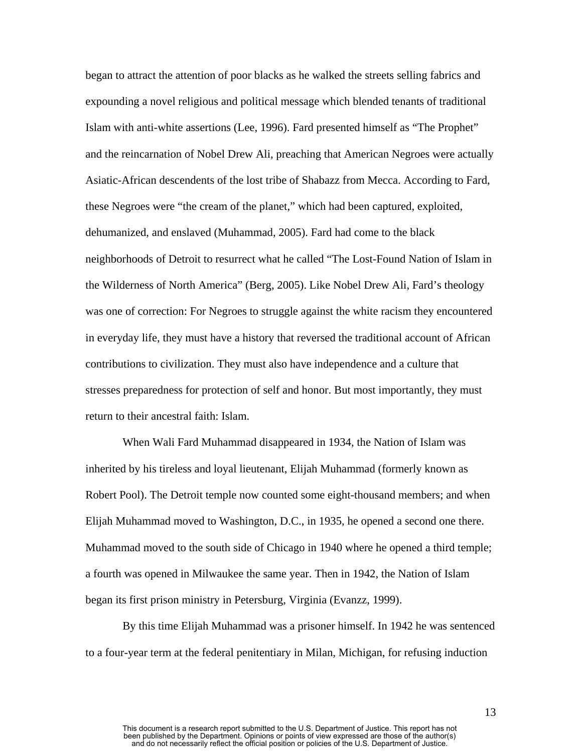began to attract the attention of poor blacks as he walked the streets selling fabrics and expounding a novel religious and political message which blended tenants of traditional Islam with anti-white assertions (Lee, 1996). Fard presented himself as "The Prophet" and the reincarnation of Nobel Drew Ali, preaching that American Negroes were actually Asiatic-African descendents of the lost tribe of Shabazz from Mecca. According to Fard, these Negroes were "the cream of the planet," which had been captured, exploited, dehumanized, and enslaved (Muhammad, 2005). Fard had come to the black neighborhoods of Detroit to resurrect what he called "The Lost-Found Nation of Islam in the Wilderness of North America" (Berg, 2005). Like Nobel Drew Ali, Fard's theology was one of correction: For Negroes to struggle against the white racism they encountered in everyday life, they must have a history that reversed the traditional account of African contributions to civilization. They must also have independence and a culture that stresses preparedness for protection of self and honor. But most importantly, they must return to their ancestral faith: Islam.

 When Wali Fard Muhammad disappeared in 1934, the Nation of Islam was inherited by his tireless and loyal lieutenant, Elijah Muhammad (formerly known as Robert Pool). The Detroit temple now counted some eight-thousand members; and when Elijah Muhammad moved to Washington, D.C., in 1935, he opened a second one there. Muhammad moved to the south side of Chicago in 1940 where he opened a third temple; a fourth was opened in Milwaukee the same year. Then in 1942, the Nation of Islam began its first prison ministry in Petersburg, Virginia (Evanzz, 1999).

 By this time Elijah Muhammad was a prisoner himself. In 1942 he was sentenced to a four-year term at the federal penitentiary in Milan, Michigan, for refusing induction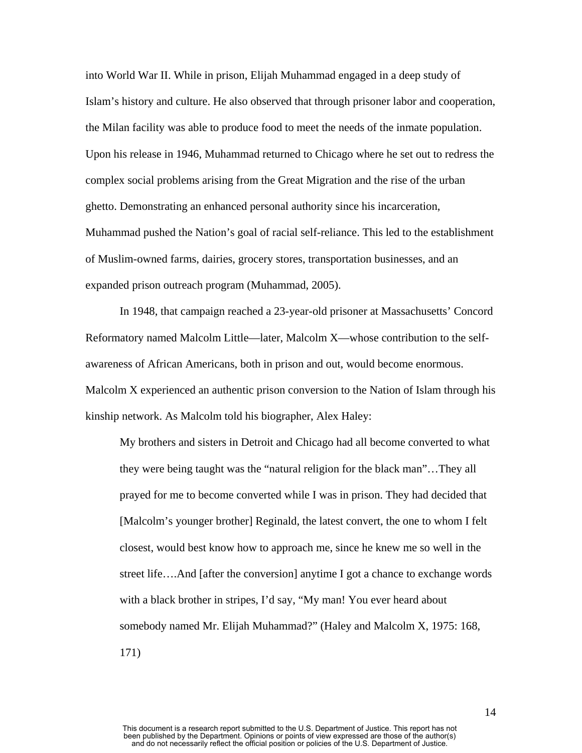into World War II. While in prison, Elijah Muhammad engaged in a deep study of Islam's history and culture. He also observed that through prisoner labor and cooperation, the Milan facility was able to produce food to meet the needs of the inmate population. Upon his release in 1946, Muhammad returned to Chicago where he set out to redress the complex social problems arising from the Great Migration and the rise of the urban ghetto. Demonstrating an enhanced personal authority since his incarceration, Muhammad pushed the Nation's goal of racial self-reliance. This led to the establishment of Muslim-owned farms, dairies, grocery stores, transportation businesses, and an expanded prison outreach program (Muhammad, 2005).

In 1948, that campaign reached a 23-year-old prisoner at Massachusetts' Concord Reformatory named Malcolm Little—later, Malcolm X—whose contribution to the selfawareness of African Americans, both in prison and out, would become enormous. Malcolm X experienced an authentic prison conversion to the Nation of Islam through his kinship network. As Malcolm told his biographer, Alex Haley:

My brothers and sisters in Detroit and Chicago had all become converted to what they were being taught was the "natural religion for the black man"…They all prayed for me to become converted while I was in prison. They had decided that [Malcolm's younger brother] Reginald, the latest convert, the one to whom I felt closest, would best know how to approach me, since he knew me so well in the street life….And [after the conversion] anytime I got a chance to exchange words with a black brother in stripes, I'd say, "My man! You ever heard about somebody named Mr. Elijah Muhammad?" (Haley and Malcolm X, 1975: 168, 171)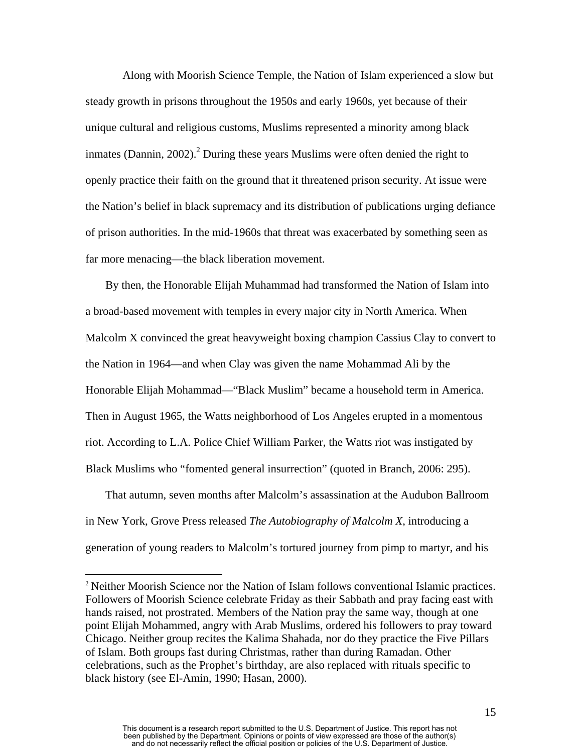Along with Moorish Science Temple, the Nation of Islam experienced a slow but steady growth in prisons throughout the 1950s and early 1960s, yet because of their unique cultural and religious customs, Muslims represented a minority among black inmates (Dannin, [2](#page-15-0)002).<sup>2</sup> During these years Muslims were often denied the right to openly practice their faith on the ground that it threatened prison security. At issue were the Nation's belief in black supremacy and its distribution of publications urging defiance of prison authorities. In the mid-1960s that threat was exacerbated by something seen as far more menacing—the black liberation movement.

 By then, the Honorable Elijah Muhammad had transformed the Nation of Islam into a broad-based movement with temples in every major city in North America. When Malcolm X convinced the great heavyweight boxing champion Cassius Clay to convert to the Nation in 1964—and when Clay was given the name Mohammad Ali by the Honorable Elijah Mohammad—"Black Muslim" became a household term in America. Then in August 1965, the Watts neighborhood of Los Angeles erupted in a momentous riot. According to L.A. Police Chief William Parker, the Watts riot was instigated by Black Muslims who "fomented general insurrection" (quoted in Branch, 2006: 295).

 That autumn, seven months after Malcolm's assassination at the Audubon Ballroom in New York, Grove Press released *The Autobiography of Malcolm X*, introducing a generation of young readers to Malcolm's tortured journey from pimp to martyr, and his

 $\overline{a}$ 

<span id="page-15-0"></span><sup>&</sup>lt;sup>2</sup> Neither Moorish Science nor the Nation of Islam follows conventional Islamic practices. Followers of Moorish Science celebrate Friday as their Sabbath and pray facing east with hands raised, not prostrated. Members of the Nation pray the same way, though at one point Elijah Mohammed, angry with Arab Muslims, ordered his followers to pray toward Chicago. Neither group recites the Kalima Shahada, nor do they practice the Five Pillars of Islam. Both groups fast during Christmas, rather than during Ramadan. Other celebrations, such as the Prophet's birthday, are also replaced with rituals specific to black history (see El-Amin, 1990; Hasan, 2000).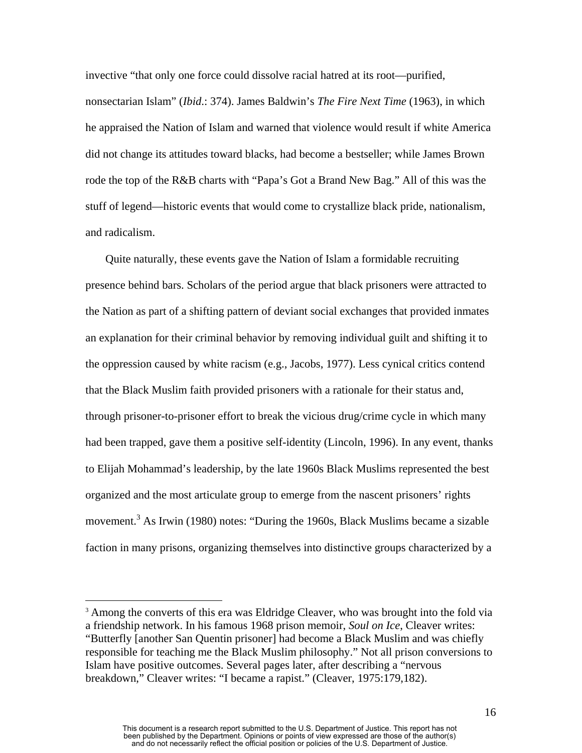invective "that only one force could dissolve racial hatred at its root—purified, nonsectarian Islam" (*Ibid*.: 374). James Baldwin's *The Fire Next Time* (1963), in which he appraised the Nation of Islam and warned that violence would result if white America did not change its attitudes toward blacks, had become a bestseller; while James Brown rode the top of the R&B charts with "Papa's Got a Brand New Bag." All of this was the stuff of legend—historic events that would come to crystallize black pride, nationalism, and radicalism.

 Quite naturally, these events gave the Nation of Islam a formidable recruiting presence behind bars. Scholars of the period argue that black prisoners were attracted to the Nation as part of a shifting pattern of deviant social exchanges that provided inmates an explanation for their criminal behavior by removing individual guilt and shifting it to the oppression caused by white racism (e.g., Jacobs, 1977). Less cynical critics contend that the Black Muslim faith provided prisoners with a rationale for their status and, through prisoner-to-prisoner effort to break the vicious drug/crime cycle in which many had been trapped, gave them a positive self-identity (Lincoln, 1996). In any event, thanks to Elijah Mohammad's leadership, by the late 1960s Black Muslims represented the best organized and the most articulate group to emerge from the nascent prisoners' rights movement.<sup>[3](#page-16-0)</sup> As Irwin (1980) notes: "During the 1960s, Black Muslims became a sizable faction in many prisons, organizing themselves into distinctive groups characterized by a

<u>.</u>

<span id="page-16-0"></span><sup>&</sup>lt;sup>3</sup> Among the converts of this era was Eldridge Cleaver, who was brought into the fold via a friendship network. In his famous 1968 prison memoir, *Soul on Ice*, Cleaver writes: "Butterfly [another San Quentin prisoner] had become a Black Muslim and was chiefly responsible for teaching me the Black Muslim philosophy." Not all prison conversions to Islam have positive outcomes. Several pages later, after describing a "nervous breakdown," Cleaver writes: "I became a rapist." (Cleaver, 1975:179,182).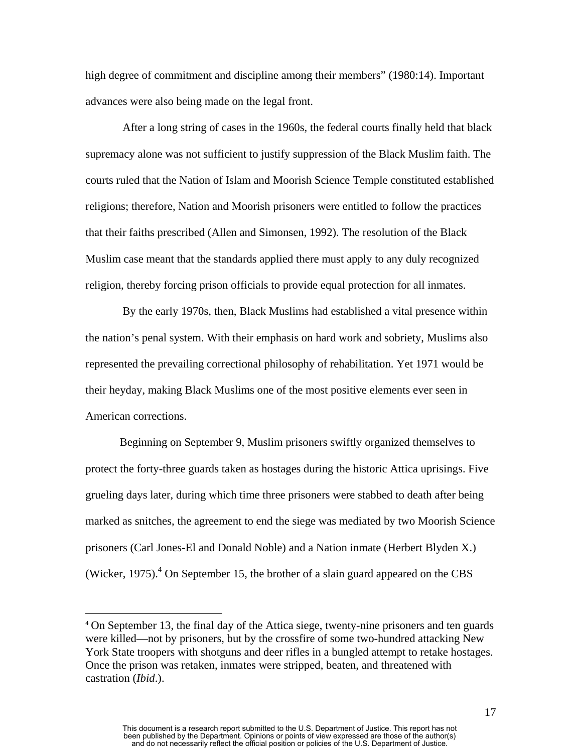high degree of commitment and discipline among their members" (1980:14). Important advances were also being made on the legal front.

 After a long string of cases in the 1960s, the federal courts finally held that black supremacy alone was not sufficient to justify suppression of the Black Muslim faith. The courts ruled that the Nation of Islam and Moorish Science Temple constituted established religions; therefore, Nation and Moorish prisoners were entitled to follow the practices that their faiths prescribed (Allen and Simonsen, 1992). The resolution of the Black Muslim case meant that the standards applied there must apply to any duly recognized religion, thereby forcing prison officials to provide equal protection for all inmates.

 By the early 1970s, then, Black Muslims had established a vital presence within the nation's penal system. With their emphasis on hard work and sobriety, Muslims also represented the prevailing correctional philosophy of rehabilitation. Yet 1971 would be their heyday, making Black Muslims one of the most positive elements ever seen in American corrections.

Beginning on September 9, Muslim prisoners swiftly organized themselves to protect the forty-three guards taken as hostages during the historic Attica uprisings. Five grueling days later, during which time three prisoners were stabbed to death after being marked as snitches, the agreement to end the siege was mediated by two Moorish Science prisoners (Carl Jones-El and Donald Noble) and a Nation inmate (Herbert Blyden X.) (Wicker, 1975). $^{4}$  On September 15, the brother of a slain guard appeared on the CBS

1

<span id="page-17-0"></span><sup>4</sup> On September 13, the final day of the Attica siege, twenty-nine prisoners and ten guards were killed—not by prisoners, but by the crossfire of some two-hundred attacking New York State troopers with shotguns and deer rifles in a bungled attempt to retake hostages. Once the prison was retaken, inmates were stripped, beaten, and threatened with castration (*Ibid*.).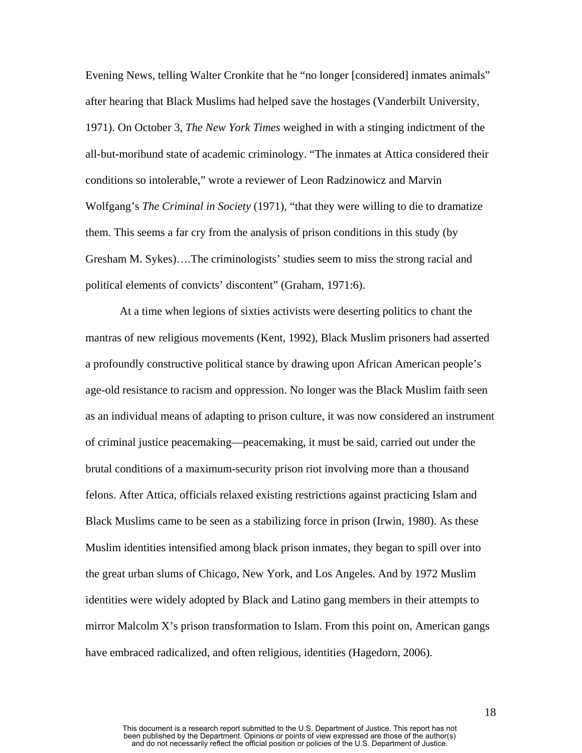Evening News, telling Walter Cronkite that he "no longer [considered] inmates animals" after hearing that Black Muslims had helped save the hostages (Vanderbilt University, 1971). On October 3, *The New York Times* weighed in with a stinging indictment of the all-but-moribund state of academic criminology. "The inmates at Attica considered their conditions so intolerable," wrote a reviewer of Leon Radzinowicz and Marvin Wolfgang's *The Criminal in Society* (1971), "that they were willing to die to dramatize them. This seems a far cry from the analysis of prison conditions in this study (by Gresham M. Sykes)….The criminologists' studies seem to miss the strong racial and political elements of convicts' discontent" (Graham, 1971:6).

At a time when legions of sixties activists were deserting politics to chant the mantras of new religious movements (Kent, 1992), Black Muslim prisoners had asserted a profoundly constructive political stance by drawing upon African American people's age-old resistance to racism and oppression. No longer was the Black Muslim faith seen as an individual means of adapting to prison culture, it was now considered an instrument of criminal justice peacemaking—peacemaking, it must be said, carried out under the brutal conditions of a maximum-security prison riot involving more than a thousand felons. After Attica, officials relaxed existing restrictions against practicing Islam and Black Muslims came to be seen as a stabilizing force in prison (Irwin, 1980). As these Muslim identities intensified among black prison inmates, they began to spill over into the great urban slums of Chicago, New York, and Los Angeles. And by 1972 Muslim identities were widely adopted by Black and Latino gang members in their attempts to mirror Malcolm X's prison transformation to Islam. From this point on, American gangs have embraced radicalized, and often religious, identities (Hagedorn, 2006).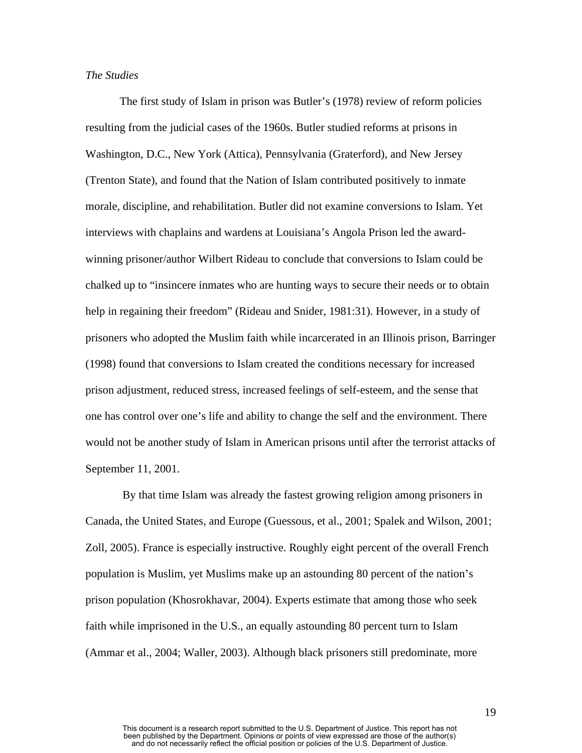### *The Studies*

The first study of Islam in prison was Butler's (1978) review of reform policies resulting from the judicial cases of the 1960s. Butler studied reforms at prisons in Washington, D.C., New York (Attica), Pennsylvania (Graterford), and New Jersey (Trenton State), and found that the Nation of Islam contributed positively to inmate morale, discipline, and rehabilitation. Butler did not examine conversions to Islam. Yet interviews with chaplains and wardens at Louisiana's Angola Prison led the awardwinning prisoner/author Wilbert Rideau to conclude that conversions to Islam could be chalked up to "insincere inmates who are hunting ways to secure their needs or to obtain help in regaining their freedom" (Rideau and Snider, 1981:31). However, in a study of prisoners who adopted the Muslim faith while incarcerated in an Illinois prison, Barringer (1998) found that conversions to Islam created the conditions necessary for increased prison adjustment, reduced stress, increased feelings of self-esteem, and the sense that one has control over one's life and ability to change the self and the environment. There would not be another study of Islam in American prisons until after the terrorist attacks of September 11, 2001.

 By that time Islam was already the fastest growing religion among prisoners in Canada, the United States, and Europe (Guessous, et al., 2001; Spalek and Wilson, 2001; Zoll, 2005). France is especially instructive. Roughly eight percent of the overall French population is Muslim, yet Muslims make up an astounding 80 percent of the nation's prison population (Khosrokhavar, 2004). Experts estimate that among those who seek faith while imprisoned in the U.S., an equally astounding 80 percent turn to Islam (Ammar et al., 2004; Waller, 2003). Although black prisoners still predominate, more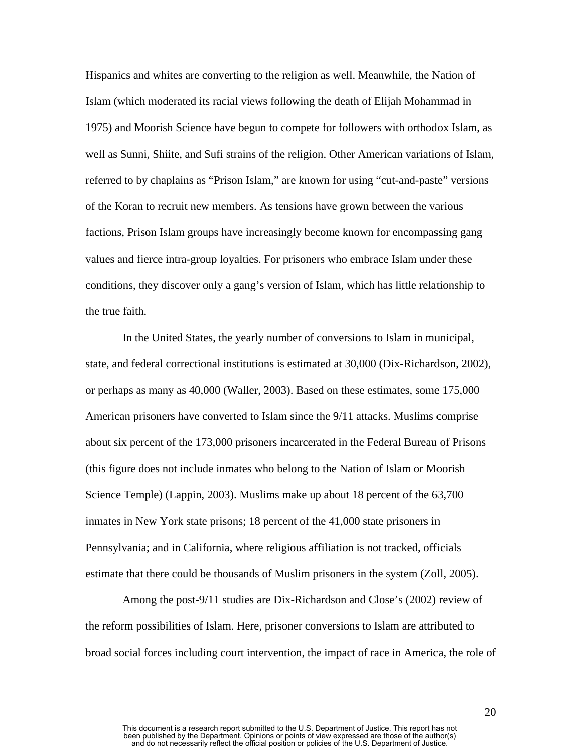Hispanics and whites are converting to the religion as well. Meanwhile, the Nation of Islam (which moderated its racial views following the death of Elijah Mohammad in 1975) and Moorish Science have begun to compete for followers with orthodox Islam, as well as Sunni, Shiite, and Sufi strains of the religion. Other American variations of Islam, referred to by chaplains as "Prison Islam," are known for using "cut-and-paste" versions of the Koran to recruit new members. As tensions have grown between the various factions, Prison Islam groups have increasingly become known for encompassing gang values and fierce intra-group loyalties. For prisoners who embrace Islam under these conditions, they discover only a gang's version of Islam, which has little relationship to the true faith.

 In the United States, the yearly number of conversions to Islam in municipal, state, and federal correctional institutions is estimated at 30,000 (Dix-Richardson, 2002), or perhaps as many as 40,000 (Waller, 2003). Based on these estimates, some 175,000 American prisoners have converted to Islam since the 9/11 attacks. Muslims comprise about six percent of the 173,000 prisoners incarcerated in the Federal Bureau of Prisons (this figure does not include inmates who belong to the Nation of Islam or Moorish Science Temple) (Lappin, 2003). Muslims make up about 18 percent of the 63,700 inmates in New York state prisons; 18 percent of the 41,000 state prisoners in Pennsylvania; and in California, where religious affiliation is not tracked, officials estimate that there could be thousands of Muslim prisoners in the system (Zoll, 2005).

 Among the post-9/11 studies are Dix-Richardson and Close's (2002) review of the reform possibilities of Islam. Here, prisoner conversions to Islam are attributed to broad social forces including court intervention, the impact of race in America, the role of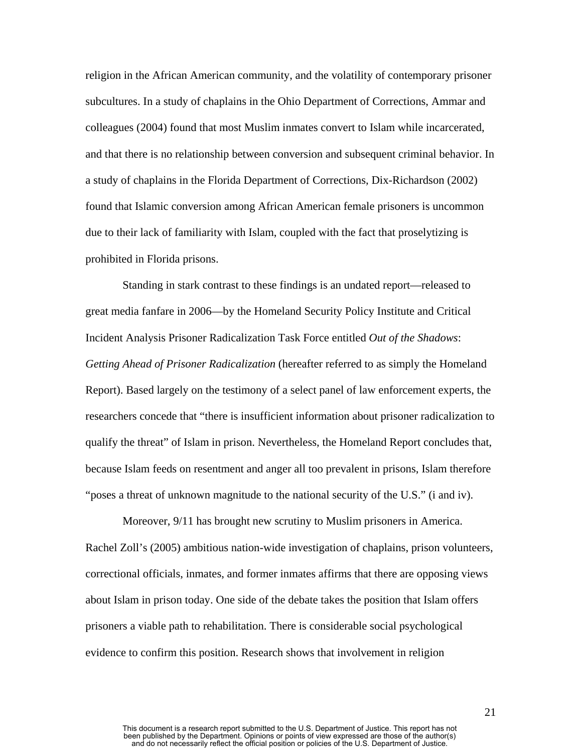religion in the African American community, and the volatility of contemporary prisoner subcultures. In a study of chaplains in the Ohio Department of Corrections, Ammar and colleagues (2004) found that most Muslim inmates convert to Islam while incarcerated, and that there is no relationship between conversion and subsequent criminal behavior. In a study of chaplains in the Florida Department of Corrections, Dix-Richardson (2002) found that Islamic conversion among African American female prisoners is uncommon due to their lack of familiarity with Islam, coupled with the fact that proselytizing is prohibited in Florida prisons.

 Standing in stark contrast to these findings is an undated report—released to great media fanfare in 2006—by the Homeland Security Policy Institute and Critical Incident Analysis Prisoner Radicalization Task Force entitled *Out of the Shadows*: *Getting Ahead of Prisoner Radicalization* (hereafter referred to as simply the Homeland Report). Based largely on the testimony of a select panel of law enforcement experts, the researchers concede that "there is insufficient information about prisoner radicalization to qualify the threat" of Islam in prison. Nevertheless, the Homeland Report concludes that, because Islam feeds on resentment and anger all too prevalent in prisons, Islam therefore "poses a threat of unknown magnitude to the national security of the U.S." (i and iv).

 Moreover, 9/11 has brought new scrutiny to Muslim prisoners in America. Rachel Zoll's (2005) ambitious nation-wide investigation of chaplains, prison volunteers, correctional officials, inmates, and former inmates affirms that there are opposing views about Islam in prison today. One side of the debate takes the position that Islam offers prisoners a viable path to rehabilitation. There is considerable social psychological evidence to confirm this position. Research shows that involvement in religion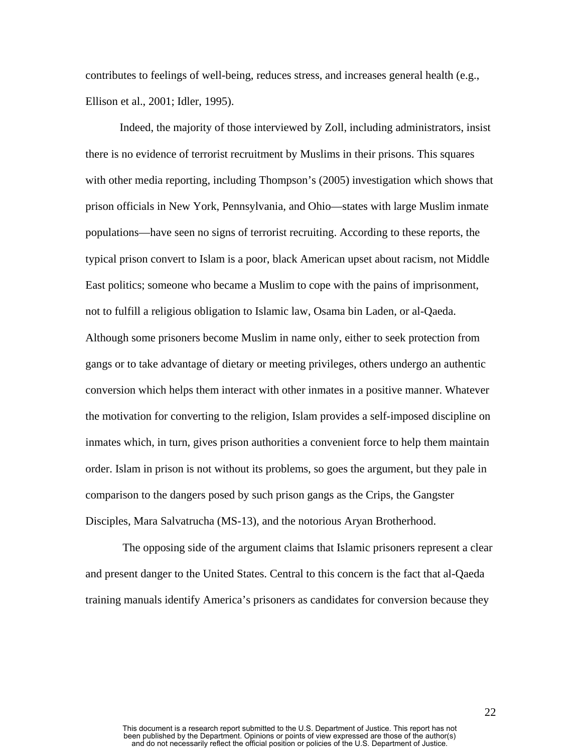contributes to feelings of well-being, reduces stress, and increases general health (e.g., Ellison et al., 2001; Idler, 1995).

Indeed, the majority of those interviewed by Zoll, including administrators, insist there is no evidence of terrorist recruitment by Muslims in their prisons. This squares with other media reporting, including Thompson's (2005) investigation which shows that prison officials in New York, Pennsylvania, and Ohio—states with large Muslim inmate populations—have seen no signs of terrorist recruiting. According to these reports, the typical prison convert to Islam is a poor, black American upset about racism, not Middle East politics; someone who became a Muslim to cope with the pains of imprisonment, not to fulfill a religious obligation to Islamic law, Osama bin Laden, or al-Qaeda. Although some prisoners become Muslim in name only, either to seek protection from gangs or to take advantage of dietary or meeting privileges, others undergo an authentic conversion which helps them interact with other inmates in a positive manner. Whatever the motivation for converting to the religion, Islam provides a self-imposed discipline on inmates which, in turn, gives prison authorities a convenient force to help them maintain order. Islam in prison is not without its problems, so goes the argument, but they pale in comparison to the dangers posed by such prison gangs as the Crips, the Gangster Disciples, Mara Salvatrucha (MS-13), and the notorious Aryan Brotherhood.

 The opposing side of the argument claims that Islamic prisoners represent a clear and present danger to the United States. Central to this concern is the fact that al-Qaeda training manuals identify America's prisoners as candidates for conversion because they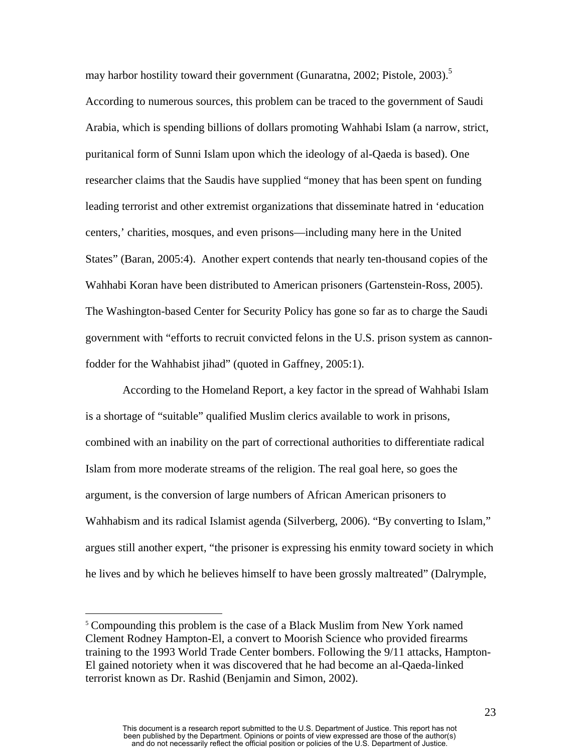may harbor hostility toward their government (Gunaratna, 2002; Pistole, 2003).<sup>[5](#page-23-0)</sup> According to numerous sources, this problem can be traced to the government of Saudi Arabia, which is spending billions of dollars promoting Wahhabi Islam (a narrow, strict, puritanical form of Sunni Islam upon which the ideology of al-Qaeda is based). One researcher claims that the Saudis have supplied "money that has been spent on funding leading terrorist and other extremist organizations that disseminate hatred in 'education centers,' charities, mosques, and even prisons—including many here in the United States" (Baran, 2005:4). Another expert contends that nearly ten-thousand copies of the Wahhabi Koran have been distributed to American prisoners (Gartenstein-Ross, 2005). The Washington-based Center for Security Policy has gone so far as to charge the Saudi government with "efforts to recruit convicted felons in the U.S. prison system as cannonfodder for the Wahhabist jihad" (quoted in Gaffney, 2005:1).

 According to the Homeland Report, a key factor in the spread of Wahhabi Islam is a shortage of "suitable" qualified Muslim clerics available to work in prisons, combined with an inability on the part of correctional authorities to differentiate radical Islam from more moderate streams of the religion. The real goal here, so goes the argument, is the conversion of large numbers of African American prisoners to Wahhabism and its radical Islamist agenda (Silverberg, 2006). "By converting to Islam," argues still another expert, "the prisoner is expressing his enmity toward society in which he lives and by which he believes himself to have been grossly maltreated" (Dalrymple,

1

<span id="page-23-0"></span><sup>&</sup>lt;sup>5</sup> Compounding this problem is the case of a Black Muslim from New York named Clement Rodney Hampton-El, a convert to Moorish Science who provided firearms training to the 1993 World Trade Center bombers. Following the 9/11 attacks, Hampton-El gained notoriety when it was discovered that he had become an al-Qaeda-linked terrorist known as Dr. Rashid (Benjamin and Simon, 2002).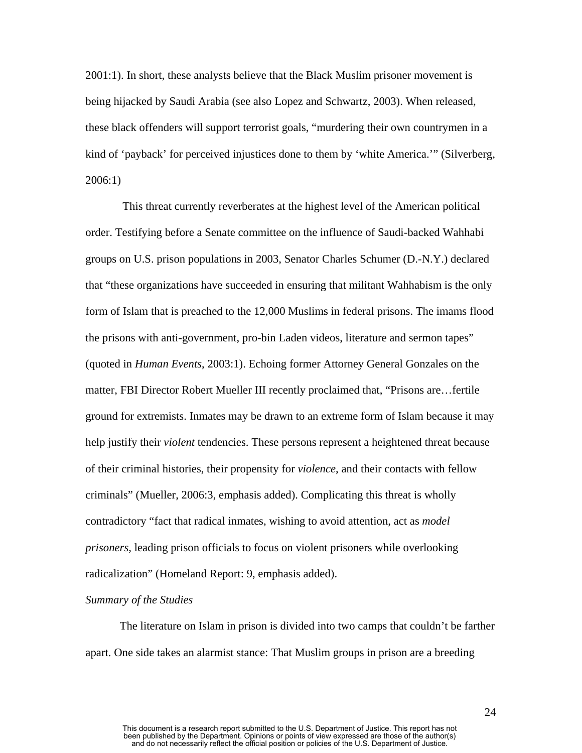2001:1). In short, these analysts believe that the Black Muslim prisoner movement is being hijacked by Saudi Arabia (see also Lopez and Schwartz, 2003). When released, these black offenders will support terrorist goals, "murdering their own countrymen in a kind of 'payback' for perceived injustices done to them by 'white America.'" (Silverberg, 2006:1)

 This threat currently reverberates at the highest level of the American political order. Testifying before a Senate committee on the influence of Saudi-backed Wahhabi groups on U.S. prison populations in 2003, Senator Charles Schumer (D.-N.Y.) declared that "these organizations have succeeded in ensuring that militant Wahhabism is the only form of Islam that is preached to the 12,000 Muslims in federal prisons. The imams flood the prisons with anti-government, pro-bin Laden videos, literature and sermon tapes" (quoted in *Human Events*, 2003:1). Echoing former Attorney General Gonzales on the matter, FBI Director Robert Mueller III recently proclaimed that, "Prisons are…fertile ground for extremists. Inmates may be drawn to an extreme form of Islam because it may help justify their *violent* tendencies. These persons represent a heightened threat because of their criminal histories, their propensity for *violence*, and their contacts with fellow criminals" (Mueller, 2006:3, emphasis added). Complicating this threat is wholly contradictory "fact that radical inmates, wishing to avoid attention, act as *model prisoners*, leading prison officials to focus on violent prisoners while overlooking radicalization" (Homeland Report: 9, emphasis added).

#### *Summary of the Studies*

 The literature on Islam in prison is divided into two camps that couldn't be farther apart. One side takes an alarmist stance: That Muslim groups in prison are a breeding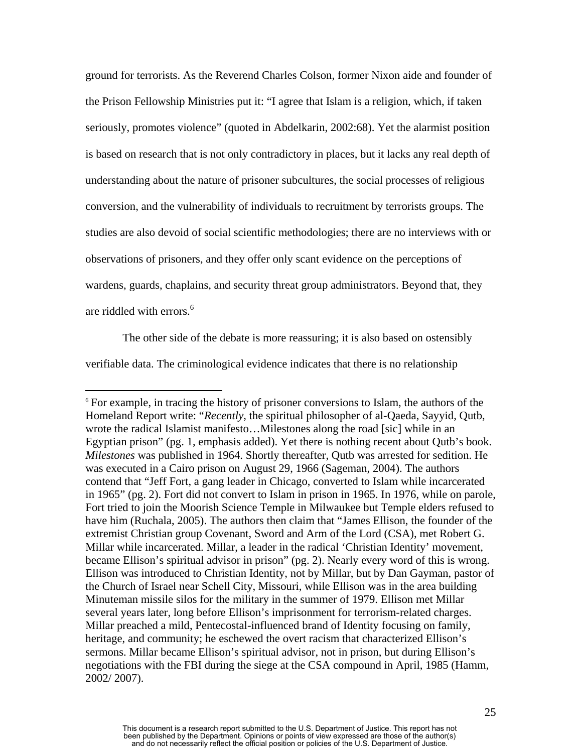ground for terrorists. As the Reverend Charles Colson, former Nixon aide and founder of the Prison Fellowship Ministries put it: "I agree that Islam is a religion, which, if taken seriously, promotes violence" (quoted in Abdelkarin, 2002:68). Yet the alarmist position is based on research that is not only contradictory in places, but it lacks any real depth of understanding about the nature of prisoner subcultures, the social processes of religious conversion, and the vulnerability of individuals to recruitment by terrorists groups. The studies are also devoid of social scientific methodologies; there are no interviews with or observations of prisoners, and they offer only scant evidence on the perceptions of wardens, guards, chaplains, and security threat group administrators. Beyond that, they are riddled with errors.<sup>6</sup>

 The other side of the debate is more reassuring; it is also based on ostensibly verifiable data. The criminological evidence indicates that there is no relationship

 $\overline{a}$ 

<span id="page-25-0"></span><sup>&</sup>lt;sup>6</sup> For example, in tracing the history of prisoner conversions to Islam, the authors of the Homeland Report write: "*Recently*, the spiritual philosopher of al-Qaeda, Sayyid, Qutb, wrote the radical Islamist manifesto...Milestones along the road [sic] while in an Egyptian prison" (pg. 1, emphasis added). Yet there is nothing recent about Qutb's book. *Milestones* was published in 1964. Shortly thereafter, Qutb was arrested for sedition. He was executed in a Cairo prison on August 29, 1966 (Sageman, 2004). The authors contend that "Jeff Fort, a gang leader in Chicago, converted to Islam while incarcerated in 1965" (pg. 2). Fort did not convert to Islam in prison in 1965. In 1976, while on parole, Fort tried to join the Moorish Science Temple in Milwaukee but Temple elders refused to have him (Ruchala, 2005). The authors then claim that "James Ellison, the founder of the extremist Christian group Covenant, Sword and Arm of the Lord (CSA), met Robert G. Millar while incarcerated. Millar, a leader in the radical 'Christian Identity' movement, became Ellison's spiritual advisor in prison" (pg. 2). Nearly every word of this is wrong. Ellison was introduced to Christian Identity, not by Millar, but by Dan Gayman, pastor of the Church of Israel near Schell City, Missouri, while Ellison was in the area building Minuteman missile silos for the military in the summer of 1979. Ellison met Millar several years later, long before Ellison's imprisonment for terrorism-related charges. Millar preached a mild, Pentecostal-influenced brand of Identity focusing on family, heritage, and community; he eschewed the overt racism that characterized Ellison's sermons. Millar became Ellison's spiritual advisor, not in prison, but during Ellison's negotiations with the FBI during the siege at the CSA compound in April, 1985 (Hamm, 2002/ 2007).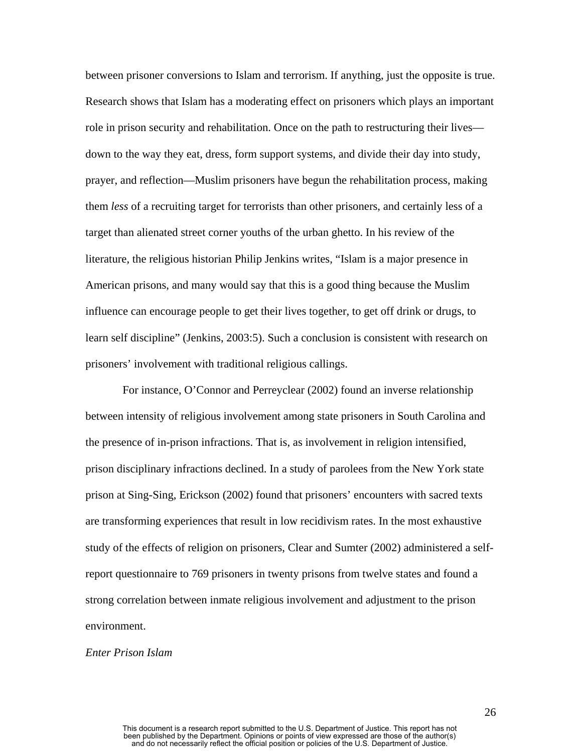between prisoner conversions to Islam and terrorism. If anything, just the opposite is true. Research shows that Islam has a moderating effect on prisoners which plays an important role in prison security and rehabilitation. Once on the path to restructuring their lives down to the way they eat, dress, form support systems, and divide their day into study, prayer, and reflection—Muslim prisoners have begun the rehabilitation process, making them *less* of a recruiting target for terrorists than other prisoners, and certainly less of a target than alienated street corner youths of the urban ghetto. In his review of the literature, the religious historian Philip Jenkins writes, "Islam is a major presence in American prisons, and many would say that this is a good thing because the Muslim influence can encourage people to get their lives together, to get off drink or drugs, to learn self discipline" (Jenkins, 2003:5). Such a conclusion is consistent with research on prisoners' involvement with traditional religious callings.

 For instance, O'Connor and Perreyclear (2002) found an inverse relationship between intensity of religious involvement among state prisoners in South Carolina and the presence of in-prison infractions. That is, as involvement in religion intensified, prison disciplinary infractions declined. In a study of parolees from the New York state prison at Sing-Sing, Erickson (2002) found that prisoners' encounters with sacred texts are transforming experiences that result in low recidivism rates. In the most exhaustive study of the effects of religion on prisoners, Clear and Sumter (2002) administered a selfreport questionnaire to 769 prisoners in twenty prisons from twelve states and found a strong correlation between inmate religious involvement and adjustment to the prison environment.

#### *Enter Prison Islam*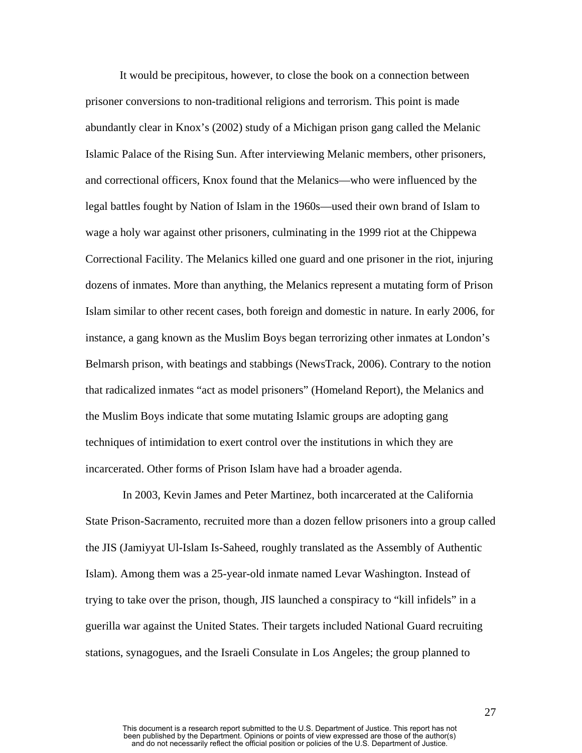It would be precipitous, however, to close the book on a connection between prisoner conversions to non-traditional religions and terrorism. This point is made abundantly clear in Knox's (2002) study of a Michigan prison gang called the Melanic Islamic Palace of the Rising Sun. After interviewing Melanic members, other prisoners, and correctional officers, Knox found that the Melanics—who were influenced by the legal battles fought by Nation of Islam in the 1960s—used their own brand of Islam to wage a holy war against other prisoners, culminating in the 1999 riot at the Chippewa Correctional Facility. The Melanics killed one guard and one prisoner in the riot, injuring dozens of inmates. More than anything, the Melanics represent a mutating form of Prison Islam similar to other recent cases, both foreign and domestic in nature. In early 2006, for instance, a gang known as the Muslim Boys began terrorizing other inmates at London's Belmarsh prison, with beatings and stabbings (NewsTrack, 2006). Contrary to the notion that radicalized inmates "act as model prisoners" (Homeland Report), the Melanics and the Muslim Boys indicate that some mutating Islamic groups are adopting gang techniques of intimidation to exert control over the institutions in which they are incarcerated. Other forms of Prison Islam have had a broader agenda.

 In 2003, Kevin James and Peter Martinez, both incarcerated at the California State Prison-Sacramento, recruited more than a dozen fellow prisoners into a group called the JIS (Jamiyyat Ul-Islam Is-Saheed, roughly translated as the Assembly of Authentic Islam). Among them was a 25-year-old inmate named Levar Washington. Instead of trying to take over the prison, though, JIS launched a conspiracy to "kill infidels" in a guerilla war against the United States. Their targets included National Guard recruiting stations, synagogues, and the Israeli Consulate in Los Angeles; the group planned to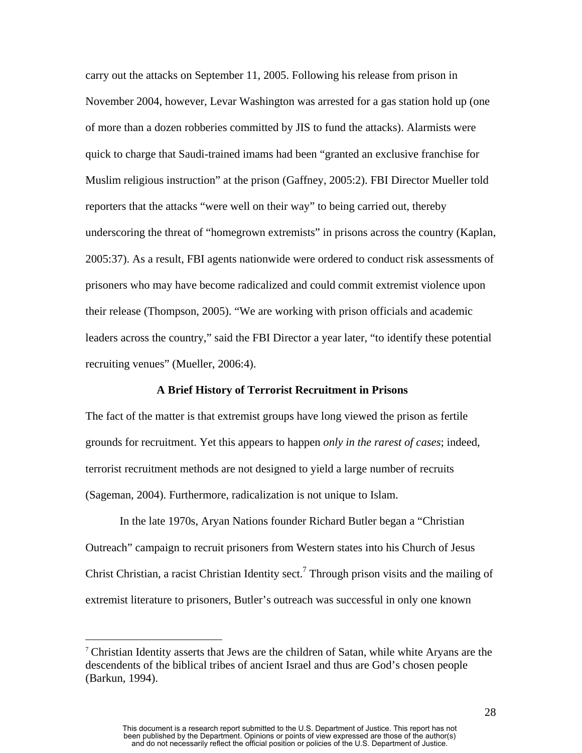carry out the attacks on September 11, 2005. Following his release from prison in November 2004, however, Levar Washington was arrested for a gas station hold up (one of more than a dozen robberies committed by JIS to fund the attacks). Alarmists were quick to charge that Saudi-trained imams had been "granted an exclusive franchise for Muslim religious instruction" at the prison (Gaffney, 2005:2). FBI Director Mueller told reporters that the attacks "were well on their way" to being carried out, thereby underscoring the threat of "homegrown extremists" in prisons across the country (Kaplan, 2005:37). As a result, FBI agents nationwide were ordered to conduct risk assessments of prisoners who may have become radicalized and could commit extremist violence upon their release (Thompson, 2005). "We are working with prison officials and academic leaders across the country," said the FBI Director a year later, "to identify these potential recruiting venues" (Mueller, 2006:4).

#### **A Brief History of Terrorist Recruitment in Prisons**

The fact of the matter is that extremist groups have long viewed the prison as fertile grounds for recruitment. Yet this appears to happen *only in the rarest of cases*; indeed, terrorist recruitment methods are not designed to yield a large number of recruits (Sageman, 2004). Furthermore, radicalization is not unique to Islam.

In the late 1970s, Aryan Nations founder Richard Butler began a "Christian Outreach" campaign to recruit prisoners from Western states into his Church of Jesus Christ Christian, a racist Christian Identity sect.<sup>[7](#page-28-0)</sup> Through prison visits and the mailing of extremist literature to prisoners, Butler's outreach was successful in only one known

 $\overline{a}$ 

<span id="page-28-0"></span><sup>7</sup> Christian Identity asserts that Jews are the children of Satan, while white Aryans are the descendents of the biblical tribes of ancient Israel and thus are God's chosen people (Barkun, 1994).

This document is a research report submitted to the U.S. Department of Justice. This report has not been published by the Department. Opinions or points of view expressed are those of the author(s) and do not necessarily reflect the official position or policies of the U.S. Department of Justice.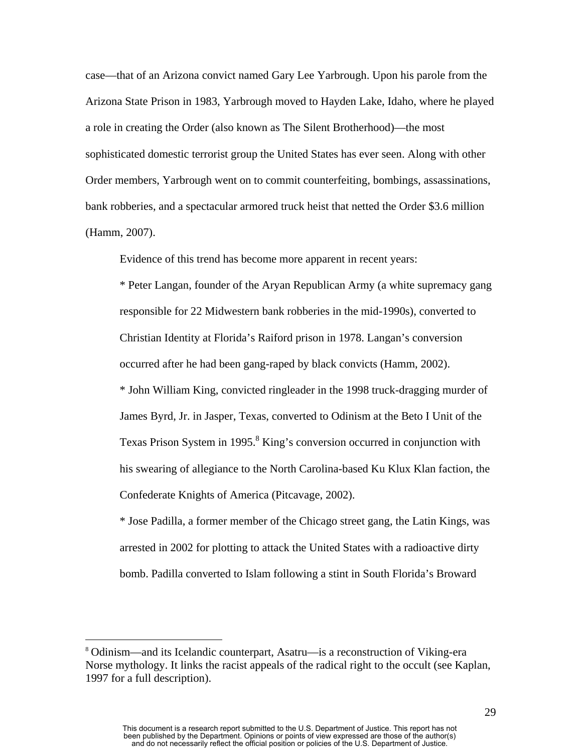case—that of an Arizona convict named Gary Lee Yarbrough. Upon his parole from the Arizona State Prison in 1983, Yarbrough moved to Hayden Lake, Idaho, where he played a role in creating the Order (also known as The Silent Brotherhood)—the most sophisticated domestic terrorist group the United States has ever seen. Along with other Order members, Yarbrough went on to commit counterfeiting, bombings, assassinations, bank robberies, and a spectacular armored truck heist that netted the Order \$3.6 million (Hamm, 2007).

Evidence of this trend has become more apparent in recent years:

\* Peter Langan, founder of the Aryan Republican Army (a white supremacy gang responsible for 22 Midwestern bank robberies in the mid-1990s), converted to Christian Identity at Florida's Raiford prison in 1978. Langan's conversion occurred after he had been gang-raped by black convicts (Hamm, 2002). \* John William King, convicted ringleader in the 1998 truck-dragging murder of James Byrd, Jr. in Jasper, Texas, converted to Odinism at the Beto I Unit of the Texas Prison System in 1995. $8$  King's conversion occurred in conjunction with his swearing of allegiance to the North Carolina-based Ku Klux Klan faction, the Confederate Knights of America (Pitcavage, 2002).

\* Jose Padilla, a former member of the Chicago street gang, the Latin Kings, was arrested in 2002 for plotting to attack the United States with a radioactive dirty bomb. Padilla converted to Islam following a stint in South Florida's Broward

 $\overline{a}$ 

<span id="page-29-0"></span><sup>8</sup> Odinism—and its Icelandic counterpart, Asatru—is a reconstruction of Viking-era Norse mythology. It links the racist appeals of the radical right to the occult (see Kaplan, 1997 for a full description).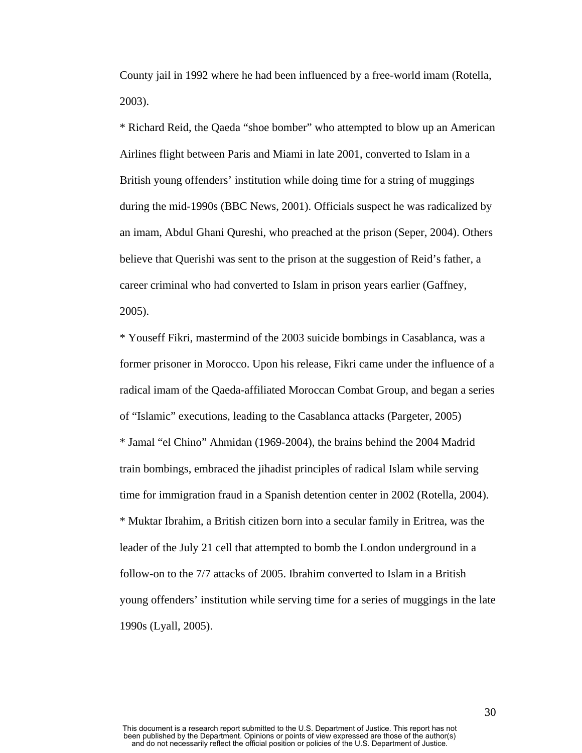County jail in 1992 where he had been influenced by a free-world imam (Rotella, 2003).

\* Richard Reid, the Qaeda "shoe bomber" who attempted to blow up an American Airlines flight between Paris and Miami in late 2001, converted to Islam in a British young offenders' institution while doing time for a string of muggings during the mid-1990s (BBC News, 2001). Officials suspect he was radicalized by an imam, Abdul Ghani Qureshi, who preached at the prison (Seper, 2004). Others believe that Querishi was sent to the prison at the suggestion of Reid's father, a career criminal who had converted to Islam in prison years earlier (Gaffney, 2005).

\* Youseff Fikri, mastermind of the 2003 suicide bombings in Casablanca, was a former prisoner in Morocco. Upon his release, Fikri came under the influence of a radical imam of the Qaeda-affiliated Moroccan Combat Group, and began a series of "Islamic" executions, leading to the Casablanca attacks (Pargeter, 2005) \* Jamal "el Chino" Ahmidan (1969-2004), the brains behind the 2004 Madrid train bombings, embraced the jihadist principles of radical Islam while serving time for immigration fraud in a Spanish detention center in 2002 (Rotella, 2004). \* Muktar Ibrahim, a British citizen born into a secular family in Eritrea, was the leader of the July 21 cell that attempted to bomb the London underground in a follow-on to the 7/7 attacks of 2005. Ibrahim converted to Islam in a British young offenders' institution while serving time for a series of muggings in the late 1990s (Lyall, 2005).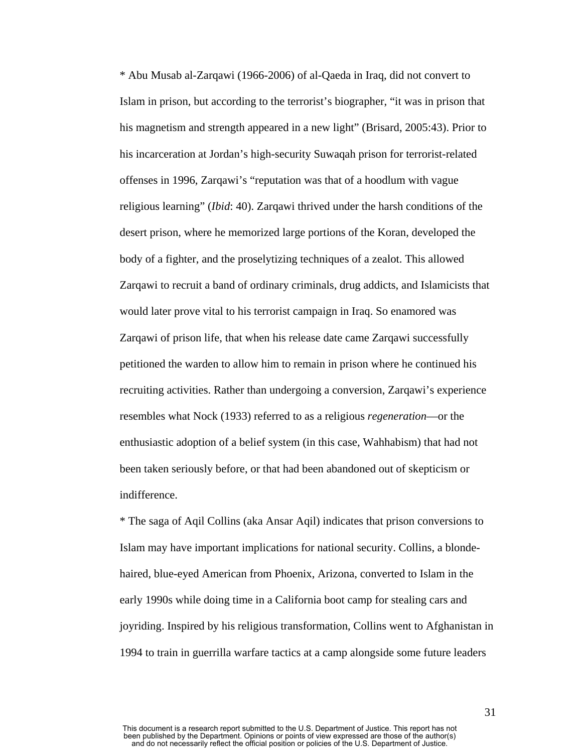\* Abu Musab al-Zarqawi (1966-2006) of al-Qaeda in Iraq, did not convert to Islam in prison, but according to the terrorist's biographer, "it was in prison that his magnetism and strength appeared in a new light" (Brisard, 2005:43). Prior to his incarceration at Jordan's high-security Suwaqah prison for terrorist-related offenses in 1996, Zarqawi's "reputation was that of a hoodlum with vague religious learning" (*Ibid*: 40). Zarqawi thrived under the harsh conditions of the desert prison, where he memorized large portions of the Koran, developed the body of a fighter, and the proselytizing techniques of a zealot. This allowed Zarqawi to recruit a band of ordinary criminals, drug addicts, and Islamicists that would later prove vital to his terrorist campaign in Iraq. So enamored was Zarqawi of prison life, that when his release date came Zarqawi successfully petitioned the warden to allow him to remain in prison where he continued his recruiting activities. Rather than undergoing a conversion, Zarqawi's experience resembles what Nock (1933) referred to as a religious *regeneration*—or the enthusiastic adoption of a belief system (in this case, Wahhabism) that had not been taken seriously before, or that had been abandoned out of skepticism or indifference.

\* The saga of Aqil Collins (aka Ansar Aqil) indicates that prison conversions to Islam may have important implications for national security. Collins, a blondehaired, blue-eyed American from Phoenix, Arizona, converted to Islam in the early 1990s while doing time in a California boot camp for stealing cars and joyriding. Inspired by his religious transformation, Collins went to Afghanistan in 1994 to train in guerrilla warfare tactics at a camp alongside some future leaders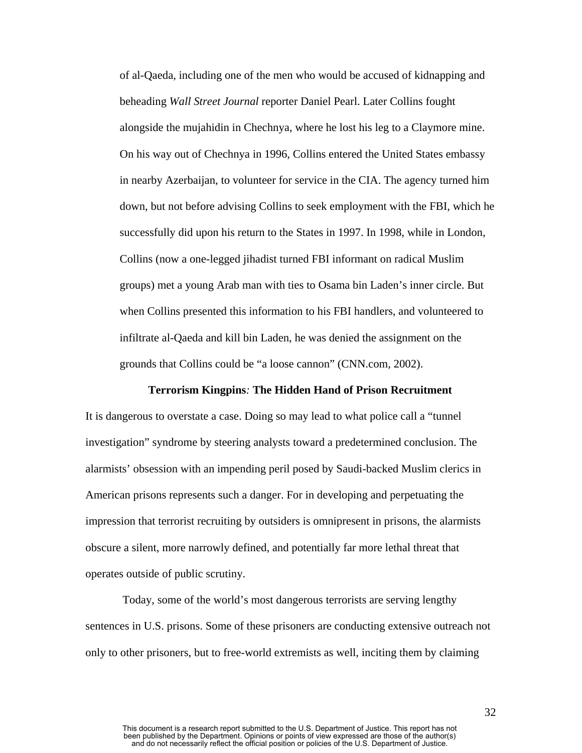of al-Qaeda, including one of the men who would be accused of kidnapping and beheading *Wall Street Journal* reporter Daniel Pearl. Later Collins fought alongside the mujahidin in Chechnya, where he lost his leg to a Claymore mine. On his way out of Chechnya in 1996, Collins entered the United States embassy in nearby Azerbaijan, to volunteer for service in the CIA. The agency turned him down, but not before advising Collins to seek employment with the FBI, which he successfully did upon his return to the States in 1997. In 1998, while in London, Collins (now a one-legged jihadist turned FBI informant on radical Muslim groups) met a young Arab man with ties to Osama bin Laden's inner circle. But when Collins presented this information to his FBI handlers, and volunteered to infiltrate al-Qaeda and kill bin Laden, he was denied the assignment on the grounds that Collins could be "a loose cannon" (CNN.com, 2002).

#### **Terrorism Kingpins***:* **The Hidden Hand of Prison Recruitment**

It is dangerous to overstate a case. Doing so may lead to what police call a "tunnel investigation" syndrome by steering analysts toward a predetermined conclusion. The alarmists' obsession with an impending peril posed by Saudi-backed Muslim clerics in American prisons represents such a danger. For in developing and perpetuating the impression that terrorist recruiting by outsiders is omnipresent in prisons, the alarmists obscure a silent, more narrowly defined, and potentially far more lethal threat that operates outside of public scrutiny.

 Today, some of the world's most dangerous terrorists are serving lengthy sentences in U.S. prisons. Some of these prisoners are conducting extensive outreach not only to other prisoners, but to free-world extremists as well, inciting them by claiming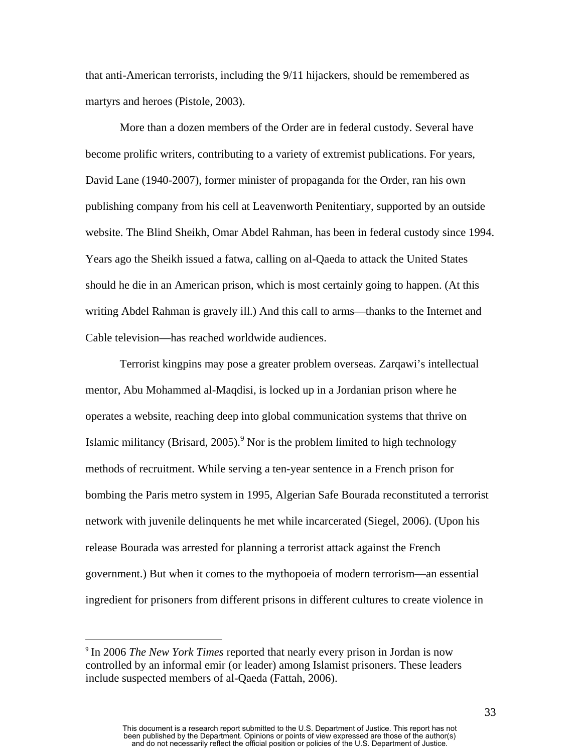that anti-American terrorists, including the 9/11 hijackers, should be remembered as martyrs and heroes (Pistole, 2003).

More than a dozen members of the Order are in federal custody. Several have become prolific writers, contributing to a variety of extremist publications. For years, David Lane (1940-2007), former minister of propaganda for the Order, ran his own publishing company from his cell at Leavenworth Penitentiary, supported by an outside website. The Blind Sheikh, Omar Abdel Rahman, has been in federal custody since 1994. Years ago the Sheikh issued a fatwa, calling on al-Qaeda to attack the United States should he die in an American prison, which is most certainly going to happen. (At this writing Abdel Rahman is gravely ill.) And this call to arms—thanks to the Internet and Cable television—has reached worldwide audiences.

Terrorist kingpins may pose a greater problem overseas. Zarqawi's intellectual mentor, Abu Mohammed al-Maqdisi, is locked up in a Jordanian prison where he operates a website, reaching deep into global communication systems that thrive on Islamic militancy (Brisard, 2005). $9^9$  $9^9$  Nor is the problem limited to high technology methods of recruitment. While serving a ten-year sentence in a French prison for bombing the Paris metro system in 1995, Algerian Safe Bourada reconstituted a terrorist network with juvenile delinquents he met while incarcerated (Siegel, 2006). (Upon his release Bourada was arrested for planning a terrorist attack against the French government.) But when it comes to the mythopoeia of modern terrorism—an essential ingredient for prisoners from different prisons in different cultures to create violence in

1

<span id="page-33-0"></span><sup>9</sup> In 2006 *The New York Times* reported that nearly every prison in Jordan is now controlled by an informal emir (or leader) among Islamist prisoners. These leaders include suspected members of al-Qaeda (Fattah, 2006).

This document is a research report submitted to the U.S. Department of Justice. This report has not been published by the Department. Opinions or points of view expressed are those of the author(s) and do not necessarily reflect the official position or policies of the U.S. Department of Justice.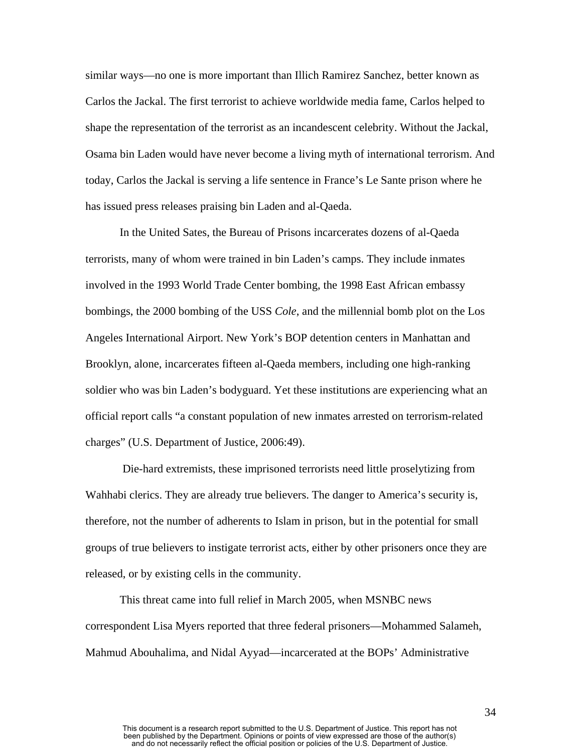similar ways—no one is more important than Illich Ramirez Sanchez, better known as Carlos the Jackal. The first terrorist to achieve worldwide media fame, Carlos helped to shape the representation of the terrorist as an incandescent celebrity. Without the Jackal, Osama bin Laden would have never become a living myth of international terrorism. And today, Carlos the Jackal is serving a life sentence in France's Le Sante prison where he has issued press releases praising bin Laden and al-Qaeda.

In the United Sates, the Bureau of Prisons incarcerates dozens of al-Qaeda terrorists, many of whom were trained in bin Laden's camps. They include inmates involved in the 1993 World Trade Center bombing, the 1998 East African embassy bombings, the 2000 bombing of the USS *Cole*, and the millennial bomb plot on the Los Angeles International Airport. New York's BOP detention centers in Manhattan and Brooklyn, alone, incarcerates fifteen al-Qaeda members, including one high-ranking soldier who was bin Laden's bodyguard. Yet these institutions are experiencing what an official report calls "a constant population of new inmates arrested on terrorism-related charges" (U.S. Department of Justice, 2006:49).

 Die-hard extremists, these imprisoned terrorists need little proselytizing from Wahhabi clerics. They are already true believers. The danger to America's security is, therefore, not the number of adherents to Islam in prison, but in the potential for small groups of true believers to instigate terrorist acts, either by other prisoners once they are released, or by existing cells in the community.

This threat came into full relief in March 2005, when MSNBC news correspondent Lisa Myers reported that three federal prisoners—Mohammed Salameh, Mahmud Abouhalima, and Nidal Ayyad—incarcerated at the BOPs' Administrative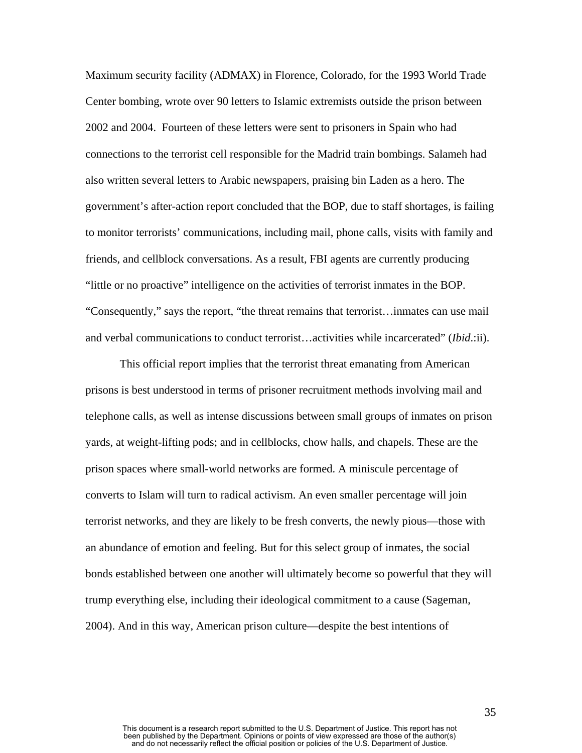Maximum security facility (ADMAX) in Florence, Colorado, for the 1993 World Trade Center bombing, wrote over 90 letters to Islamic extremists outside the prison between 2002 and 2004. Fourteen of these letters were sent to prisoners in Spain who had connections to the terrorist cell responsible for the Madrid train bombings. Salameh had also written several letters to Arabic newspapers, praising bin Laden as a hero. The government's after-action report concluded that the BOP, due to staff shortages, is failing to monitor terrorists' communications, including mail, phone calls, visits with family and friends, and cellblock conversations. As a result, FBI agents are currently producing "little or no proactive" intelligence on the activities of terrorist inmates in the BOP. "Consequently," says the report, "the threat remains that terrorist…inmates can use mail and verbal communications to conduct terrorist…activities while incarcerated" (*Ibid*.:ii).

This official report implies that the terrorist threat emanating from American prisons is best understood in terms of prisoner recruitment methods involving mail and telephone calls, as well as intense discussions between small groups of inmates on prison yards, at weight-lifting pods; and in cellblocks, chow halls, and chapels. These are the prison spaces where small-world networks are formed. A miniscule percentage of converts to Islam will turn to radical activism. An even smaller percentage will join terrorist networks, and they are likely to be fresh converts, the newly pious—those with an abundance of emotion and feeling. But for this select group of inmates, the social bonds established between one another will ultimately become so powerful that they will trump everything else, including their ideological commitment to a cause (Sageman, 2004). And in this way, American prison culture—despite the best intentions of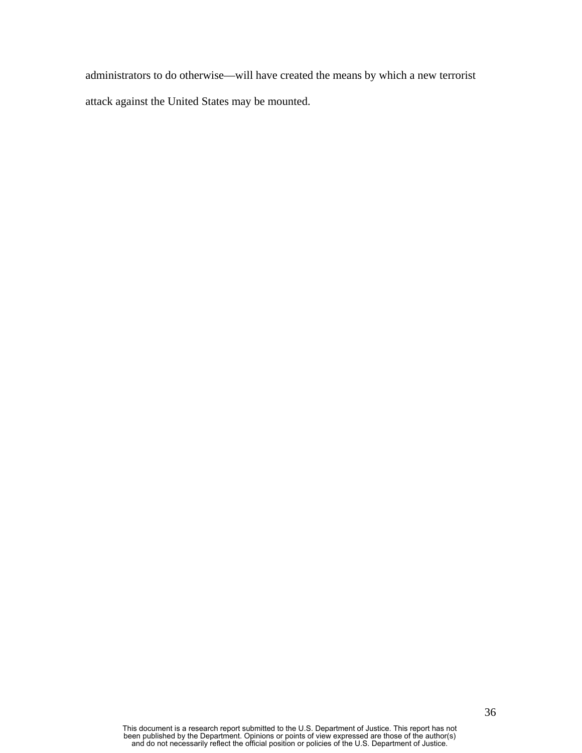administrators to do otherwise—will have created the means by which a new terrorist attack against the United States may be mounted.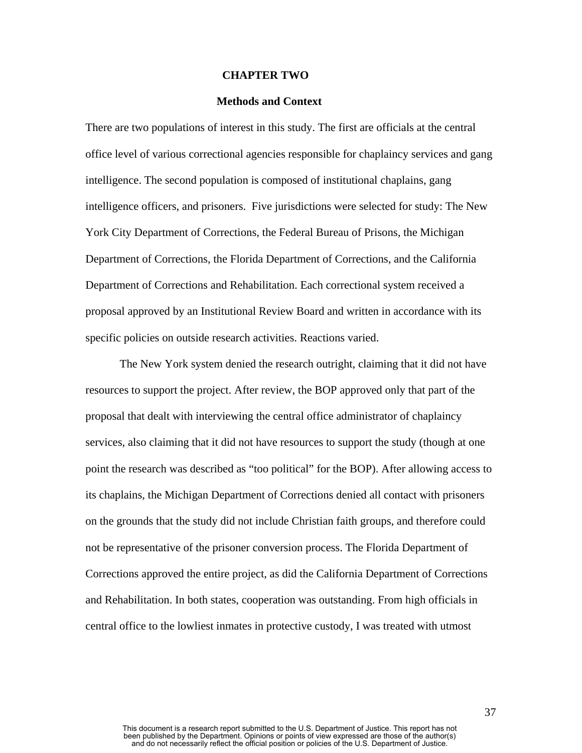#### **CHAPTER TWO**

## **Methods and Context**

There are two populations of interest in this study. The first are officials at the central office level of various correctional agencies responsible for chaplaincy services and gang intelligence. The second population is composed of institutional chaplains, gang intelligence officers, and prisoners. Five jurisdictions were selected for study: The New York City Department of Corrections, the Federal Bureau of Prisons, the Michigan Department of Corrections, the Florida Department of Corrections, and the California Department of Corrections and Rehabilitation. Each correctional system received a proposal approved by an Institutional Review Board and written in accordance with its specific policies on outside research activities. Reactions varied.

The New York system denied the research outright, claiming that it did not have resources to support the project. After review, the BOP approved only that part of the proposal that dealt with interviewing the central office administrator of chaplaincy services, also claiming that it did not have resources to support the study (though at one point the research was described as "too political" for the BOP). After allowing access to its chaplains, the Michigan Department of Corrections denied all contact with prisoners on the grounds that the study did not include Christian faith groups, and therefore could not be representative of the prisoner conversion process. The Florida Department of Corrections approved the entire project, as did the California Department of Corrections and Rehabilitation. In both states, cooperation was outstanding. From high officials in central office to the lowliest inmates in protective custody, I was treated with utmost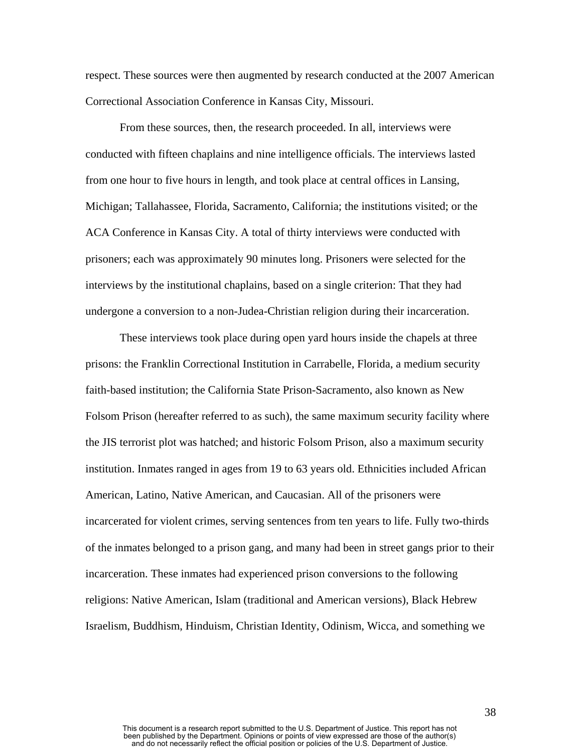respect. These sources were then augmented by research conducted at the 2007 American Correctional Association Conference in Kansas City, Missouri.

From these sources, then, the research proceeded. In all, interviews were conducted with fifteen chaplains and nine intelligence officials. The interviews lasted from one hour to five hours in length, and took place at central offices in Lansing, Michigan; Tallahassee, Florida, Sacramento, California; the institutions visited; or the ACA Conference in Kansas City. A total of thirty interviews were conducted with prisoners; each was approximately 90 minutes long. Prisoners were selected for the interviews by the institutional chaplains, based on a single criterion: That they had undergone a conversion to a non-Judea-Christian religion during their incarceration.

These interviews took place during open yard hours inside the chapels at three prisons: the Franklin Correctional Institution in Carrabelle, Florida, a medium security faith-based institution; the California State Prison-Sacramento, also known as New Folsom Prison (hereafter referred to as such), the same maximum security facility where the JIS terrorist plot was hatched; and historic Folsom Prison, also a maximum security institution. Inmates ranged in ages from 19 to 63 years old. Ethnicities included African American, Latino, Native American, and Caucasian. All of the prisoners were incarcerated for violent crimes, serving sentences from ten years to life. Fully two-thirds of the inmates belonged to a prison gang, and many had been in street gangs prior to their incarceration. These inmates had experienced prison conversions to the following religions: Native American, Islam (traditional and American versions), Black Hebrew Israelism, Buddhism, Hinduism, Christian Identity, Odinism, Wicca, and something we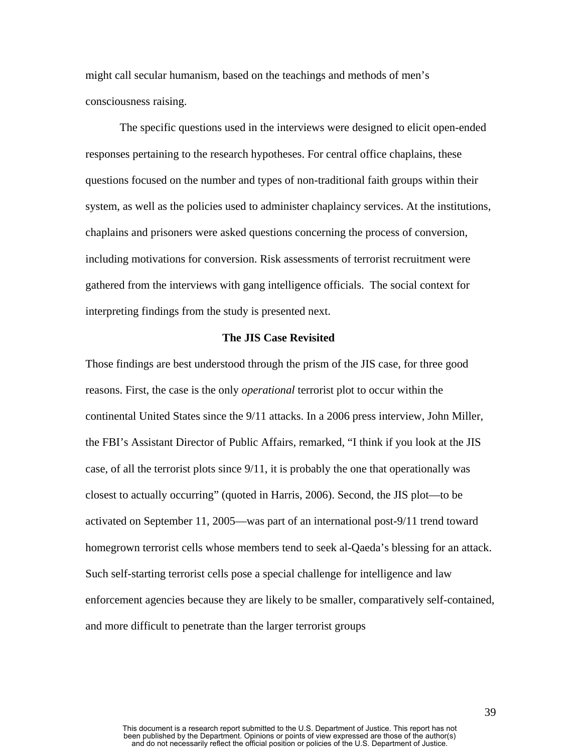might call secular humanism, based on the teachings and methods of men's consciousness raising.

The specific questions used in the interviews were designed to elicit open-ended responses pertaining to the research hypotheses. For central office chaplains, these questions focused on the number and types of non-traditional faith groups within their system, as well as the policies used to administer chaplaincy services. At the institutions, chaplains and prisoners were asked questions concerning the process of conversion, including motivations for conversion. Risk assessments of terrorist recruitment were gathered from the interviews with gang intelligence officials. The social context for interpreting findings from the study is presented next.

# **The JIS Case Revisited**

Those findings are best understood through the prism of the JIS case, for three good reasons. First, the case is the only *operational* terrorist plot to occur within the continental United States since the 9/11 attacks. In a 2006 press interview, John Miller, the FBI's Assistant Director of Public Affairs, remarked, "I think if you look at the JIS case, of all the terrorist plots since 9/11, it is probably the one that operationally was closest to actually occurring" (quoted in Harris, 2006). Second, the JIS plot—to be activated on September 11, 2005—was part of an international post-9/11 trend toward homegrown terrorist cells whose members tend to seek al-Qaeda's blessing for an attack. Such self-starting terrorist cells pose a special challenge for intelligence and law enforcement agencies because they are likely to be smaller, comparatively self-contained, and more difficult to penetrate than the larger terrorist groups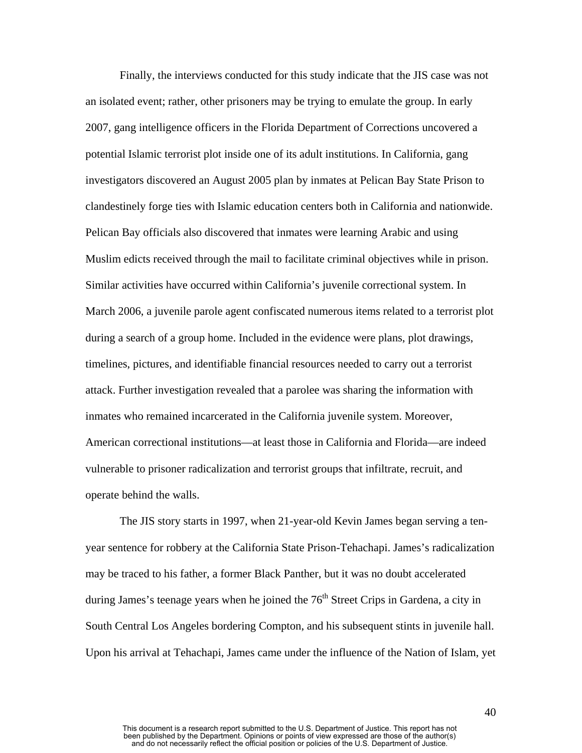Finally, the interviews conducted for this study indicate that the JIS case was not an isolated event; rather, other prisoners may be trying to emulate the group. In early 2007, gang intelligence officers in the Florida Department of Corrections uncovered a potential Islamic terrorist plot inside one of its adult institutions. In California, gang investigators discovered an August 2005 plan by inmates at Pelican Bay State Prison to clandestinely forge ties with Islamic education centers both in California and nationwide. Pelican Bay officials also discovered that inmates were learning Arabic and using Muslim edicts received through the mail to facilitate criminal objectives while in prison. Similar activities have occurred within California's juvenile correctional system. In March 2006, a juvenile parole agent confiscated numerous items related to a terrorist plot during a search of a group home. Included in the evidence were plans, plot drawings, timelines, pictures, and identifiable financial resources needed to carry out a terrorist attack. Further investigation revealed that a parolee was sharing the information with inmates who remained incarcerated in the California juvenile system. Moreover, American correctional institutions—at least those in California and Florida—are indeed vulnerable to prisoner radicalization and terrorist groups that infiltrate, recruit, and operate behind the walls.

The JIS story starts in 1997, when 21-year-old Kevin James began serving a tenyear sentence for robbery at the California State Prison-Tehachapi. James's radicalization may be traced to his father, a former Black Panther, but it was no doubt accelerated during James's teenage years when he joined the  $76<sup>th</sup>$  Street Crips in Gardena, a city in South Central Los Angeles bordering Compton, and his subsequent stints in juvenile hall. Upon his arrival at Tehachapi, James came under the influence of the Nation of Islam, yet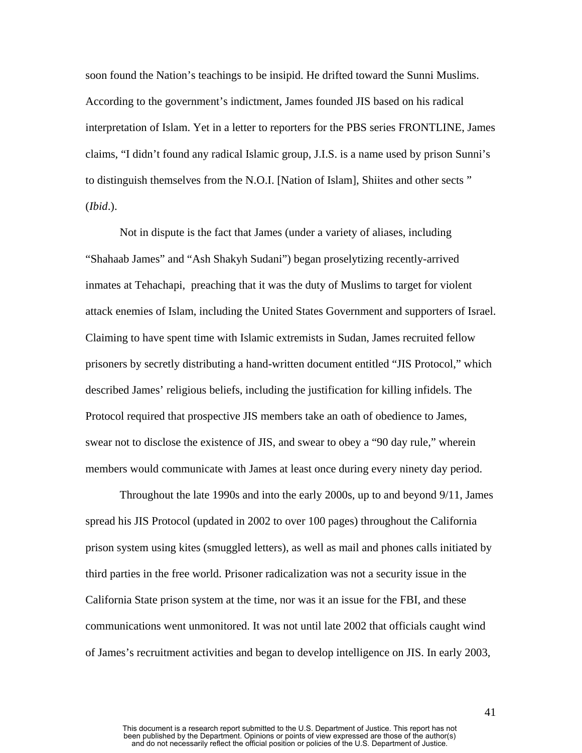soon found the Nation's teachings to be insipid. He drifted toward the Sunni Muslims. According to the government's indictment, James founded JIS based on his radical interpretation of Islam. Yet in a letter to reporters for the PBS series FRONTLINE, James claims, "I didn't found any radical Islamic group, J.I.S. is a name used by prison Sunni's to distinguish themselves from the N.O.I. [Nation of Islam], Shiites and other sects " (*Ibid*.).

Not in dispute is the fact that James (under a variety of aliases, including "Shahaab James" and "Ash Shakyh Sudani") began proselytizing recently-arrived inmates at Tehachapi, preaching that it was the duty of Muslims to target for violent attack enemies of Islam, including the United States Government and supporters of Israel. Claiming to have spent time with Islamic extremists in Sudan, James recruited fellow prisoners by secretly distributing a hand-written document entitled "JIS Protocol," which described James' religious beliefs, including the justification for killing infidels. The Protocol required that prospective JIS members take an oath of obedience to James, swear not to disclose the existence of JIS, and swear to obey a "90 day rule," wherein members would communicate with James at least once during every ninety day period.

Throughout the late 1990s and into the early 2000s, up to and beyond 9/11, James spread his JIS Protocol (updated in 2002 to over 100 pages) throughout the California prison system using kites (smuggled letters), as well as mail and phones calls initiated by third parties in the free world. Prisoner radicalization was not a security issue in the California State prison system at the time, nor was it an issue for the FBI, and these communications went unmonitored. It was not until late 2002 that officials caught wind of James's recruitment activities and began to develop intelligence on JIS. In early 2003,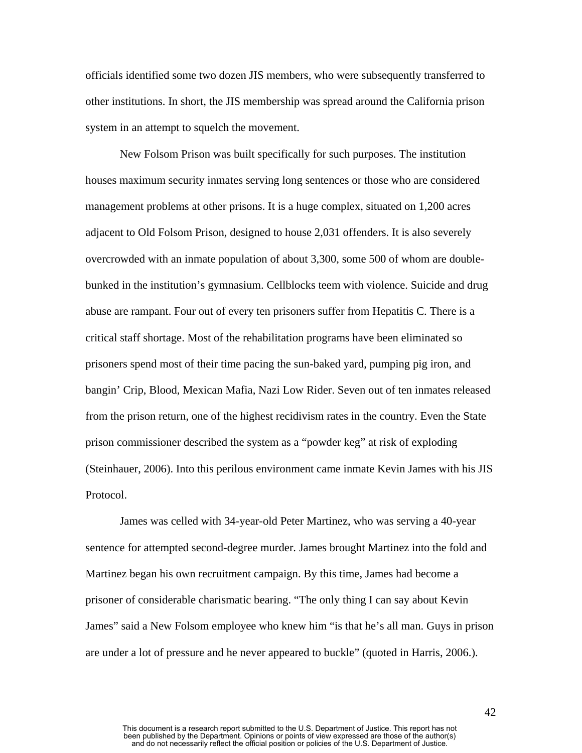officials identified some two dozen JIS members, who were subsequently transferred to other institutions. In short, the JIS membership was spread around the California prison system in an attempt to squelch the movement.

New Folsom Prison was built specifically for such purposes. The institution houses maximum security inmates serving long sentences or those who are considered management problems at other prisons. It is a huge complex, situated on 1,200 acres adjacent to Old Folsom Prison, designed to house 2,031 offenders. It is also severely overcrowded with an inmate population of about 3,300, some 500 of whom are doublebunked in the institution's gymnasium. Cellblocks teem with violence. Suicide and drug abuse are rampant. Four out of every ten prisoners suffer from Hepatitis C. There is a critical staff shortage. Most of the rehabilitation programs have been eliminated so prisoners spend most of their time pacing the sun-baked yard, pumping pig iron, and bangin' Crip, Blood, Mexican Mafia, Nazi Low Rider. Seven out of ten inmates released from the prison return, one of the highest recidivism rates in the country. Even the State prison commissioner described the system as a "powder keg" at risk of exploding (Steinhauer, 2006). Into this perilous environment came inmate Kevin James with his JIS Protocol.

James was celled with 34-year-old Peter Martinez, who was serving a 40-year sentence for attempted second-degree murder. James brought Martinez into the fold and Martinez began his own recruitment campaign. By this time, James had become a prisoner of considerable charismatic bearing. "The only thing I can say about Kevin James" said a New Folsom employee who knew him "is that he's all man. Guys in prison are under a lot of pressure and he never appeared to buckle" (quoted in Harris, 2006.).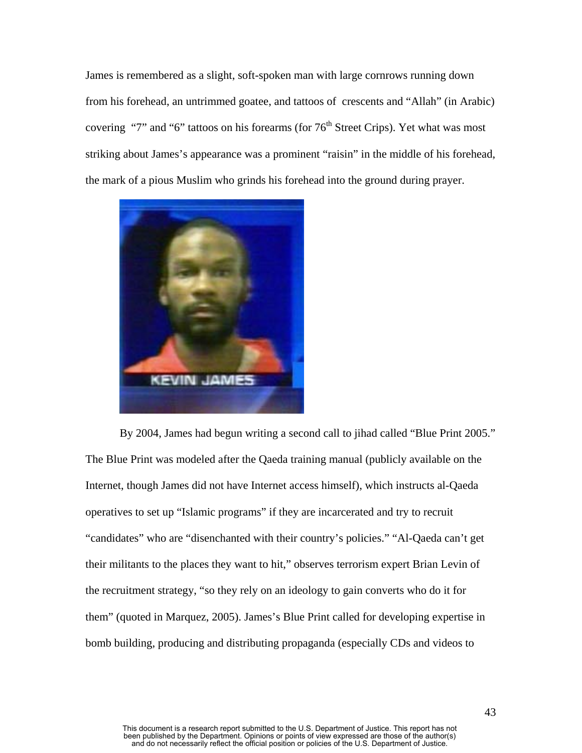James is remembered as a slight, soft-spoken man with large cornrows running down from his forehead, an untrimmed goatee, and tattoos of crescents and "Allah" (in Arabic) covering "7" and "6" tattoos on his forearms (for  $76<sup>th</sup>$  Street Crips). Yet what was most striking about James's appearance was a prominent "raisin" in the middle of his forehead, the mark of a pious Muslim who grinds his forehead into the ground during prayer.



By 2004, James had begun writing a second call to jihad called "Blue Print 2005." The Blue Print was modeled after the Qaeda training manual (publicly available on the Internet, though James did not have Internet access himself), which instructs al-Qaeda operatives to set up "Islamic programs" if they are incarcerated and try to recruit "candidates" who are "disenchanted with their country's policies." "Al-Qaeda can't get their militants to the places they want to hit," observes terrorism expert Brian Levin of the recruitment strategy, "so they rely on an ideology to gain converts who do it for them" (quoted in Marquez, 2005). James's Blue Print called for developing expertise in bomb building, producing and distributing propaganda (especially CDs and videos to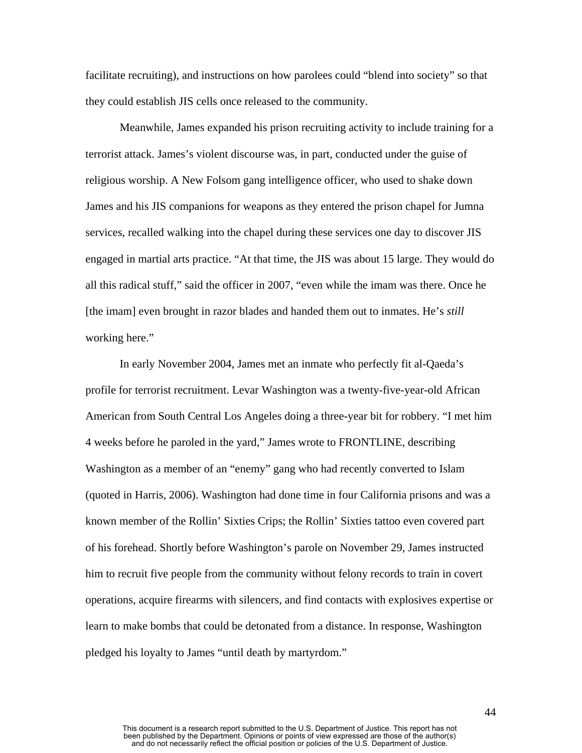facilitate recruiting), and instructions on how parolees could "blend into society" so that they could establish JIS cells once released to the community.

Meanwhile, James expanded his prison recruiting activity to include training for a terrorist attack. James's violent discourse was, in part, conducted under the guise of religious worship. A New Folsom gang intelligence officer, who used to shake down James and his JIS companions for weapons as they entered the prison chapel for Jumna services, recalled walking into the chapel during these services one day to discover JIS engaged in martial arts practice. "At that time, the JIS was about 15 large. They would do all this radical stuff," said the officer in 2007, "even while the imam was there. Once he [the imam] even brought in razor blades and handed them out to inmates. He's *still* working here."

In early November 2004, James met an inmate who perfectly fit al-Qaeda's profile for terrorist recruitment. Levar Washington was a twenty-five-year-old African American from South Central Los Angeles doing a three-year bit for robbery. "I met him 4 weeks before he paroled in the yard," James wrote to FRONTLINE, describing Washington as a member of an "enemy" gang who had recently converted to Islam (quoted in Harris, 2006). Washington had done time in four California prisons and was a known member of the Rollin' Sixties Crips; the Rollin' Sixties tattoo even covered part of his forehead. Shortly before Washington's parole on November 29, James instructed him to recruit five people from the community without felony records to train in covert operations, acquire firearms with silencers, and find contacts with explosives expertise or learn to make bombs that could be detonated from a distance. In response, Washington pledged his loyalty to James "until death by martyrdom."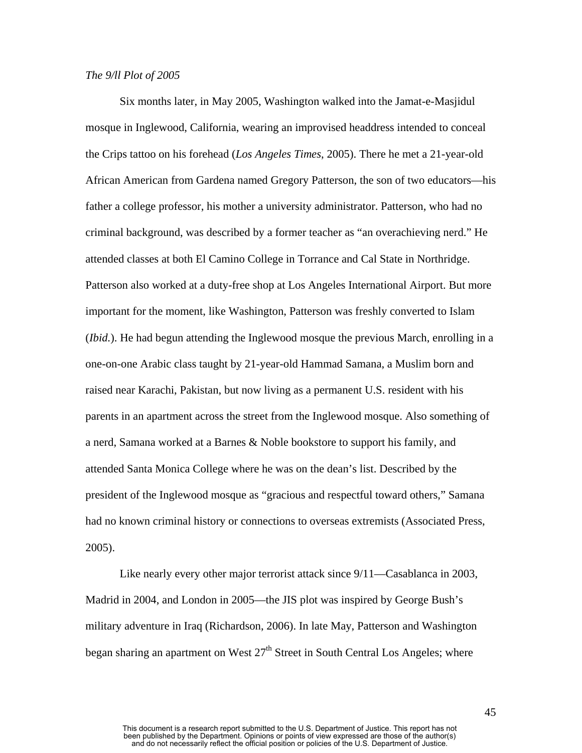### *The 9/ll Plot of 2005*

Six months later, in May 2005, Washington walked into the Jamat-e-Masjidul mosque in Inglewood, California, wearing an improvised headdress intended to conceal the Crips tattoo on his forehead (*Los Angeles Times*, 2005). There he met a 21-year-old African American from Gardena named Gregory Patterson, the son of two educators—his father a college professor, his mother a university administrator. Patterson, who had no criminal background, was described by a former teacher as "an overachieving nerd." He attended classes at both El Camino College in Torrance and Cal State in Northridge. Patterson also worked at a duty-free shop at Los Angeles International Airport. But more important for the moment, like Washington, Patterson was freshly converted to Islam (*Ibid.*). He had begun attending the Inglewood mosque the previous March, enrolling in a one-on-one Arabic class taught by 21-year-old Hammad Samana, a Muslim born and raised near Karachi, Pakistan, but now living as a permanent U.S. resident with his parents in an apartment across the street from the Inglewood mosque. Also something of a nerd, Samana worked at a Barnes & Noble bookstore to support his family, and attended Santa Monica College where he was on the dean's list. Described by the president of the Inglewood mosque as "gracious and respectful toward others," Samana had no known criminal history or connections to overseas extremists (Associated Press, 2005).

Like nearly every other major terrorist attack since  $9/11$ —Casablanca in 2003, Madrid in 2004, and London in 2005—the JIS plot was inspired by George Bush's military adventure in Iraq (Richardson, 2006). In late May, Patterson and Washington began sharing an apartment on West  $27<sup>th</sup>$  Street in South Central Los Angeles; where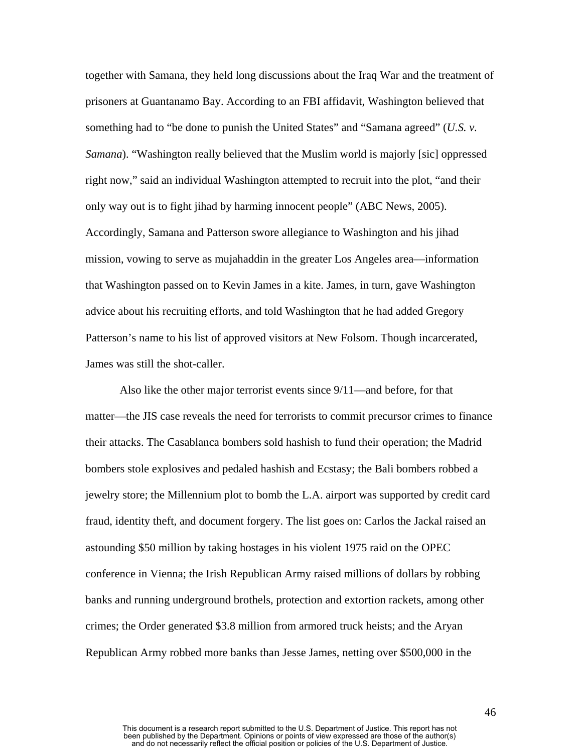together with Samana, they held long discussions about the Iraq War and the treatment of prisoners at Guantanamo Bay. According to an FBI affidavit, Washington believed that something had to "be done to punish the United States" and "Samana agreed" (*U.S. v. Samana*). "Washington really believed that the Muslim world is majorly [sic] oppressed right now," said an individual Washington attempted to recruit into the plot, "and their only way out is to fight jihad by harming innocent people" (ABC News, 2005). Accordingly, Samana and Patterson swore allegiance to Washington and his jihad mission, vowing to serve as mujahaddin in the greater Los Angeles area—information that Washington passed on to Kevin James in a kite. James, in turn, gave Washington advice about his recruiting efforts, and told Washington that he had added Gregory Patterson's name to his list of approved visitors at New Folsom. Though incarcerated, James was still the shot-caller.

Also like the other major terrorist events since 9/11—and before, for that matter—the JIS case reveals the need for terrorists to commit precursor crimes to finance their attacks. The Casablanca bombers sold hashish to fund their operation; the Madrid bombers stole explosives and pedaled hashish and Ecstasy; the Bali bombers robbed a jewelry store; the Millennium plot to bomb the L.A. airport was supported by credit card fraud, identity theft, and document forgery. The list goes on: Carlos the Jackal raised an astounding \$50 million by taking hostages in his violent 1975 raid on the OPEC conference in Vienna; the Irish Republican Army raised millions of dollars by robbing banks and running underground brothels, protection and extortion rackets, among other crimes; the Order generated \$3.8 million from armored truck heists; and the Aryan Republican Army robbed more banks than Jesse James, netting over \$500,000 in the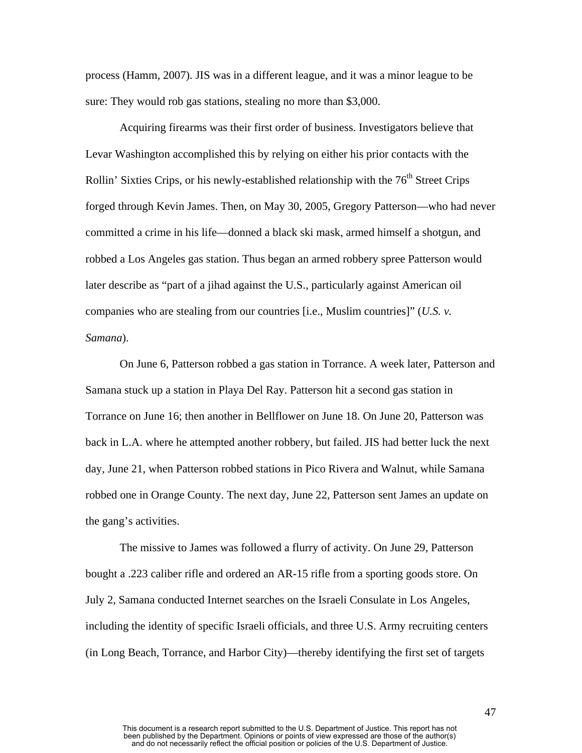process (Hamm, 2007). JIS was in a different league, and it was a minor league to be sure: They would rob gas stations, stealing no more than \$3,000.

Acquiring firearms was their first order of business. Investigators believe that Levar Washington accomplished this by relying on either his prior contacts with the Rollin' Sixties Crips, or his newly-established relationship with the  $76<sup>th</sup>$  Street Crips forged through Kevin James. Then, on May 30, 2005, Gregory Patterson—who had never committed a crime in his life—donned a black ski mask, armed himself a shotgun, and robbed a Los Angeles gas station. Thus began an armed robbery spree Patterson would later describe as "part of a jihad against the U.S., particularly against American oil companies who are stealing from our countries [i.e., Muslim countries]" (*U.S. v. Samana*).

On June 6, Patterson robbed a gas station in Torrance. A week later, Patterson and Samana stuck up a station in Playa Del Ray. Patterson hit a second gas station in Torrance on June 16; then another in Bellflower on June 18. On June 20, Patterson was back in L.A. where he attempted another robbery, but failed. JIS had better luck the next day, June 21, when Patterson robbed stations in Pico Rivera and Walnut, while Samana robbed one in Orange County. The next day, June 22, Patterson sent James an update on the gang's activities.

The missive to James was followed a flurry of activity. On June 29, Patterson bought a .223 caliber rifle and ordered an AR-15 rifle from a sporting goods store. On July 2, Samana conducted Internet searches on the Israeli Consulate in Los Angeles, including the identity of specific Israeli officials, and three U.S. Army recruiting centers (in Long Beach, Torrance, and Harbor City)—thereby identifying the first set of targets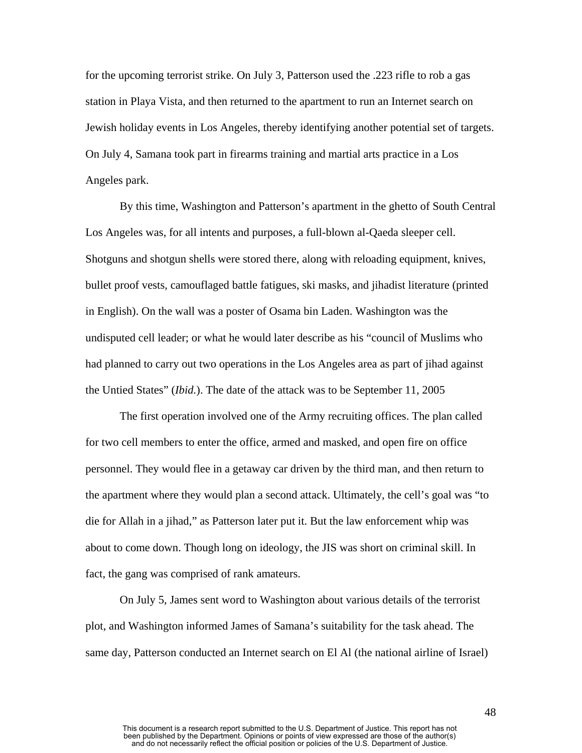for the upcoming terrorist strike. On July 3, Patterson used the .223 rifle to rob a gas station in Playa Vista, and then returned to the apartment to run an Internet search on Jewish holiday events in Los Angeles, thereby identifying another potential set of targets. On July 4, Samana took part in firearms training and martial arts practice in a Los Angeles park.

By this time, Washington and Patterson's apartment in the ghetto of South Central Los Angeles was, for all intents and purposes, a full-blown al-Qaeda sleeper cell. Shotguns and shotgun shells were stored there, along with reloading equipment, knives, bullet proof vests, camouflaged battle fatigues, ski masks, and jihadist literature (printed in English). On the wall was a poster of Osama bin Laden. Washington was the undisputed cell leader; or what he would later describe as his "council of Muslims who had planned to carry out two operations in the Los Angeles area as part of jihad against the Untied States" (*Ibid.*). The date of the attack was to be September 11, 2005

The first operation involved one of the Army recruiting offices. The plan called for two cell members to enter the office, armed and masked, and open fire on office personnel. They would flee in a getaway car driven by the third man, and then return to the apartment where they would plan a second attack. Ultimately, the cell's goal was "to die for Allah in a jihad," as Patterson later put it. But the law enforcement whip was about to come down. Though long on ideology, the JIS was short on criminal skill. In fact, the gang was comprised of rank amateurs.

On July 5, James sent word to Washington about various details of the terrorist plot, and Washington informed James of Samana's suitability for the task ahead. The same day, Patterson conducted an Internet search on El Al (the national airline of Israel)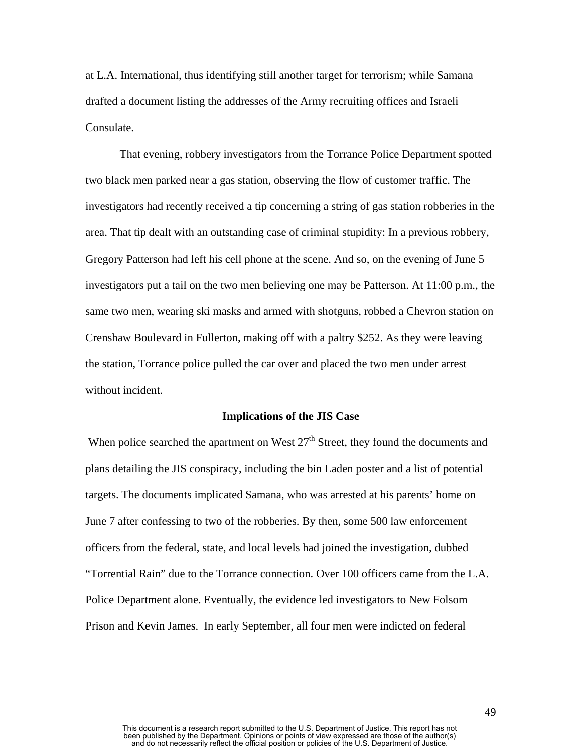at L.A. International, thus identifying still another target for terrorism; while Samana drafted a document listing the addresses of the Army recruiting offices and Israeli Consulate.

That evening, robbery investigators from the Torrance Police Department spotted two black men parked near a gas station, observing the flow of customer traffic. The investigators had recently received a tip concerning a string of gas station robberies in the area. That tip dealt with an outstanding case of criminal stupidity: In a previous robbery, Gregory Patterson had left his cell phone at the scene. And so, on the evening of June 5 investigators put a tail on the two men believing one may be Patterson. At 11:00 p.m., the same two men, wearing ski masks and armed with shotguns, robbed a Chevron station on Crenshaw Boulevard in Fullerton, making off with a paltry \$252. As they were leaving the station, Torrance police pulled the car over and placed the two men under arrest without incident.

#### **Implications of the JIS Case**

When police searched the apartment on West  $27<sup>th</sup>$  Street, they found the documents and plans detailing the JIS conspiracy, including the bin Laden poster and a list of potential targets. The documents implicated Samana, who was arrested at his parents' home on June 7 after confessing to two of the robberies. By then, some 500 law enforcement officers from the federal, state, and local levels had joined the investigation, dubbed "Torrential Rain" due to the Torrance connection. Over 100 officers came from the L.A. Police Department alone. Eventually, the evidence led investigators to New Folsom Prison and Kevin James. In early September, all four men were indicted on federal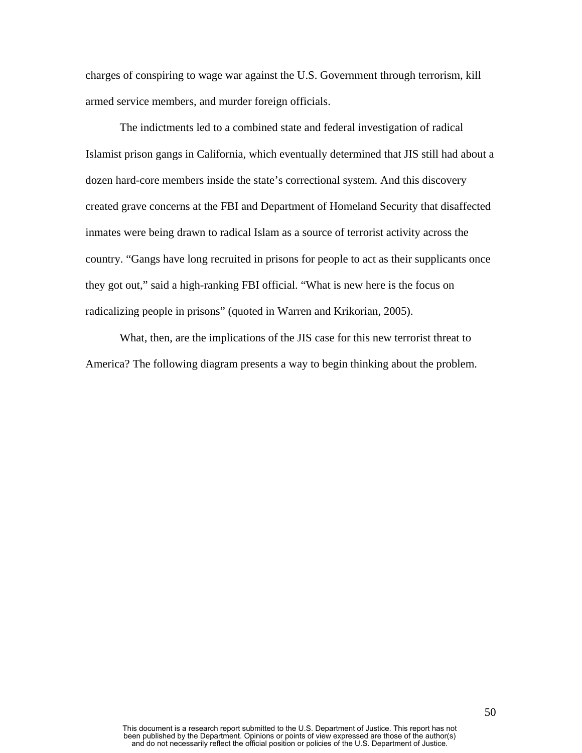charges of conspiring to wage war against the U.S. Government through terrorism, kill armed service members, and murder foreign officials.

The indictments led to a combined state and federal investigation of radical Islamist prison gangs in California, which eventually determined that JIS still had about a dozen hard-core members inside the state's correctional system. And this discovery created grave concerns at the FBI and Department of Homeland Security that disaffected inmates were being drawn to radical Islam as a source of terrorist activity across the country. "Gangs have long recruited in prisons for people to act as their supplicants once they got out," said a high-ranking FBI official. "What is new here is the focus on radicalizing people in prisons" (quoted in Warren and Krikorian, 2005).

What, then, are the implications of the JIS case for this new terrorist threat to America? The following diagram presents a way to begin thinking about the problem.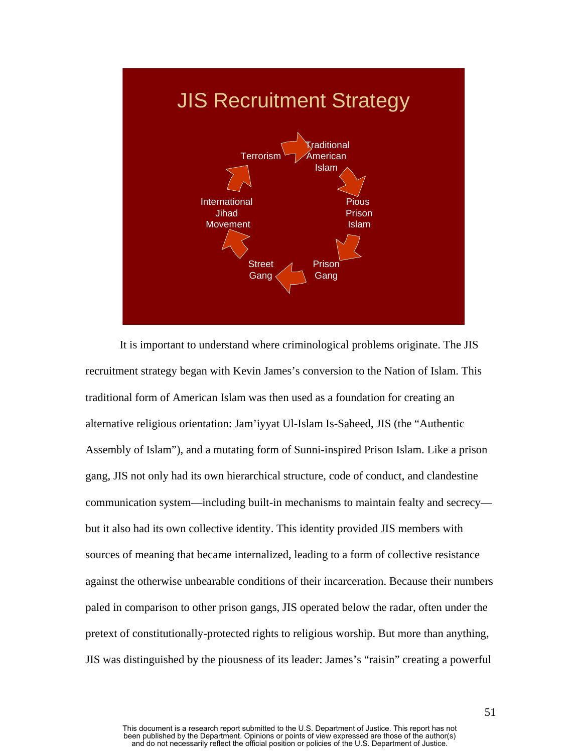

It is important to understand where criminological problems originate. The JIS recruitment strategy began with Kevin James's conversion to the Nation of Islam. This traditional form of American Islam was then used as a foundation for creating an alternative religious orientation: Jam'iyyat Ul-Islam Is-Saheed, JIS (the "Authentic Assembly of Islam"), and a mutating form of Sunni-inspired Prison Islam. Like a prison gang, JIS not only had its own hierarchical structure, code of conduct, and clandestine communication system—including built-in mechanisms to maintain fealty and secrecy but it also had its own collective identity. This identity provided JIS members with sources of meaning that became internalized, leading to a form of collective resistance against the otherwise unbearable conditions of their incarceration. Because their numbers paled in comparison to other prison gangs, JIS operated below the radar, often under the pretext of constitutionally-protected rights to religious worship. But more than anything, JIS was distinguished by the piousness of its leader: James's "raisin" creating a powerful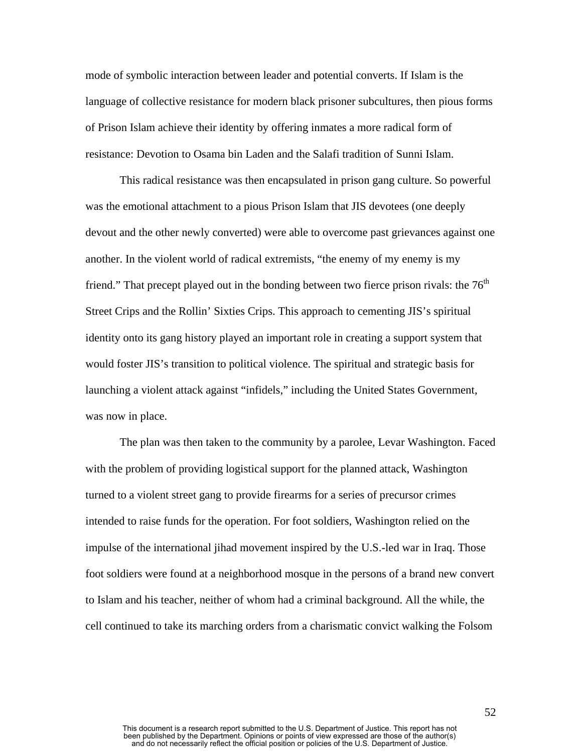mode of symbolic interaction between leader and potential converts. If Islam is the language of collective resistance for modern black prisoner subcultures, then pious forms of Prison Islam achieve their identity by offering inmates a more radical form of resistance: Devotion to Osama bin Laden and the Salafi tradition of Sunni Islam.

This radical resistance was then encapsulated in prison gang culture. So powerful was the emotional attachment to a pious Prison Islam that JIS devotees (one deeply devout and the other newly converted) were able to overcome past grievances against one another. In the violent world of radical extremists, "the enemy of my enemy is my friend." That precept played out in the bonding between two fierce prison rivals: the  $76<sup>th</sup>$ Street Crips and the Rollin' Sixties Crips. This approach to cementing JIS's spiritual identity onto its gang history played an important role in creating a support system that would foster JIS's transition to political violence. The spiritual and strategic basis for launching a violent attack against "infidels," including the United States Government, was now in place.

The plan was then taken to the community by a parolee, Levar Washington. Faced with the problem of providing logistical support for the planned attack, Washington turned to a violent street gang to provide firearms for a series of precursor crimes intended to raise funds for the operation. For foot soldiers, Washington relied on the impulse of the international jihad movement inspired by the U.S.-led war in Iraq. Those foot soldiers were found at a neighborhood mosque in the persons of a brand new convert to Islam and his teacher, neither of whom had a criminal background. All the while, the cell continued to take its marching orders from a charismatic convict walking the Folsom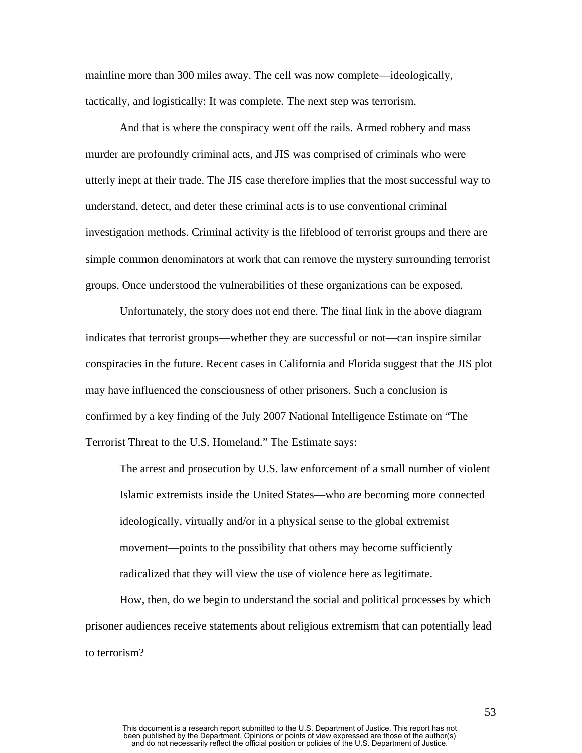mainline more than 300 miles away. The cell was now complete—ideologically, tactically, and logistically: It was complete. The next step was terrorism.

And that is where the conspiracy went off the rails. Armed robbery and mass murder are profoundly criminal acts, and JIS was comprised of criminals who were utterly inept at their trade. The JIS case therefore implies that the most successful way to understand, detect, and deter these criminal acts is to use conventional criminal investigation methods. Criminal activity is the lifeblood of terrorist groups and there are simple common denominators at work that can remove the mystery surrounding terrorist groups. Once understood the vulnerabilities of these organizations can be exposed.

Unfortunately, the story does not end there. The final link in the above diagram indicates that terrorist groups—whether they are successful or not—can inspire similar conspiracies in the future. Recent cases in California and Florida suggest that the JIS plot may have influenced the consciousness of other prisoners. Such a conclusion is confirmed by a key finding of the July 2007 National Intelligence Estimate on "The Terrorist Threat to the U.S. Homeland." The Estimate says:

The arrest and prosecution by U.S. law enforcement of a small number of violent Islamic extremists inside the United States—who are becoming more connected ideologically, virtually and/or in a physical sense to the global extremist movement—points to the possibility that others may become sufficiently radicalized that they will view the use of violence here as legitimate.

How, then, do we begin to understand the social and political processes by which prisoner audiences receive statements about religious extremism that can potentially lead to terrorism?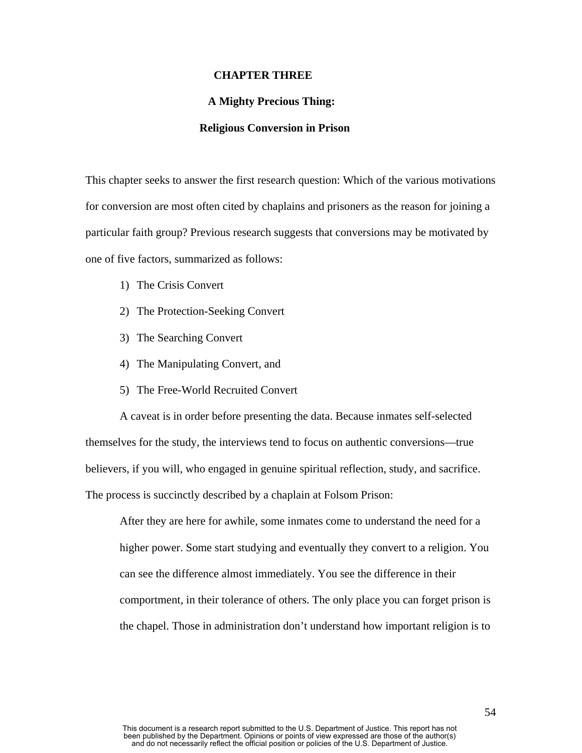### **CHAPTER THREE**

# **A Mighty Precious Thing:**

## **Religious Conversion in Prison**

This chapter seeks to answer the first research question: Which of the various motivations for conversion are most often cited by chaplains and prisoners as the reason for joining a particular faith group? Previous research suggests that conversions may be motivated by one of five factors, summarized as follows:

- 1) The Crisis Convert
- 2) The Protection-Seeking Convert
- 3) The Searching Convert
- 4) The Manipulating Convert, and
- 5) The Free-World Recruited Convert

A caveat is in order before presenting the data. Because inmates self-selected themselves for the study, the interviews tend to focus on authentic conversions—true believers, if you will, who engaged in genuine spiritual reflection, study, and sacrifice. The process is succinctly described by a chaplain at Folsom Prison:

After they are here for awhile, some inmates come to understand the need for a higher power. Some start studying and eventually they convert to a religion. You can see the difference almost immediately. You see the difference in their comportment, in their tolerance of others. The only place you can forget prison is the chapel. Those in administration don't understand how important religion is to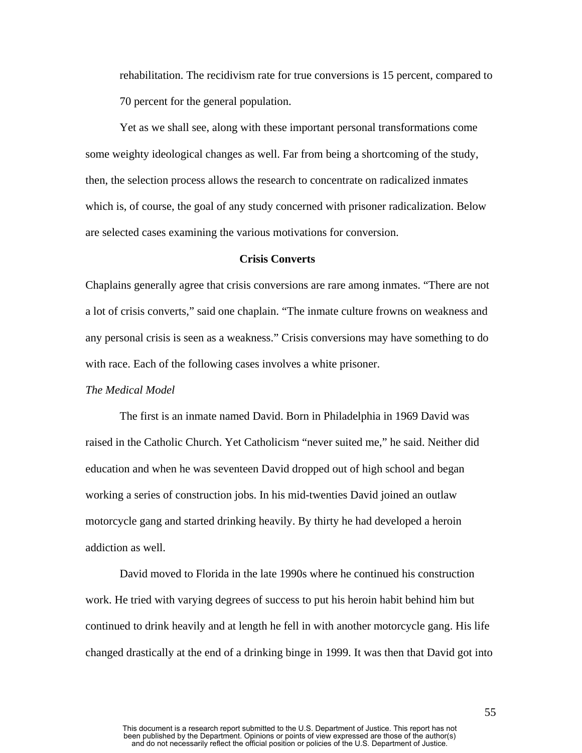rehabilitation. The recidivism rate for true conversions is 15 percent, compared to 70 percent for the general population.

Yet as we shall see, along with these important personal transformations come some weighty ideological changes as well. Far from being a shortcoming of the study, then, the selection process allows the research to concentrate on radicalized inmates which is, of course, the goal of any study concerned with prisoner radicalization. Below are selected cases examining the various motivations for conversion.

# **Crisis Converts**

Chaplains generally agree that crisis conversions are rare among inmates. "There are not a lot of crisis converts," said one chaplain. "The inmate culture frowns on weakness and any personal crisis is seen as a weakness." Crisis conversions may have something to do with race. Each of the following cases involves a white prisoner.

# *The Medical Model*

The first is an inmate named David. Born in Philadelphia in 1969 David was raised in the Catholic Church. Yet Catholicism "never suited me," he said. Neither did education and when he was seventeen David dropped out of high school and began working a series of construction jobs. In his mid-twenties David joined an outlaw motorcycle gang and started drinking heavily. By thirty he had developed a heroin addiction as well.

David moved to Florida in the late 1990s where he continued his construction work. He tried with varying degrees of success to put his heroin habit behind him but continued to drink heavily and at length he fell in with another motorcycle gang. His life changed drastically at the end of a drinking binge in 1999. It was then that David got into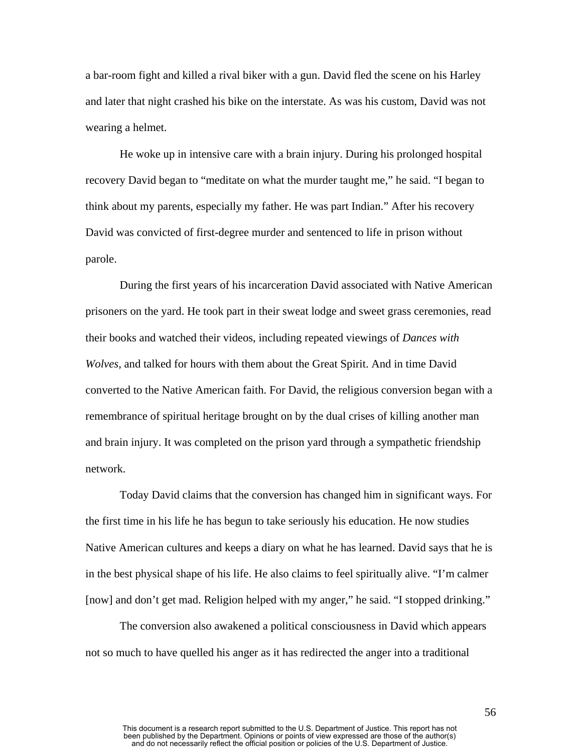a bar-room fight and killed a rival biker with a gun. David fled the scene on his Harley and later that night crashed his bike on the interstate. As was his custom, David was not wearing a helmet.

He woke up in intensive care with a brain injury. During his prolonged hospital recovery David began to "meditate on what the murder taught me," he said. "I began to think about my parents, especially my father. He was part Indian." After his recovery David was convicted of first-degree murder and sentenced to life in prison without parole.

During the first years of his incarceration David associated with Native American prisoners on the yard. He took part in their sweat lodge and sweet grass ceremonies, read their books and watched their videos, including repeated viewings of *Dances with Wolves,* and talked for hours with them about the Great Spirit. And in time David converted to the Native American faith. For David, the religious conversion began with a remembrance of spiritual heritage brought on by the dual crises of killing another man and brain injury. It was completed on the prison yard through a sympathetic friendship network.

Today David claims that the conversion has changed him in significant ways. For the first time in his life he has begun to take seriously his education. He now studies Native American cultures and keeps a diary on what he has learned. David says that he is in the best physical shape of his life. He also claims to feel spiritually alive. "I'm calmer [now] and don't get mad. Religion helped with my anger," he said. "I stopped drinking."

The conversion also awakened a political consciousness in David which appears not so much to have quelled his anger as it has redirected the anger into a traditional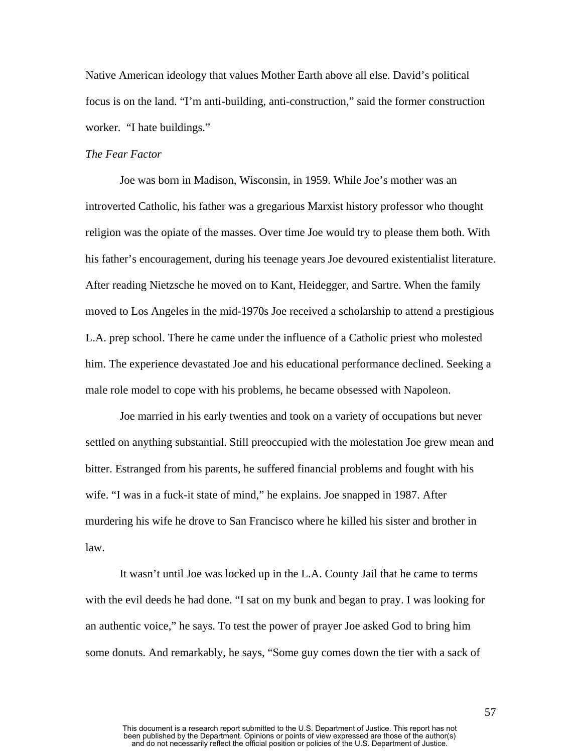Native American ideology that values Mother Earth above all else. David's political focus is on the land. "I'm anti-building, anti-construction," said the former construction worker. "I hate buildings."

### *The Fear Factor*

Joe was born in Madison, Wisconsin, in 1959. While Joe's mother was an introverted Catholic, his father was a gregarious Marxist history professor who thought religion was the opiate of the masses. Over time Joe would try to please them both. With his father's encouragement, during his teenage years Joe devoured existentialist literature. After reading Nietzsche he moved on to Kant, Heidegger, and Sartre. When the family moved to Los Angeles in the mid-1970s Joe received a scholarship to attend a prestigious L.A. prep school. There he came under the influence of a Catholic priest who molested him. The experience devastated Joe and his educational performance declined. Seeking a male role model to cope with his problems, he became obsessed with Napoleon.

Joe married in his early twenties and took on a variety of occupations but never settled on anything substantial. Still preoccupied with the molestation Joe grew mean and bitter. Estranged from his parents, he suffered financial problems and fought with his wife. "I was in a fuck-it state of mind," he explains. Joe snapped in 1987. After murdering his wife he drove to San Francisco where he killed his sister and brother in law.

It wasn't until Joe was locked up in the L.A. County Jail that he came to terms with the evil deeds he had done. "I sat on my bunk and began to pray. I was looking for an authentic voice," he says. To test the power of prayer Joe asked God to bring him some donuts. And remarkably, he says, "Some guy comes down the tier with a sack of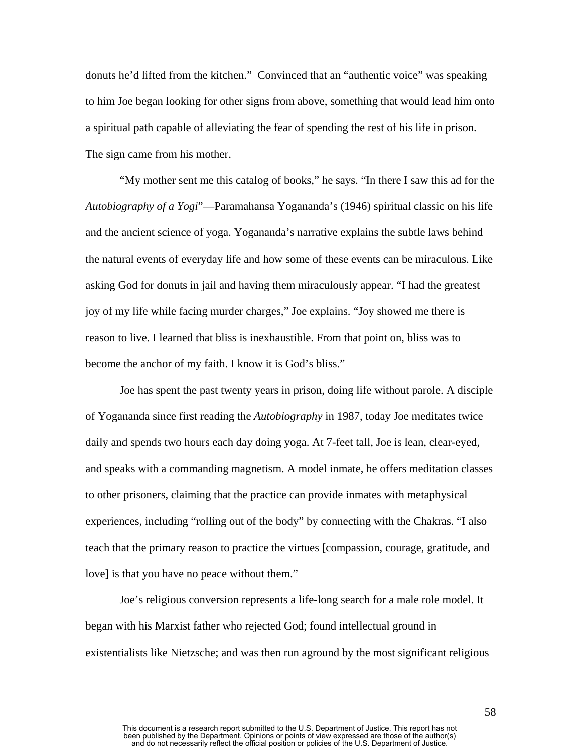donuts he'd lifted from the kitchen." Convinced that an "authentic voice" was speaking to him Joe began looking for other signs from above, something that would lead him onto a spiritual path capable of alleviating the fear of spending the rest of his life in prison. The sign came from his mother.

"My mother sent me this catalog of books," he says. "In there I saw this ad for the *Autobiography of a Yogi*"—Paramahansa Yogananda's (1946) spiritual classic on his life and the ancient science of yoga. Yogananda's narrative explains the subtle laws behind the natural events of everyday life and how some of these events can be miraculous. Like asking God for donuts in jail and having them miraculously appear. "I had the greatest joy of my life while facing murder charges," Joe explains. "Joy showed me there is reason to live. I learned that bliss is inexhaustible. From that point on, bliss was to become the anchor of my faith. I know it is God's bliss."

Joe has spent the past twenty years in prison, doing life without parole. A disciple of Yogananda since first reading the *Autobiography* in 1987, today Joe meditates twice daily and spends two hours each day doing yoga. At 7-feet tall, Joe is lean, clear-eyed, and speaks with a commanding magnetism. A model inmate, he offers meditation classes to other prisoners, claiming that the practice can provide inmates with metaphysical experiences, including "rolling out of the body" by connecting with the Chakras. "I also teach that the primary reason to practice the virtues [compassion, courage, gratitude, and love] is that you have no peace without them."

Joe's religious conversion represents a life-long search for a male role model. It began with his Marxist father who rejected God; found intellectual ground in existentialists like Nietzsche; and was then run aground by the most significant religious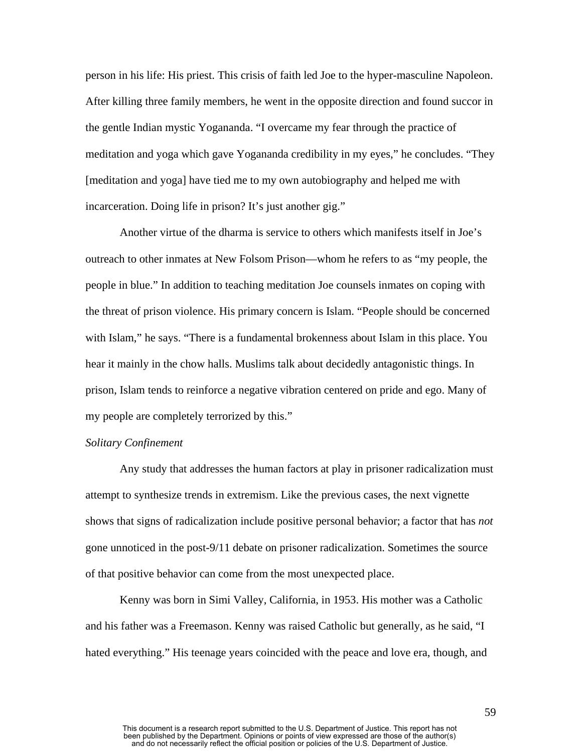person in his life: His priest. This crisis of faith led Joe to the hyper-masculine Napoleon. After killing three family members, he went in the opposite direction and found succor in the gentle Indian mystic Yogananda. "I overcame my fear through the practice of meditation and yoga which gave Yogananda credibility in my eyes," he concludes. "They [meditation and yoga] have tied me to my own autobiography and helped me with incarceration. Doing life in prison? It's just another gig."

Another virtue of the dharma is service to others which manifests itself in Joe's outreach to other inmates at New Folsom Prison—whom he refers to as "my people, the people in blue." In addition to teaching meditation Joe counsels inmates on coping with the threat of prison violence. His primary concern is Islam. "People should be concerned with Islam," he says. "There is a fundamental brokenness about Islam in this place. You hear it mainly in the chow halls. Muslims talk about decidedly antagonistic things. In prison, Islam tends to reinforce a negative vibration centered on pride and ego. Many of my people are completely terrorized by this."

## *Solitary Confinement*

 Any study that addresses the human factors at play in prisoner radicalization must attempt to synthesize trends in extremism. Like the previous cases, the next vignette shows that signs of radicalization include positive personal behavior; a factor that has *not* gone unnoticed in the post-9/11 debate on prisoner radicalization. Sometimes the source of that positive behavior can come from the most unexpected place.

Kenny was born in Simi Valley, California, in 1953. His mother was a Catholic and his father was a Freemason. Kenny was raised Catholic but generally, as he said, "I hated everything." His teenage years coincided with the peace and love era, though, and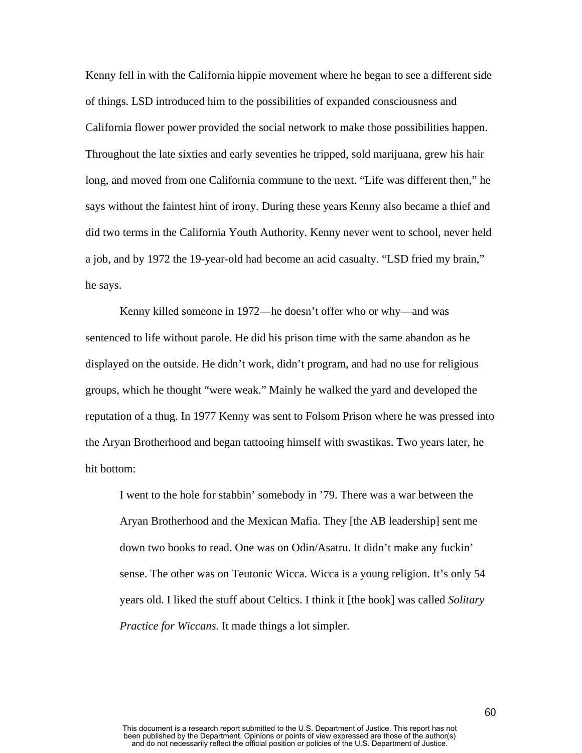Kenny fell in with the California hippie movement where he began to see a different side of things. LSD introduced him to the possibilities of expanded consciousness and California flower power provided the social network to make those possibilities happen. Throughout the late sixties and early seventies he tripped, sold marijuana, grew his hair long, and moved from one California commune to the next. "Life was different then," he says without the faintest hint of irony. During these years Kenny also became a thief and did two terms in the California Youth Authority. Kenny never went to school, never held a job, and by 1972 the 19-year-old had become an acid casualty. "LSD fried my brain," he says.

Kenny killed someone in 1972—he doesn't offer who or why—and was sentenced to life without parole. He did his prison time with the same abandon as he displayed on the outside. He didn't work, didn't program, and had no use for religious groups, which he thought "were weak." Mainly he walked the yard and developed the reputation of a thug. In 1977 Kenny was sent to Folsom Prison where he was pressed into the Aryan Brotherhood and began tattooing himself with swastikas. Two years later, he hit bottom:

I went to the hole for stabbin' somebody in '79. There was a war between the Aryan Brotherhood and the Mexican Mafia. They [the AB leadership] sent me down two books to read. One was on Odin/Asatru. It didn't make any fuckin' sense. The other was on Teutonic Wicca. Wicca is a young religion. It's only 54 years old. I liked the stuff about Celtics. I think it [the book] was called *Solitary Practice for Wiccans*. It made things a lot simpler.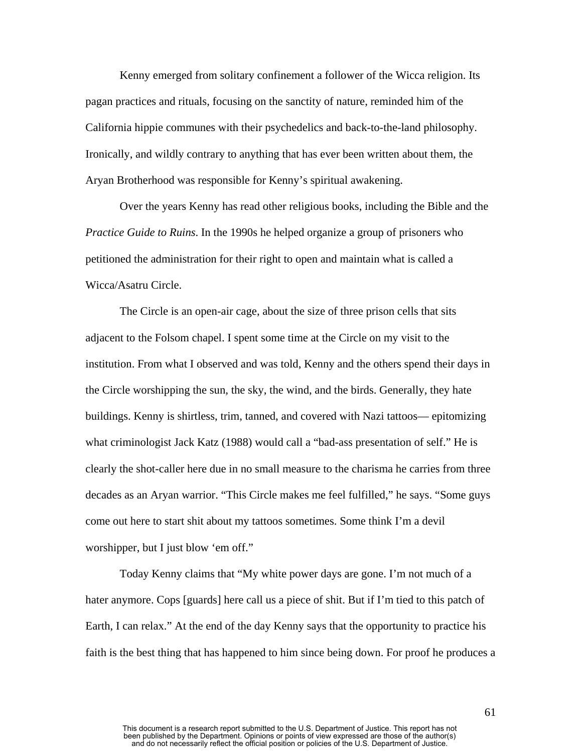Kenny emerged from solitary confinement a follower of the Wicca religion. Its pagan practices and rituals, focusing on the sanctity of nature, reminded him of the California hippie communes with their psychedelics and back-to-the-land philosophy. Ironically, and wildly contrary to anything that has ever been written about them, the Aryan Brotherhood was responsible for Kenny's spiritual awakening.

Over the years Kenny has read other religious books, including the Bible and the *Practice Guide to Ruins*. In the 1990s he helped organize a group of prisoners who petitioned the administration for their right to open and maintain what is called a Wicca/Asatru Circle.

The Circle is an open-air cage, about the size of three prison cells that sits adjacent to the Folsom chapel. I spent some time at the Circle on my visit to the institution. From what I observed and was told, Kenny and the others spend their days in the Circle worshipping the sun, the sky, the wind, and the birds. Generally, they hate buildings. Kenny is shirtless, trim, tanned, and covered with Nazi tattoos— epitomizing what criminologist Jack Katz (1988) would call a "bad-ass presentation of self." He is clearly the shot-caller here due in no small measure to the charisma he carries from three decades as an Aryan warrior. "This Circle makes me feel fulfilled," he says. "Some guys come out here to start shit about my tattoos sometimes. Some think I'm a devil worshipper, but I just blow 'em off."

Today Kenny claims that "My white power days are gone. I'm not much of a hater anymore. Cops [guards] here call us a piece of shit. But if I'm tied to this patch of Earth, I can relax." At the end of the day Kenny says that the opportunity to practice his faith is the best thing that has happened to him since being down. For proof he produces a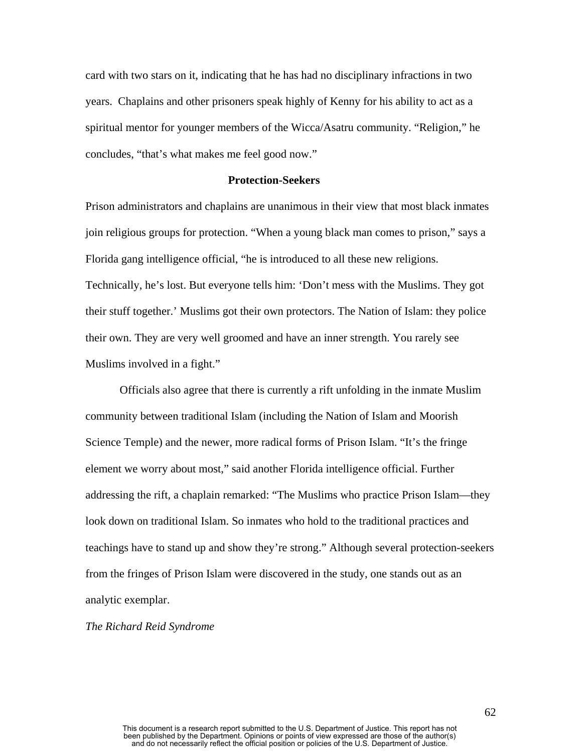card with two stars on it, indicating that he has had no disciplinary infractions in two years. Chaplains and other prisoners speak highly of Kenny for his ability to act as a spiritual mentor for younger members of the Wicca/Asatru community. "Religion," he concludes, "that's what makes me feel good now."

## **Protection-Seekers**

Prison administrators and chaplains are unanimous in their view that most black inmates join religious groups for protection. "When a young black man comes to prison," says a Florida gang intelligence official, "he is introduced to all these new religions. Technically, he's lost. But everyone tells him: 'Don't mess with the Muslims. They got their stuff together.' Muslims got their own protectors. The Nation of Islam: they police their own. They are very well groomed and have an inner strength. You rarely see Muslims involved in a fight."

Officials also agree that there is currently a rift unfolding in the inmate Muslim community between traditional Islam (including the Nation of Islam and Moorish Science Temple) and the newer, more radical forms of Prison Islam. "It's the fringe element we worry about most," said another Florida intelligence official. Further addressing the rift, a chaplain remarked: "The Muslims who practice Prison Islam—they look down on traditional Islam. So inmates who hold to the traditional practices and teachings have to stand up and show they're strong." Although several protection-seekers from the fringes of Prison Islam were discovered in the study, one stands out as an analytic exemplar.

*The Richard Reid Syndrome*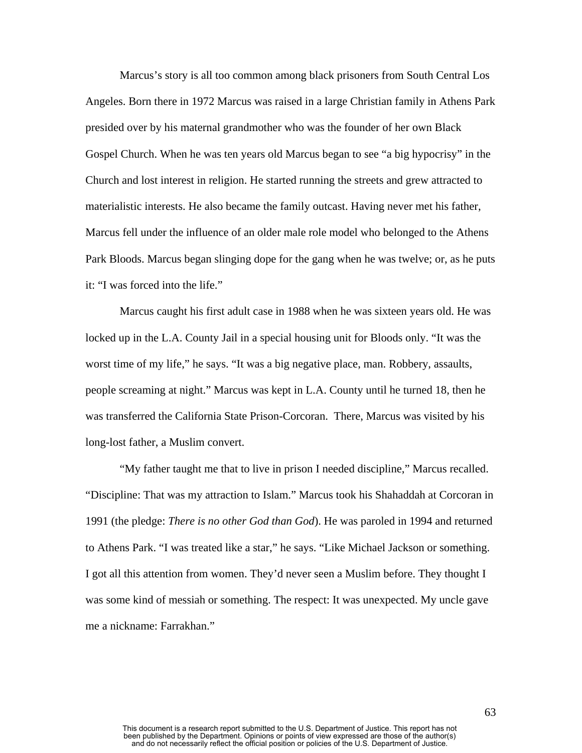Marcus's story is all too common among black prisoners from South Central Los Angeles. Born there in 1972 Marcus was raised in a large Christian family in Athens Park presided over by his maternal grandmother who was the founder of her own Black Gospel Church. When he was ten years old Marcus began to see "a big hypocrisy" in the Church and lost interest in religion. He started running the streets and grew attracted to materialistic interests. He also became the family outcast. Having never met his father, Marcus fell under the influence of an older male role model who belonged to the Athens Park Bloods. Marcus began slinging dope for the gang when he was twelve; or, as he puts it: "I was forced into the life."

Marcus caught his first adult case in 1988 when he was sixteen years old. He was locked up in the L.A. County Jail in a special housing unit for Bloods only. "It was the worst time of my life," he says. "It was a big negative place, man. Robbery, assaults, people screaming at night." Marcus was kept in L.A. County until he turned 18, then he was transferred the California State Prison-Corcoran. There, Marcus was visited by his long-lost father, a Muslim convert.

"My father taught me that to live in prison I needed discipline," Marcus recalled. "Discipline: That was my attraction to Islam." Marcus took his Shahaddah at Corcoran in 1991 (the pledge: *There is no other God than God*). He was paroled in 1994 and returned to Athens Park. "I was treated like a star," he says. "Like Michael Jackson or something. I got all this attention from women. They'd never seen a Muslim before. They thought I was some kind of messiah or something. The respect: It was unexpected. My uncle gave me a nickname: Farrakhan."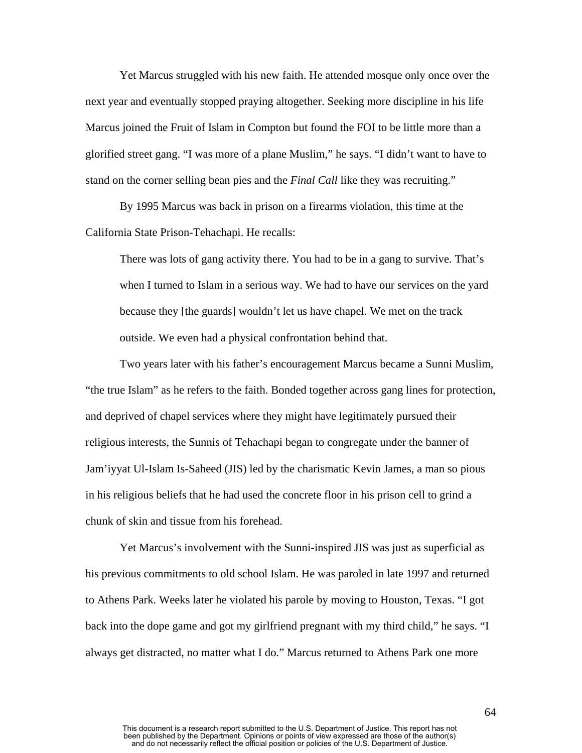Yet Marcus struggled with his new faith. He attended mosque only once over the next year and eventually stopped praying altogether. Seeking more discipline in his life Marcus joined the Fruit of Islam in Compton but found the FOI to be little more than a glorified street gang. "I was more of a plane Muslim," he says. "I didn't want to have to stand on the corner selling bean pies and the *Final Call* like they was recruiting."

By 1995 Marcus was back in prison on a firearms violation, this time at the California State Prison-Tehachapi. He recalls:

There was lots of gang activity there. You had to be in a gang to survive. That's when I turned to Islam in a serious way. We had to have our services on the yard because they [the guards] wouldn't let us have chapel. We met on the track outside. We even had a physical confrontation behind that.

Two years later with his father's encouragement Marcus became a Sunni Muslim, "the true Islam" as he refers to the faith. Bonded together across gang lines for protection, and deprived of chapel services where they might have legitimately pursued their religious interests, the Sunnis of Tehachapi began to congregate under the banner of Jam'iyyat Ul-Islam Is-Saheed (JIS) led by the charismatic Kevin James, a man so pious in his religious beliefs that he had used the concrete floor in his prison cell to grind a chunk of skin and tissue from his forehead.

Yet Marcus's involvement with the Sunni-inspired JIS was just as superficial as his previous commitments to old school Islam. He was paroled in late 1997 and returned to Athens Park. Weeks later he violated his parole by moving to Houston, Texas. "I got back into the dope game and got my girlfriend pregnant with my third child," he says. "I always get distracted, no matter what I do." Marcus returned to Athens Park one more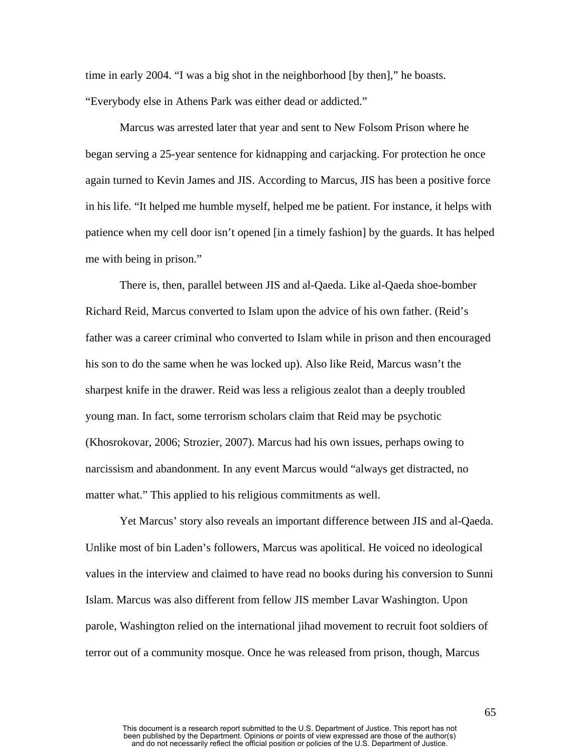time in early 2004. "I was a big shot in the neighborhood [by then]," he boasts. "Everybody else in Athens Park was either dead or addicted."

Marcus was arrested later that year and sent to New Folsom Prison where he began serving a 25-year sentence for kidnapping and carjacking. For protection he once again turned to Kevin James and JIS. According to Marcus, JIS has been a positive force in his life. "It helped me humble myself, helped me be patient. For instance, it helps with patience when my cell door isn't opened [in a timely fashion] by the guards. It has helped me with being in prison."

There is, then, parallel between JIS and al-Qaeda. Like al-Qaeda shoe-bomber Richard Reid, Marcus converted to Islam upon the advice of his own father. (Reid's father was a career criminal who converted to Islam while in prison and then encouraged his son to do the same when he was locked up). Also like Reid, Marcus wasn't the sharpest knife in the drawer. Reid was less a religious zealot than a deeply troubled young man. In fact, some terrorism scholars claim that Reid may be psychotic (Khosrokovar, 2006; Strozier, 2007). Marcus had his own issues, perhaps owing to narcissism and abandonment. In any event Marcus would "always get distracted, no matter what." This applied to his religious commitments as well.

Yet Marcus' story also reveals an important difference between JIS and al-Qaeda. Unlike most of bin Laden's followers, Marcus was apolitical. He voiced no ideological values in the interview and claimed to have read no books during his conversion to Sunni Islam. Marcus was also different from fellow JIS member Lavar Washington. Upon parole, Washington relied on the international jihad movement to recruit foot soldiers of terror out of a community mosque. Once he was released from prison, though, Marcus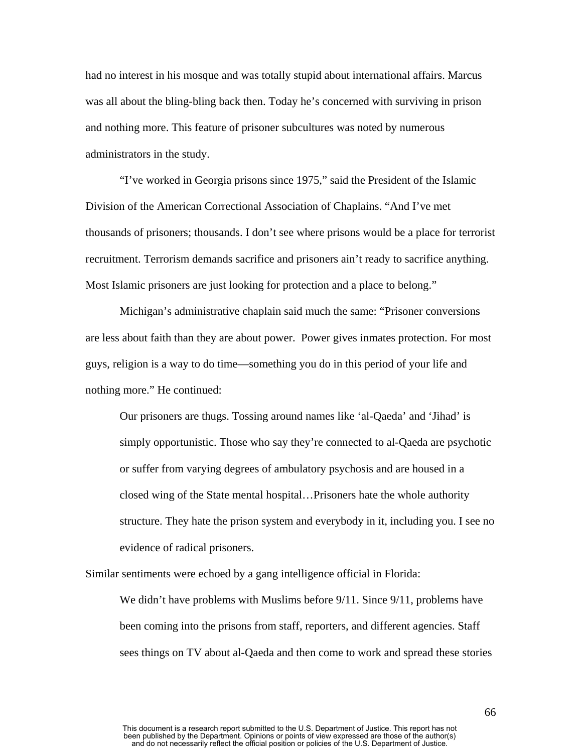had no interest in his mosque and was totally stupid about international affairs. Marcus was all about the bling-bling back then. Today he's concerned with surviving in prison and nothing more. This feature of prisoner subcultures was noted by numerous administrators in the study.

"I've worked in Georgia prisons since 1975," said the President of the Islamic Division of the American Correctional Association of Chaplains. "And I've met thousands of prisoners; thousands. I don't see where prisons would be a place for terrorist recruitment. Terrorism demands sacrifice and prisoners ain't ready to sacrifice anything. Most Islamic prisoners are just looking for protection and a place to belong."

Michigan's administrative chaplain said much the same: "Prisoner conversions are less about faith than they are about power. Power gives inmates protection. For most guys, religion is a way to do time—something you do in this period of your life and nothing more." He continued:

Our prisoners are thugs. Tossing around names like 'al-Qaeda' and 'Jihad' is simply opportunistic. Those who say they're connected to al-Qaeda are psychotic or suffer from varying degrees of ambulatory psychosis and are housed in a closed wing of the State mental hospital…Prisoners hate the whole authority structure. They hate the prison system and everybody in it, including you. I see no evidence of radical prisoners.

Similar sentiments were echoed by a gang intelligence official in Florida:

We didn't have problems with Muslims before  $9/11$ . Since  $9/11$ , problems have been coming into the prisons from staff, reporters, and different agencies. Staff sees things on TV about al-Qaeda and then come to work and spread these stories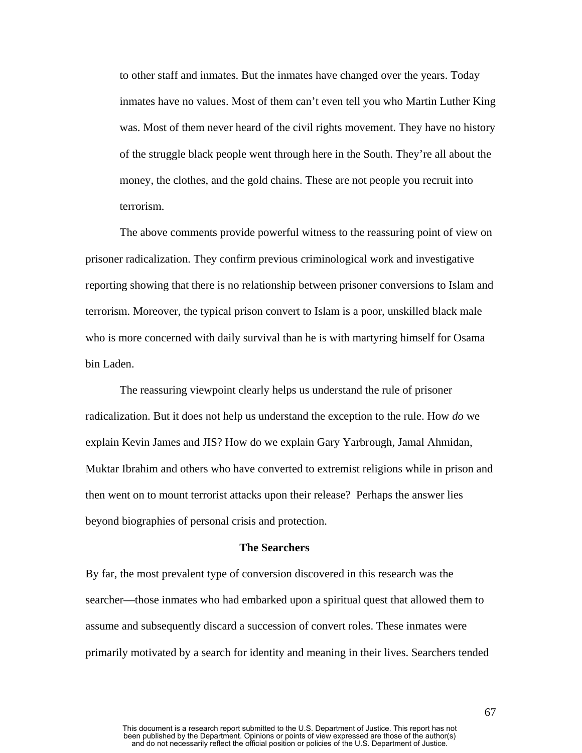to other staff and inmates. But the inmates have changed over the years. Today inmates have no values. Most of them can't even tell you who Martin Luther King was. Most of them never heard of the civil rights movement. They have no history of the struggle black people went through here in the South. They're all about the money, the clothes, and the gold chains. These are not people you recruit into terrorism.

The above comments provide powerful witness to the reassuring point of view on prisoner radicalization. They confirm previous criminological work and investigative reporting showing that there is no relationship between prisoner conversions to Islam and terrorism. Moreover, the typical prison convert to Islam is a poor, unskilled black male who is more concerned with daily survival than he is with martyring himself for Osama bin Laden.

The reassuring viewpoint clearly helps us understand the rule of prisoner radicalization. But it does not help us understand the exception to the rule. How *do* we explain Kevin James and JIS? How do we explain Gary Yarbrough, Jamal Ahmidan, Muktar Ibrahim and others who have converted to extremist religions while in prison and then went on to mount terrorist attacks upon their release? Perhaps the answer lies beyond biographies of personal crisis and protection.

#### **The Searchers**

By far, the most prevalent type of conversion discovered in this research was the searcher—those inmates who had embarked upon a spiritual quest that allowed them to assume and subsequently discard a succession of convert roles. These inmates were primarily motivated by a search for identity and meaning in their lives. Searchers tended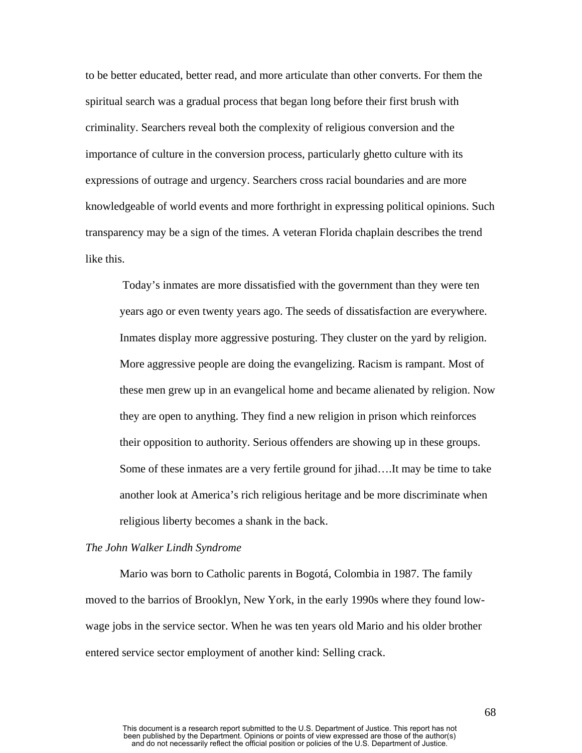to be better educated, better read, and more articulate than other converts. For them the spiritual search was a gradual process that began long before their first brush with criminality. Searchers reveal both the complexity of religious conversion and the importance of culture in the conversion process, particularly ghetto culture with its expressions of outrage and urgency. Searchers cross racial boundaries and are more knowledgeable of world events and more forthright in expressing political opinions. Such transparency may be a sign of the times. A veteran Florida chaplain describes the trend like this.

Today's inmates are more dissatisfied with the government than they were ten years ago or even twenty years ago. The seeds of dissatisfaction are everywhere. Inmates display more aggressive posturing. They cluster on the yard by religion. More aggressive people are doing the evangelizing. Racism is rampant. Most of these men grew up in an evangelical home and became alienated by religion. Now they are open to anything. They find a new religion in prison which reinforces their opposition to authority. Serious offenders are showing up in these groups. Some of these inmates are a very fertile ground for jihad….It may be time to take another look at America's rich religious heritage and be more discriminate when religious liberty becomes a shank in the back.

#### *The John Walker Lindh Syndrome*

Mario was born to Catholic parents in Bogotá, Colombia in 1987. The family moved to the barrios of Brooklyn, New York, in the early 1990s where they found lowwage jobs in the service sector. When he was ten years old Mario and his older brother entered service sector employment of another kind: Selling crack.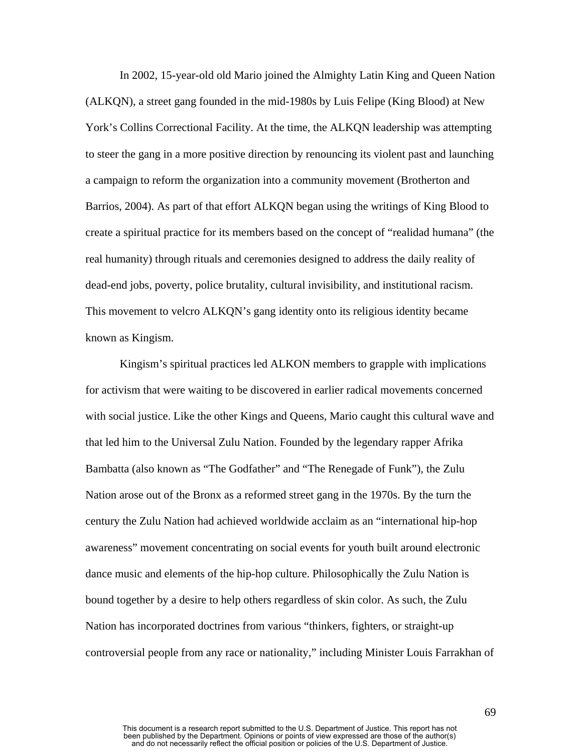In 2002, 15-year-old old Mario joined the Almighty Latin King and Queen Nation (ALKQN), a street gang founded in the mid-1980s by Luis Felipe (King Blood) at New York's Collins Correctional Facility. At the time, the ALKQN leadership was attempting to steer the gang in a more positive direction by renouncing its violent past and launching a campaign to reform the organization into a community movement (Brotherton and Barrios, 2004). As part of that effort ALKQN began using the writings of King Blood to create a spiritual practice for its members based on the concept of "realidad humana" (the real humanity) through rituals and ceremonies designed to address the daily reality of dead-end jobs, poverty, police brutality, cultural invisibility, and institutional racism. This movement to velcro ALKQN's gang identity onto its religious identity became known as Kingism.

Kingism's spiritual practices led ALKON members to grapple with implications for activism that were waiting to be discovered in earlier radical movements concerned with social justice. Like the other Kings and Queens, Mario caught this cultural wave and that led him to the Universal Zulu Nation. Founded by the legendary rapper Afrika Bambatta (also known as "The Godfather" and "The Renegade of Funk"), the Zulu Nation arose out of the Bronx as a reformed street gang in the 1970s. By the turn the century the Zulu Nation had achieved worldwide acclaim as an "international hip-hop awareness" movement concentrating on social events for youth built around electronic dance music and elements of the hip-hop culture. Philosophically the Zulu Nation is bound together by a desire to help others regardless of skin color. As such, the Zulu Nation has incorporated doctrines from various "thinkers, fighters, or straight-up controversial people from any race or nationality," including Minister Louis Farrakhan of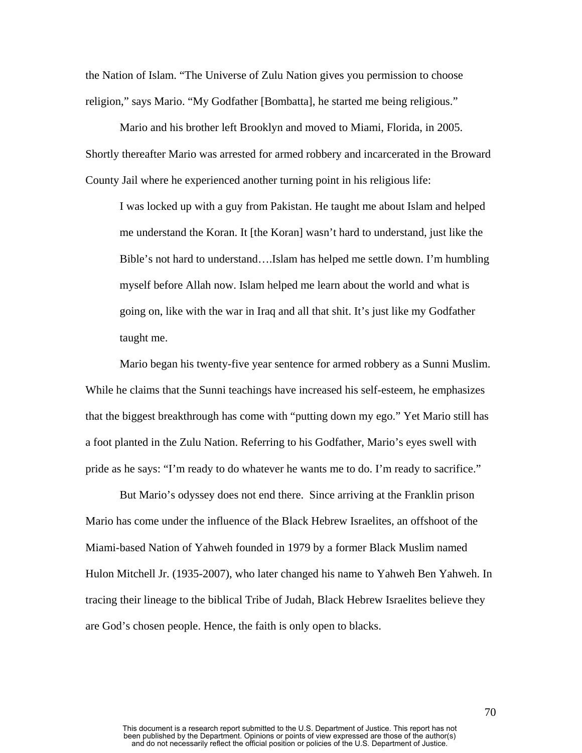the Nation of Islam. "The Universe of Zulu Nation gives you permission to choose religion," says Mario. "My Godfather [Bombatta], he started me being religious."

Mario and his brother left Brooklyn and moved to Miami, Florida, in 2005. Shortly thereafter Mario was arrested for armed robbery and incarcerated in the Broward County Jail where he experienced another turning point in his religious life:

I was locked up with a guy from Pakistan. He taught me about Islam and helped me understand the Koran. It [the Koran] wasn't hard to understand, just like the Bible's not hard to understand….Islam has helped me settle down. I'm humbling myself before Allah now. Islam helped me learn about the world and what is going on, like with the war in Iraq and all that shit. It's just like my Godfather taught me.

Mario began his twenty-five year sentence for armed robbery as a Sunni Muslim. While he claims that the Sunni teachings have increased his self-esteem, he emphasizes that the biggest breakthrough has come with "putting down my ego." Yet Mario still has a foot planted in the Zulu Nation. Referring to his Godfather, Mario's eyes swell with pride as he says: "I'm ready to do whatever he wants me to do. I'm ready to sacrifice."

But Mario's odyssey does not end there. Since arriving at the Franklin prison Mario has come under the influence of the Black Hebrew Israelites, an offshoot of the Miami-based Nation of Yahweh founded in 1979 by a former Black Muslim named Hulon Mitchell Jr. (1935-2007), who later changed his name to Yahweh Ben Yahweh. In tracing their lineage to the biblical Tribe of Judah, Black Hebrew Israelites believe they are God's chosen people. Hence, the faith is only open to blacks.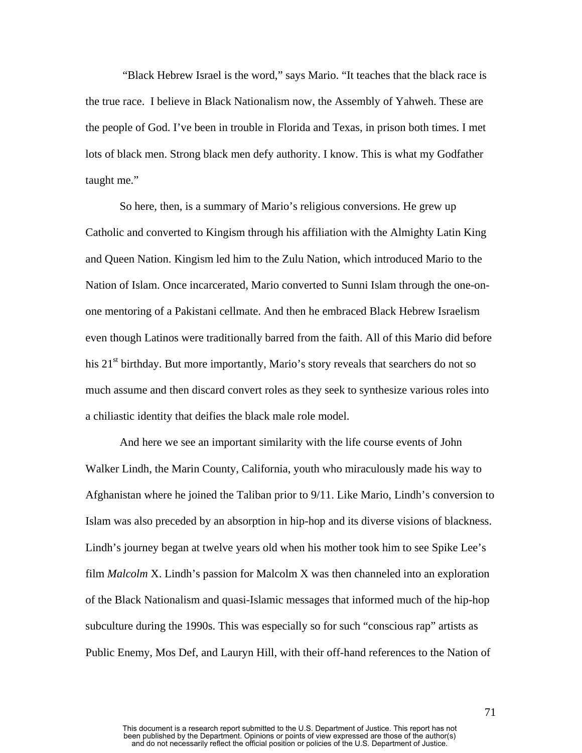"Black Hebrew Israel is the word," says Mario. "It teaches that the black race is the true race. I believe in Black Nationalism now, the Assembly of Yahweh. These are the people of God. I've been in trouble in Florida and Texas, in prison both times. I met lots of black men. Strong black men defy authority. I know. This is what my Godfather taught me."

So here, then, is a summary of Mario's religious conversions. He grew up Catholic and converted to Kingism through his affiliation with the Almighty Latin King and Queen Nation. Kingism led him to the Zulu Nation, which introduced Mario to the Nation of Islam. Once incarcerated, Mario converted to Sunni Islam through the one-onone mentoring of a Pakistani cellmate. And then he embraced Black Hebrew Israelism even though Latinos were traditionally barred from the faith. All of this Mario did before his  $21<sup>st</sup>$  birthday. But more importantly, Mario's story reveals that searchers do not so much assume and then discard convert roles as they seek to synthesize various roles into a chiliastic identity that deifies the black male role model.

And here we see an important similarity with the life course events of John Walker Lindh, the Marin County, California, youth who miraculously made his way to Afghanistan where he joined the Taliban prior to 9/11. Like Mario, Lindh's conversion to Islam was also preceded by an absorption in hip-hop and its diverse visions of blackness. Lindh's journey began at twelve years old when his mother took him to see Spike Lee's film *Malcolm* X. Lindh's passion for Malcolm X was then channeled into an exploration of the Black Nationalism and quasi-Islamic messages that informed much of the hip-hop subculture during the 1990s. This was especially so for such "conscious rap" artists as Public Enemy, Mos Def, and Lauryn Hill, with their off-hand references to the Nation of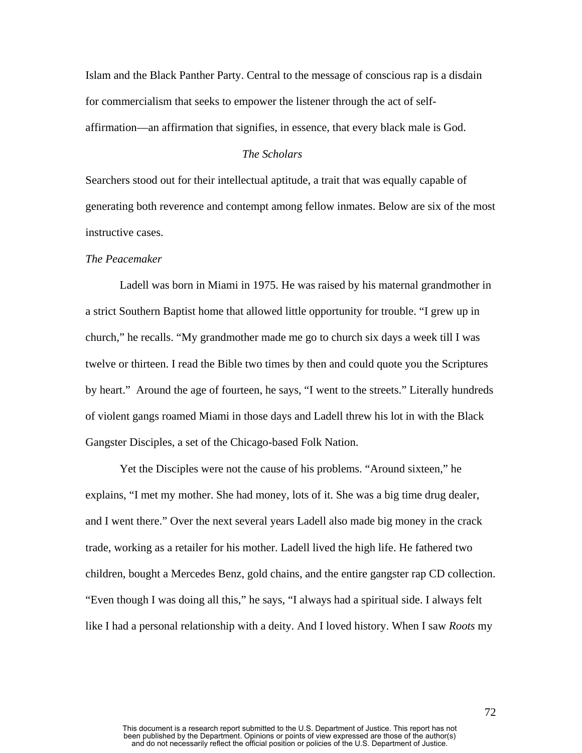Islam and the Black Panther Party. Central to the message of conscious rap is a disdain for commercialism that seeks to empower the listener through the act of selfaffirmation—an affirmation that signifies, in essence, that every black male is God.

# *The Scholars*

Searchers stood out for their intellectual aptitude, a trait that was equally capable of generating both reverence and contempt among fellow inmates. Below are six of the most instructive cases.

#### *The Peacemaker*

Ladell was born in Miami in 1975. He was raised by his maternal grandmother in a strict Southern Baptist home that allowed little opportunity for trouble. "I grew up in church," he recalls. "My grandmother made me go to church six days a week till I was twelve or thirteen. I read the Bible two times by then and could quote you the Scriptures by heart." Around the age of fourteen, he says, "I went to the streets." Literally hundreds of violent gangs roamed Miami in those days and Ladell threw his lot in with the Black Gangster Disciples, a set of the Chicago-based Folk Nation.

Yet the Disciples were not the cause of his problems. "Around sixteen," he explains, "I met my mother. She had money, lots of it. She was a big time drug dealer, and I went there." Over the next several years Ladell also made big money in the crack trade, working as a retailer for his mother. Ladell lived the high life. He fathered two children, bought a Mercedes Benz, gold chains, and the entire gangster rap CD collection. "Even though I was doing all this," he says, "I always had a spiritual side. I always felt like I had a personal relationship with a deity. And I loved history. When I saw *Roots* my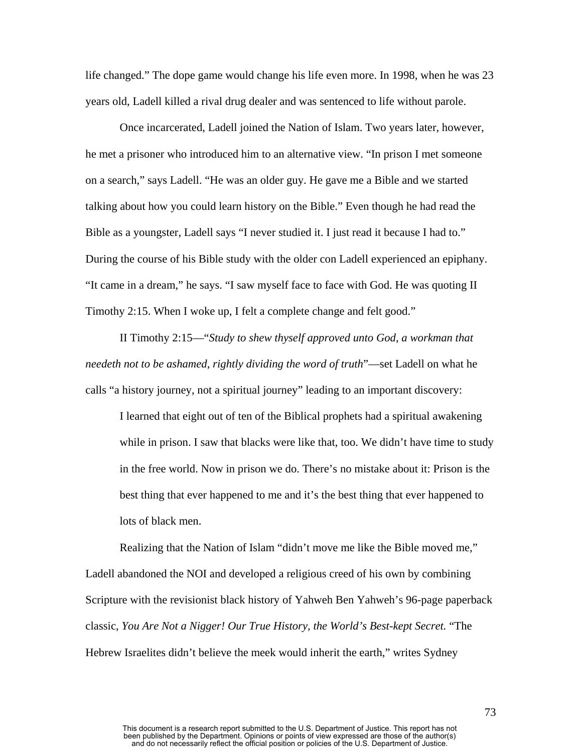life changed." The dope game would change his life even more. In 1998, when he was 23 years old, Ladell killed a rival drug dealer and was sentenced to life without parole.

Once incarcerated, Ladell joined the Nation of Islam. Two years later, however, he met a prisoner who introduced him to an alternative view. "In prison I met someone on a search," says Ladell. "He was an older guy. He gave me a Bible and we started talking about how you could learn history on the Bible." Even though he had read the Bible as a youngster, Ladell says "I never studied it. I just read it because I had to." During the course of his Bible study with the older con Ladell experienced an epiphany. "It came in a dream," he says. "I saw myself face to face with God. He was quoting II Timothy 2:15. When I woke up, I felt a complete change and felt good."

II Timothy 2:15—"*Study to shew thyself approved unto God*, *a workman that needeth not to be ashamed*, *rightly dividing the word of truth*"—set Ladell on what he calls "a history journey, not a spiritual journey" leading to an important discovery:

I learned that eight out of ten of the Biblical prophets had a spiritual awakening while in prison. I saw that blacks were like that, too. We didn't have time to study in the free world. Now in prison we do. There's no mistake about it: Prison is the best thing that ever happened to me and it's the best thing that ever happened to lots of black men.

Realizing that the Nation of Islam "didn't move me like the Bible moved me," Ladell abandoned the NOI and developed a religious creed of his own by combining Scripture with the revisionist black history of Yahweh Ben Yahweh's 96-page paperback classic, *You Are Not a Nigger! Our True History, the World's Best-kept Secret.* "The Hebrew Israelites didn't believe the meek would inherit the earth," writes Sydney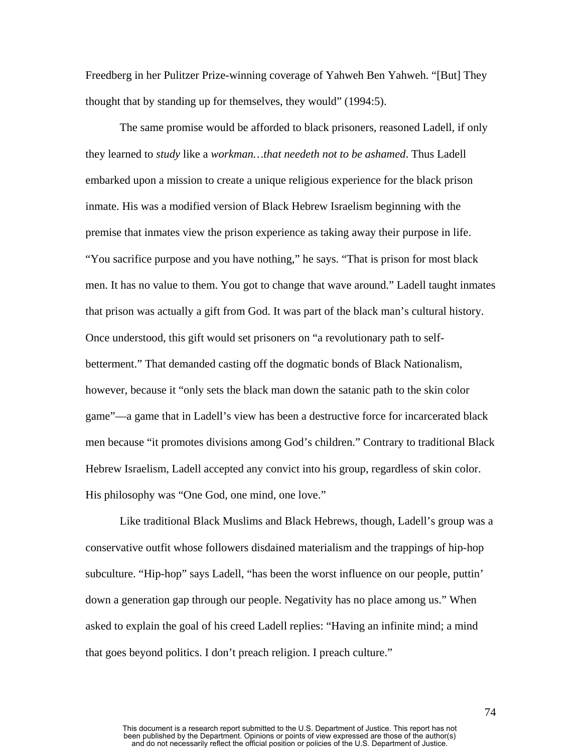Freedberg in her Pulitzer Prize-winning coverage of Yahweh Ben Yahweh. "[But] They thought that by standing up for themselves, they would" (1994:5).

The same promise would be afforded to black prisoners, reasoned Ladell, if only they learned to *study* like a *workman…that needeth not to be ashamed*. Thus Ladell embarked upon a mission to create a unique religious experience for the black prison inmate. His was a modified version of Black Hebrew Israelism beginning with the premise that inmates view the prison experience as taking away their purpose in life. "You sacrifice purpose and you have nothing," he says. "That is prison for most black men. It has no value to them. You got to change that wave around." Ladell taught inmates that prison was actually a gift from God. It was part of the black man's cultural history. Once understood, this gift would set prisoners on "a revolutionary path to selfbetterment." That demanded casting off the dogmatic bonds of Black Nationalism, however, because it "only sets the black man down the satanic path to the skin color game"—a game that in Ladell's view has been a destructive force for incarcerated black men because "it promotes divisions among God's children." Contrary to traditional Black Hebrew Israelism, Ladell accepted any convict into his group, regardless of skin color. His philosophy was "One God, one mind, one love."

Like traditional Black Muslims and Black Hebrews, though, Ladell's group was a conservative outfit whose followers disdained materialism and the trappings of hip-hop subculture. "Hip-hop" says Ladell, "has been the worst influence on our people, puttin' down a generation gap through our people. Negativity has no place among us." When asked to explain the goal of his creed Ladell replies: "Having an infinite mind; a mind that goes beyond politics. I don't preach religion. I preach culture."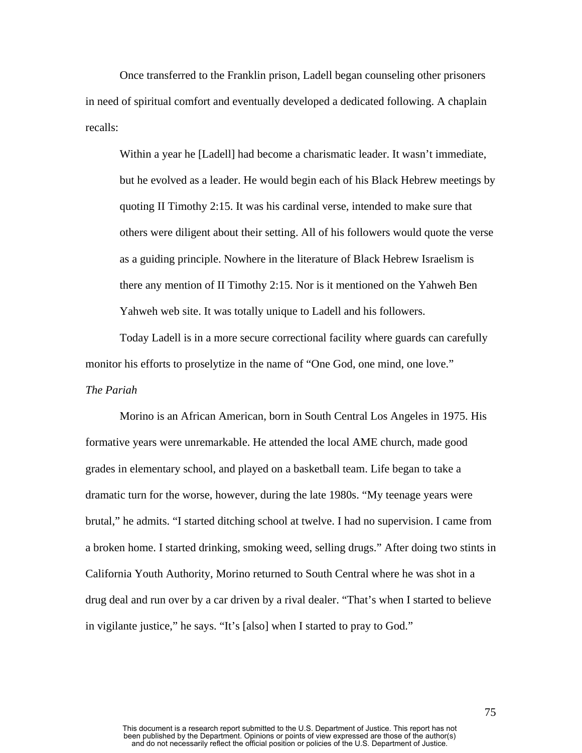Once transferred to the Franklin prison, Ladell began counseling other prisoners in need of spiritual comfort and eventually developed a dedicated following. A chaplain recalls:

Within a year he [Ladell] had become a charismatic leader. It wasn't immediate, but he evolved as a leader. He would begin each of his Black Hebrew meetings by quoting II Timothy 2:15. It was his cardinal verse, intended to make sure that others were diligent about their setting. All of his followers would quote the verse as a guiding principle. Nowhere in the literature of Black Hebrew Israelism is there any mention of II Timothy 2:15. Nor is it mentioned on the Yahweh Ben Yahweh web site. It was totally unique to Ladell and his followers.

Today Ladell is in a more secure correctional facility where guards can carefully monitor his efforts to proselytize in the name of "One God, one mind, one love." *The Pariah* 

Morino is an African American, born in South Central Los Angeles in 1975. His formative years were unremarkable. He attended the local AME church, made good grades in elementary school, and played on a basketball team. Life began to take a dramatic turn for the worse, however, during the late 1980s. "My teenage years were brutal," he admits. "I started ditching school at twelve. I had no supervision. I came from a broken home. I started drinking, smoking weed, selling drugs." After doing two stints in California Youth Authority, Morino returned to South Central where he was shot in a drug deal and run over by a car driven by a rival dealer. "That's when I started to believe in vigilante justice," he says. "It's [also] when I started to pray to God."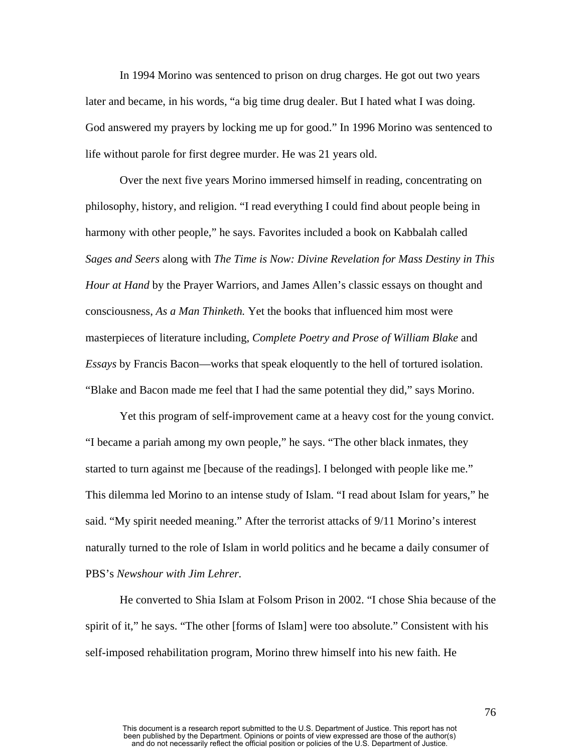In 1994 Morino was sentenced to prison on drug charges. He got out two years later and became, in his words, "a big time drug dealer. But I hated what I was doing. God answered my prayers by locking me up for good." In 1996 Morino was sentenced to life without parole for first degree murder. He was 21 years old.

Over the next five years Morino immersed himself in reading, concentrating on philosophy, history, and religion. "I read everything I could find about people being in harmony with other people," he says. Favorites included a book on Kabbalah called *Sages and Seers* along with *The Time is Now: Divine Revelation for Mass Destiny in This Hour at Hand* by the Prayer Warriors, and James Allen's classic essays on thought and consciousness, *As a Man Thinketh.* Yet the books that influenced him most were masterpieces of literature including, *Complete Poetry and Prose of William Blake* and *Essays* by Francis Bacon—works that speak eloquently to the hell of tortured isolation. "Blake and Bacon made me feel that I had the same potential they did," says Morino.

Yet this program of self-improvement came at a heavy cost for the young convict. "I became a pariah among my own people," he says. "The other black inmates, they started to turn against me [because of the readings]. I belonged with people like me." This dilemma led Morino to an intense study of Islam. "I read about Islam for years," he said. "My spirit needed meaning." After the terrorist attacks of 9/11 Morino's interest naturally turned to the role of Islam in world politics and he became a daily consumer of PBS's *Newshour with Jim Lehrer.* 

He converted to Shia Islam at Folsom Prison in 2002. "I chose Shia because of the spirit of it," he says. "The other [forms of Islam] were too absolute." Consistent with his self-imposed rehabilitation program, Morino threw himself into his new faith. He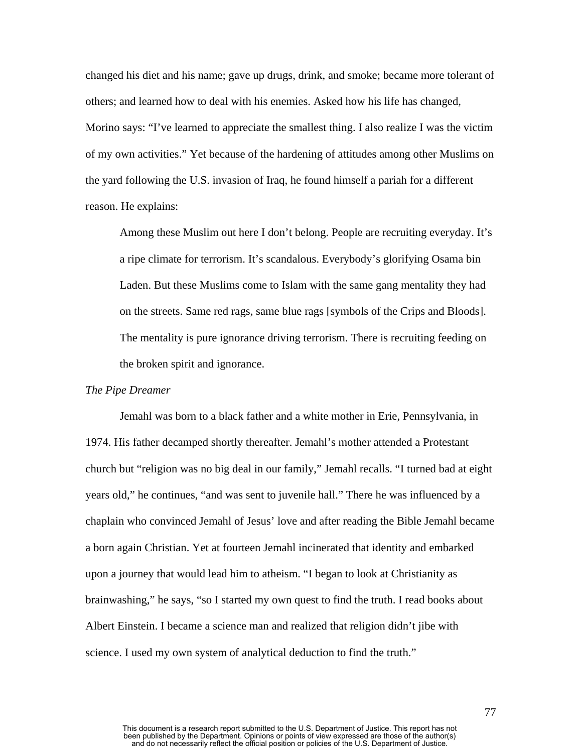changed his diet and his name; gave up drugs, drink, and smoke; became more tolerant of others; and learned how to deal with his enemies. Asked how his life has changed, Morino says: "I've learned to appreciate the smallest thing. I also realize I was the victim of my own activities." Yet because of the hardening of attitudes among other Muslims on the yard following the U.S. invasion of Iraq, he found himself a pariah for a different reason. He explains:

Among these Muslim out here I don't belong. People are recruiting everyday. It's a ripe climate for terrorism. It's scandalous. Everybody's glorifying Osama bin Laden. But these Muslims come to Islam with the same gang mentality they had on the streets. Same red rags, same blue rags [symbols of the Crips and Bloods]. The mentality is pure ignorance driving terrorism. There is recruiting feeding on the broken spirit and ignorance.

## *The Pipe Dreamer*

Jemahl was born to a black father and a white mother in Erie, Pennsylvania, in 1974. His father decamped shortly thereafter. Jemahl's mother attended a Protestant church but "religion was no big deal in our family," Jemahl recalls. "I turned bad at eight years old," he continues, "and was sent to juvenile hall." There he was influenced by a chaplain who convinced Jemahl of Jesus' love and after reading the Bible Jemahl became a born again Christian. Yet at fourteen Jemahl incinerated that identity and embarked upon a journey that would lead him to atheism. "I began to look at Christianity as brainwashing," he says, "so I started my own quest to find the truth. I read books about Albert Einstein. I became a science man and realized that religion didn't jibe with science. I used my own system of analytical deduction to find the truth."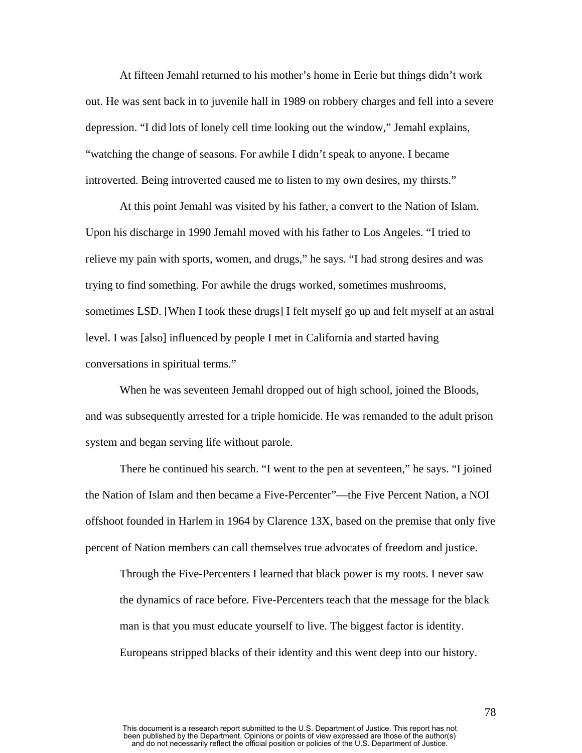At fifteen Jemahl returned to his mother's home in Eerie but things didn't work out. He was sent back in to juvenile hall in 1989 on robbery charges and fell into a severe depression. "I did lots of lonely cell time looking out the window," Jemahl explains, "watching the change of seasons. For awhile I didn't speak to anyone. I became introverted. Being introverted caused me to listen to my own desires, my thirsts."

At this point Jemahl was visited by his father, a convert to the Nation of Islam. Upon his discharge in 1990 Jemahl moved with his father to Los Angeles. "I tried to relieve my pain with sports, women, and drugs," he says. "I had strong desires and was trying to find something. For awhile the drugs worked, sometimes mushrooms, sometimes LSD. [When I took these drugs] I felt myself go up and felt myself at an astral level. I was [also] influenced by people I met in California and started having conversations in spiritual terms."

 When he was seventeen Jemahl dropped out of high school, joined the Bloods, and was subsequently arrested for a triple homicide. He was remanded to the adult prison system and began serving life without parole.

There he continued his search. "I went to the pen at seventeen," he says. "I joined the Nation of Islam and then became a Five-Percenter"—the Five Percent Nation, a NOI offshoot founded in Harlem in 1964 by Clarence 13X, based on the premise that only five percent of Nation members can call themselves true advocates of freedom and justice.

Through the Five-Percenters I learned that black power is my roots. I never saw the dynamics of race before. Five-Percenters teach that the message for the black man is that you must educate yourself to live. The biggest factor is identity. Europeans stripped blacks of their identity and this went deep into our history.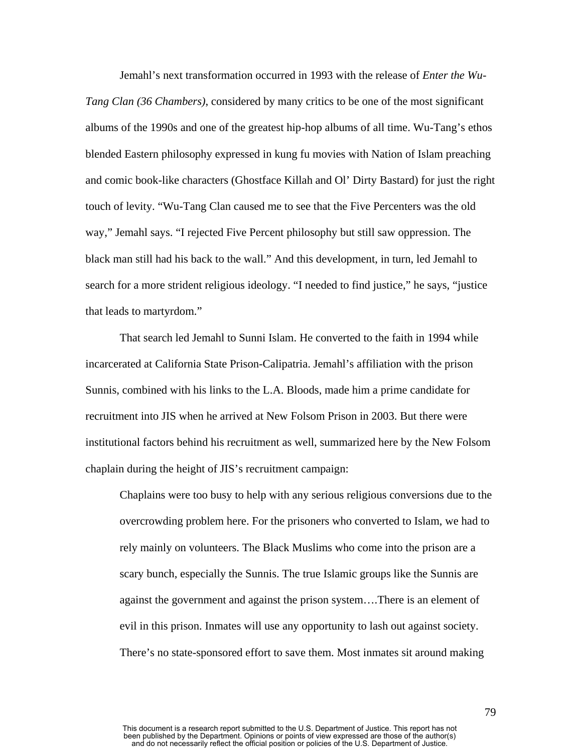Jemahl's next transformation occurred in 1993 with the release of *Enter the Wu-Tang Clan (36 Chambers)*, considered by many critics to be one of the most significant albums of the 1990s and one of the greatest hip-hop albums of all time. Wu-Tang's ethos blended Eastern philosophy expressed in kung fu movies with Nation of Islam preaching and comic book-like characters (Ghostface Killah and Ol' Dirty Bastard) for just the right touch of levity. "Wu-Tang Clan caused me to see that the Five Percenters was the old way," Jemahl says. "I rejected Five Percent philosophy but still saw oppression. The black man still had his back to the wall." And this development, in turn, led Jemahl to search for a more strident religious ideology. "I needed to find justice," he says, "justice that leads to martyrdom."

That search led Jemahl to Sunni Islam. He converted to the faith in 1994 while incarcerated at California State Prison-Calipatria. Jemahl's affiliation with the prison Sunnis, combined with his links to the L.A. Bloods, made him a prime candidate for recruitment into JIS when he arrived at New Folsom Prison in 2003. But there were institutional factors behind his recruitment as well, summarized here by the New Folsom chaplain during the height of JIS's recruitment campaign:

Chaplains were too busy to help with any serious religious conversions due to the overcrowding problem here. For the prisoners who converted to Islam, we had to rely mainly on volunteers. The Black Muslims who come into the prison are a scary bunch, especially the Sunnis. The true Islamic groups like the Sunnis are against the government and against the prison system….There is an element of evil in this prison. Inmates will use any opportunity to lash out against society. There's no state-sponsored effort to save them. Most inmates sit around making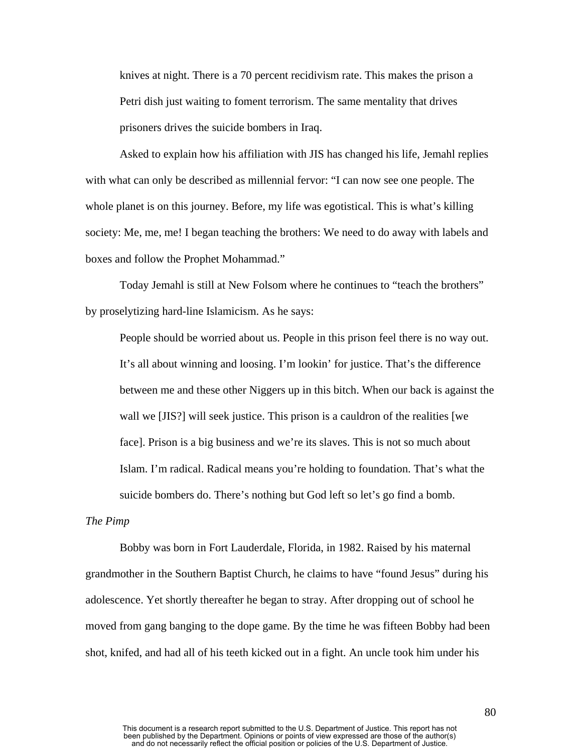knives at night. There is a 70 percent recidivism rate. This makes the prison a Petri dish just waiting to foment terrorism. The same mentality that drives prisoners drives the suicide bombers in Iraq.

Asked to explain how his affiliation with JIS has changed his life, Jemahl replies with what can only be described as millennial fervor: "I can now see one people. The whole planet is on this journey. Before, my life was egotistical. This is what's killing society: Me, me, me! I began teaching the brothers: We need to do away with labels and boxes and follow the Prophet Mohammad."

Today Jemahl is still at New Folsom where he continues to "teach the brothers" by proselytizing hard-line Islamicism. As he says:

People should be worried about us. People in this prison feel there is no way out. It's all about winning and loosing. I'm lookin' for justice. That's the difference between me and these other Niggers up in this bitch. When our back is against the wall we [JIS?] will seek justice. This prison is a cauldron of the realities [we face]. Prison is a big business and we're its slaves. This is not so much about Islam. I'm radical. Radical means you're holding to foundation. That's what the suicide bombers do. There's nothing but God left so let's go find a bomb.

## *The Pimp*

Bobby was born in Fort Lauderdale, Florida, in 1982. Raised by his maternal grandmother in the Southern Baptist Church, he claims to have "found Jesus" during his adolescence. Yet shortly thereafter he began to stray. After dropping out of school he moved from gang banging to the dope game. By the time he was fifteen Bobby had been shot, knifed, and had all of his teeth kicked out in a fight. An uncle took him under his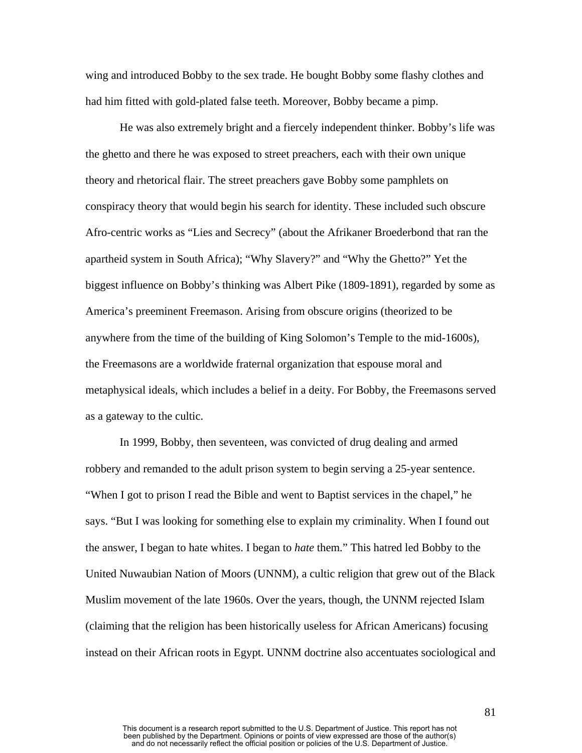wing and introduced Bobby to the sex trade. He bought Bobby some flashy clothes and had him fitted with gold-plated false teeth. Moreover, Bobby became a pimp.

He was also extremely bright and a fiercely independent thinker. Bobby's life was the ghetto and there he was exposed to street preachers, each with their own unique theory and rhetorical flair. The street preachers gave Bobby some pamphlets on conspiracy theory that would begin his search for identity. These included such obscure Afro-centric works as "Lies and Secrecy" (about the Afrikaner Broederbond that ran the apartheid system in South Africa); "Why Slavery?" and "Why the Ghetto?" Yet the biggest influence on Bobby's thinking was Albert Pike (1809-1891), regarded by some as America's preeminent Freemason. Arising from obscure origins (theorized to be anywhere from the time of the building of King Solomon's Temple to the mid-1600s), the Freemasons are a worldwide fraternal organization that espouse moral and metaphysical ideals, which includes a belief in a deity. For Bobby, the Freemasons served as a gateway to the cultic.

In 1999, Bobby, then seventeen, was convicted of drug dealing and armed robbery and remanded to the adult prison system to begin serving a 25-year sentence. "When I got to prison I read the Bible and went to Baptist services in the chapel," he says. "But I was looking for something else to explain my criminality. When I found out the answer, I began to hate whites. I began to *hate* them." This hatred led Bobby to the United Nuwaubian Nation of Moors (UNNM), a cultic religion that grew out of the Black Muslim movement of the late 1960s. Over the years, though, the UNNM rejected Islam (claiming that the religion has been historically useless for African Americans) focusing instead on their African roots in Egypt. UNNM doctrine also accentuates sociological and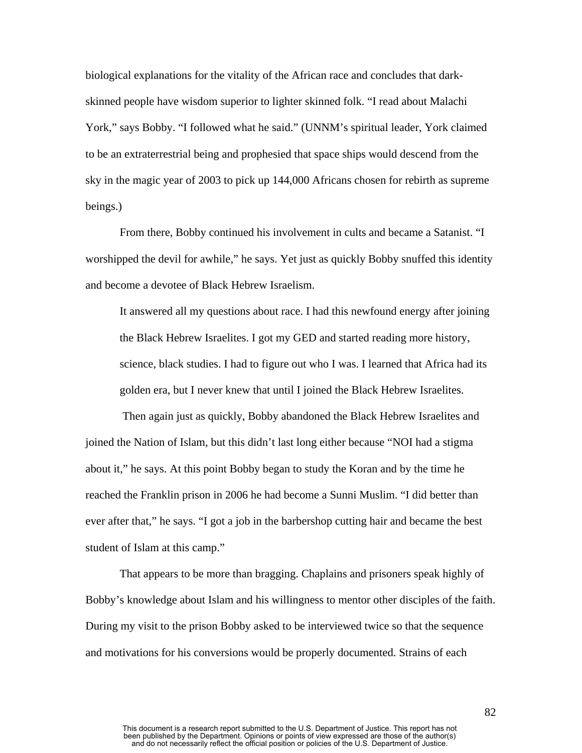biological explanations for the vitality of the African race and concludes that darkskinned people have wisdom superior to lighter skinned folk. "I read about Malachi York," says Bobby. "I followed what he said." (UNNM's spiritual leader, York claimed to be an extraterrestrial being and prophesied that space ships would descend from the sky in the magic year of 2003 to pick up 144,000 Africans chosen for rebirth as supreme beings.)

From there, Bobby continued his involvement in cults and became a Satanist. "I worshipped the devil for awhile," he says. Yet just as quickly Bobby snuffed this identity and become a devotee of Black Hebrew Israelism.

It answered all my questions about race. I had this newfound energy after joining the Black Hebrew Israelites. I got my GED and started reading more history, science, black studies. I had to figure out who I was. I learned that Africa had its golden era, but I never knew that until I joined the Black Hebrew Israelites.

 Then again just as quickly, Bobby abandoned the Black Hebrew Israelites and joined the Nation of Islam, but this didn't last long either because "NOI had a stigma about it," he says. At this point Bobby began to study the Koran and by the time he reached the Franklin prison in 2006 he had become a Sunni Muslim. "I did better than ever after that," he says. "I got a job in the barbershop cutting hair and became the best student of Islam at this camp."

That appears to be more than bragging. Chaplains and prisoners speak highly of Bobby's knowledge about Islam and his willingness to mentor other disciples of the faith. During my visit to the prison Bobby asked to be interviewed twice so that the sequence and motivations for his conversions would be properly documented. Strains of each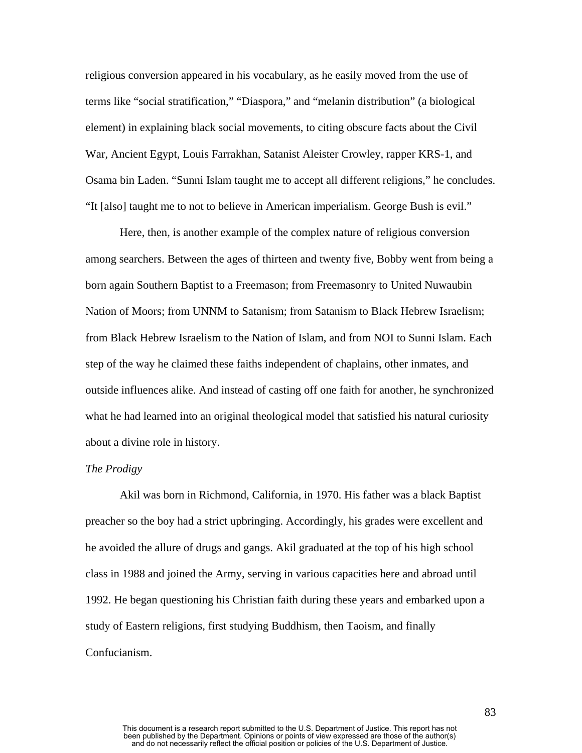religious conversion appeared in his vocabulary, as he easily moved from the use of terms like "social stratification," "Diaspora," and "melanin distribution" (a biological element) in explaining black social movements, to citing obscure facts about the Civil War, Ancient Egypt, Louis Farrakhan, Satanist Aleister Crowley, rapper KRS-1, and Osama bin Laden. "Sunni Islam taught me to accept all different religions," he concludes. "It [also] taught me to not to believe in American imperialism. George Bush is evil."

Here, then, is another example of the complex nature of religious conversion among searchers. Between the ages of thirteen and twenty five, Bobby went from being a born again Southern Baptist to a Freemason; from Freemasonry to United Nuwaubin Nation of Moors; from UNNM to Satanism; from Satanism to Black Hebrew Israelism; from Black Hebrew Israelism to the Nation of Islam, and from NOI to Sunni Islam. Each step of the way he claimed these faiths independent of chaplains, other inmates, and outside influences alike. And instead of casting off one faith for another, he synchronized what he had learned into an original theological model that satisfied his natural curiosity about a divine role in history.

## *The Prodigy*

Akil was born in Richmond, California, in 1970. His father was a black Baptist preacher so the boy had a strict upbringing. Accordingly, his grades were excellent and he avoided the allure of drugs and gangs. Akil graduated at the top of his high school class in 1988 and joined the Army, serving in various capacities here and abroad until 1992. He began questioning his Christian faith during these years and embarked upon a study of Eastern religions, first studying Buddhism, then Taoism, and finally Confucianism.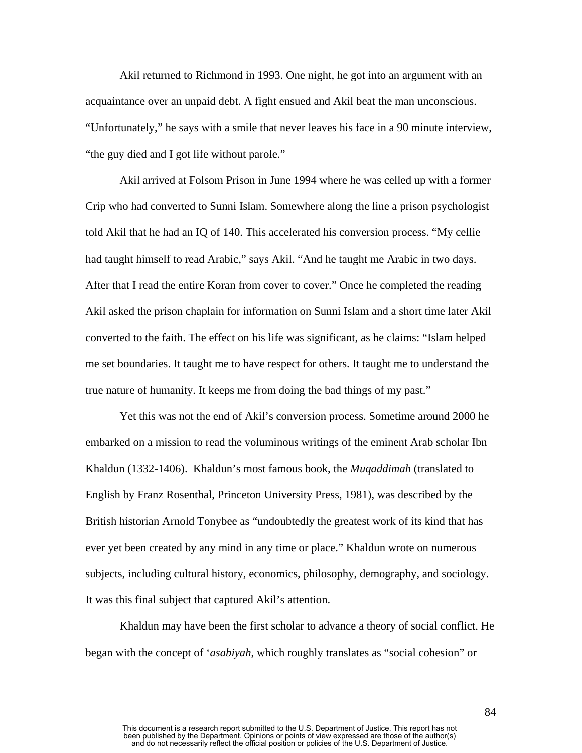Akil returned to Richmond in 1993. One night, he got into an argument with an acquaintance over an unpaid debt. A fight ensued and Akil beat the man unconscious. "Unfortunately," he says with a smile that never leaves his face in a 90 minute interview, "the guy died and I got life without parole."

Akil arrived at Folsom Prison in June 1994 where he was celled up with a former Crip who had converted to Sunni Islam. Somewhere along the line a prison psychologist told Akil that he had an IQ of 140. This accelerated his conversion process. "My cellie had taught himself to read Arabic," says Akil. "And he taught me Arabic in two days. After that I read the entire Koran from cover to cover." Once he completed the reading Akil asked the prison chaplain for information on Sunni Islam and a short time later Akil converted to the faith. The effect on his life was significant, as he claims: "Islam helped me set boundaries. It taught me to have respect for others. It taught me to understand the true nature of humanity. It keeps me from doing the bad things of my past."

Yet this was not the end of Akil's conversion process. Sometime around 2000 he embarked on a mission to read the voluminous writings of the eminent Arab scholar Ibn Khaldun (1332-1406). Khaldun's most famous book, the *Muqaddimah* (translated to English by Franz Rosenthal, Princeton University Press, 1981), was described by the British historian Arnold Tonybee as "undoubtedly the greatest work of its kind that has ever yet been created by any mind in any time or place." Khaldun wrote on numerous subjects, including cultural history, economics, philosophy, demography, and sociology. It was this final subject that captured Akil's attention.

Khaldun may have been the first scholar to advance a theory of social conflict. He began with the concept of '*asabiyah*, which roughly translates as "social cohesion" or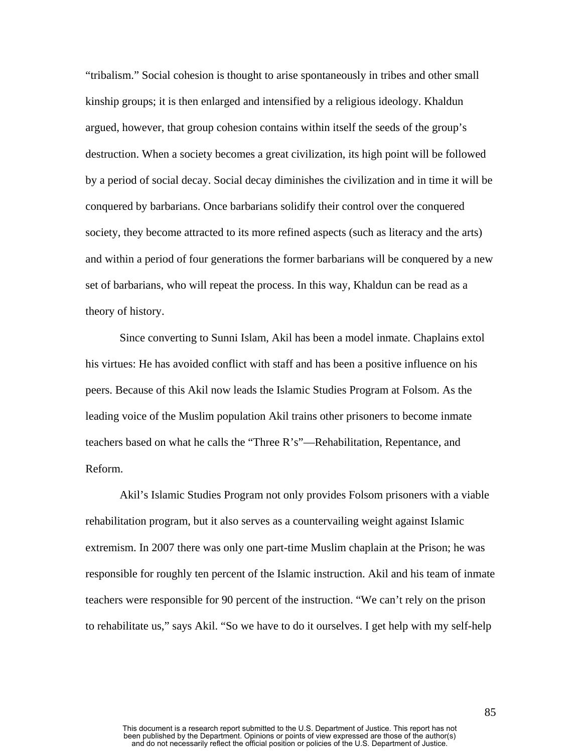"tribalism." Social cohesion is thought to arise spontaneously in tribes and other small kinship groups; it is then enlarged and intensified by a religious ideology. Khaldun argued, however, that group cohesion contains within itself the seeds of the group's destruction. When a society becomes a great civilization, its high point will be followed by a period of social decay. Social decay diminishes the civilization and in time it will be conquered by barbarians. Once barbarians solidify their control over the conquered society, they become attracted to its more refined aspects (such as literacy and the arts) and within a period of four generations the former barbarians will be conquered by a new set of barbarians, who will repeat the process. In this way, Khaldun can be read as a theory of history.

Since converting to Sunni Islam, Akil has been a model inmate. Chaplains extol his virtues: He has avoided conflict with staff and has been a positive influence on his peers. Because of this Akil now leads the Islamic Studies Program at Folsom. As the leading voice of the Muslim population Akil trains other prisoners to become inmate teachers based on what he calls the "Three R's"—Rehabilitation, Repentance, and Reform.

Akil's Islamic Studies Program not only provides Folsom prisoners with a viable rehabilitation program, but it also serves as a countervailing weight against Islamic extremism. In 2007 there was only one part-time Muslim chaplain at the Prison; he was responsible for roughly ten percent of the Islamic instruction. Akil and his team of inmate teachers were responsible for 90 percent of the instruction. "We can't rely on the prison to rehabilitate us," says Akil. "So we have to do it ourselves. I get help with my self-help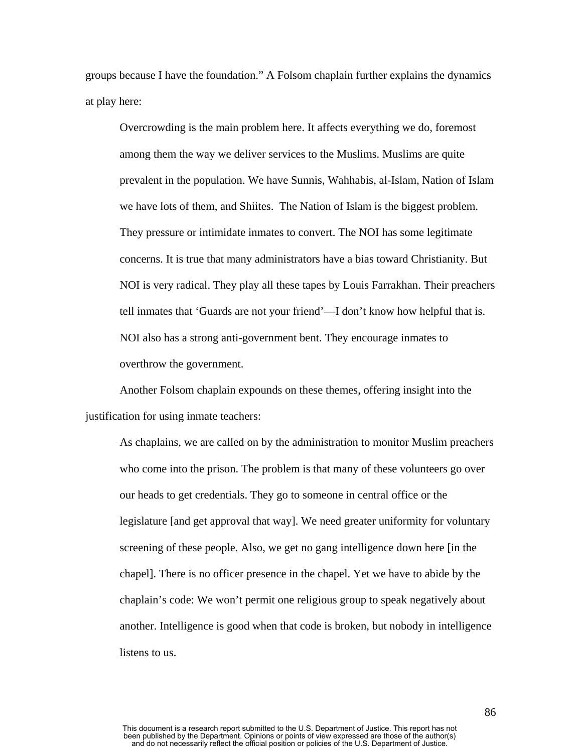groups because I have the foundation." A Folsom chaplain further explains the dynamics at play here:

Overcrowding is the main problem here. It affects everything we do, foremost among them the way we deliver services to the Muslims. Muslims are quite prevalent in the population. We have Sunnis, Wahhabis, al-Islam, Nation of Islam we have lots of them, and Shiites. The Nation of Islam is the biggest problem. They pressure or intimidate inmates to convert. The NOI has some legitimate concerns. It is true that many administrators have a bias toward Christianity. But NOI is very radical. They play all these tapes by Louis Farrakhan. Their preachers tell inmates that 'Guards are not your friend'—I don't know how helpful that is. NOI also has a strong anti-government bent. They encourage inmates to overthrow the government.

Another Folsom chaplain expounds on these themes, offering insight into the justification for using inmate teachers:

As chaplains, we are called on by the administration to monitor Muslim preachers who come into the prison. The problem is that many of these volunteers go over our heads to get credentials. They go to someone in central office or the legislature [and get approval that way]. We need greater uniformity for voluntary screening of these people. Also, we get no gang intelligence down here [in the chapel]. There is no officer presence in the chapel. Yet we have to abide by the chaplain's code: We won't permit one religious group to speak negatively about another. Intelligence is good when that code is broken, but nobody in intelligence listens to us.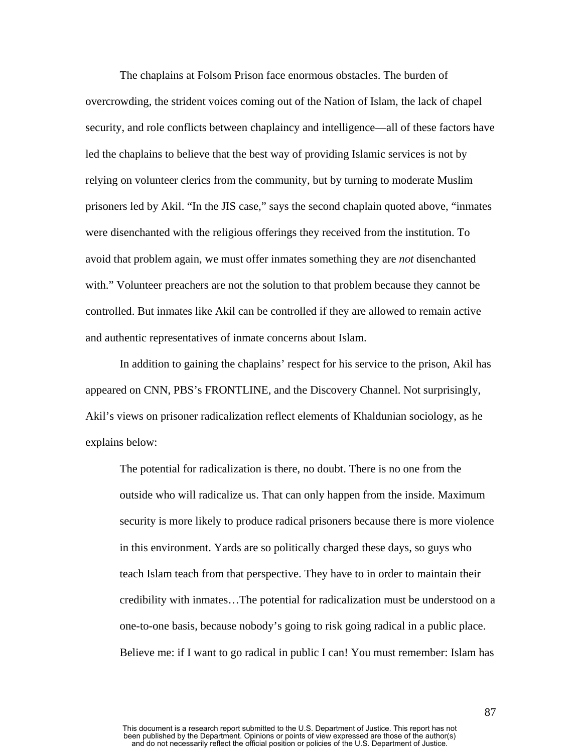The chaplains at Folsom Prison face enormous obstacles. The burden of overcrowding, the strident voices coming out of the Nation of Islam, the lack of chapel security, and role conflicts between chaplaincy and intelligence—all of these factors have led the chaplains to believe that the best way of providing Islamic services is not by relying on volunteer clerics from the community, but by turning to moderate Muslim prisoners led by Akil. "In the JIS case," says the second chaplain quoted above, "inmates were disenchanted with the religious offerings they received from the institution. To avoid that problem again, we must offer inmates something they are *not* disenchanted with." Volunteer preachers are not the solution to that problem because they cannot be controlled. But inmates like Akil can be controlled if they are allowed to remain active and authentic representatives of inmate concerns about Islam.

In addition to gaining the chaplains' respect for his service to the prison, Akil has appeared on CNN, PBS's FRONTLINE, and the Discovery Channel. Not surprisingly, Akil's views on prisoner radicalization reflect elements of Khaldunian sociology, as he explains below:

The potential for radicalization is there, no doubt. There is no one from the outside who will radicalize us. That can only happen from the inside. Maximum security is more likely to produce radical prisoners because there is more violence in this environment. Yards are so politically charged these days, so guys who teach Islam teach from that perspective. They have to in order to maintain their credibility with inmates…The potential for radicalization must be understood on a one-to-one basis, because nobody's going to risk going radical in a public place. Believe me: if I want to go radical in public I can! You must remember: Islam has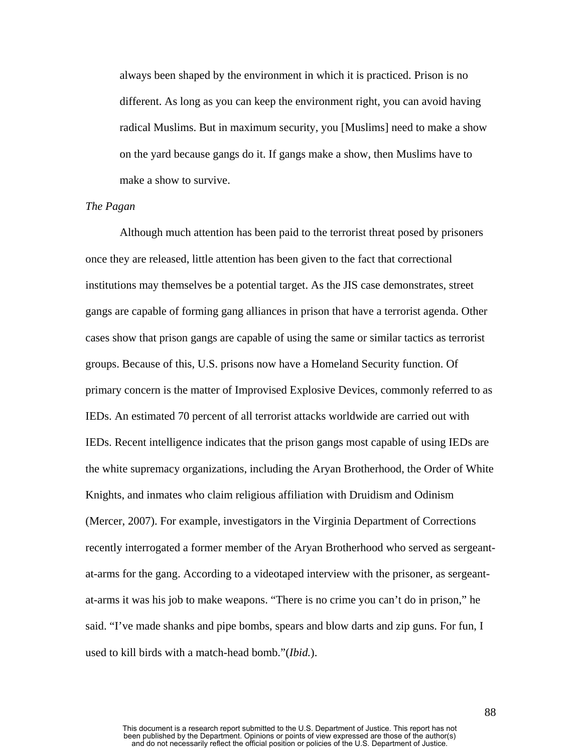always been shaped by the environment in which it is practiced. Prison is no different. As long as you can keep the environment right, you can avoid having radical Muslims. But in maximum security, you [Muslims] need to make a show on the yard because gangs do it. If gangs make a show, then Muslims have to make a show to survive.

# *The Pagan*

Although much attention has been paid to the terrorist threat posed by prisoners once they are released, little attention has been given to the fact that correctional institutions may themselves be a potential target. As the JIS case demonstrates, street gangs are capable of forming gang alliances in prison that have a terrorist agenda. Other cases show that prison gangs are capable of using the same or similar tactics as terrorist groups. Because of this, U.S. prisons now have a Homeland Security function. Of primary concern is the matter of Improvised Explosive Devices, commonly referred to as IEDs. An estimated 70 percent of all terrorist attacks worldwide are carried out with IEDs. Recent intelligence indicates that the prison gangs most capable of using IEDs are the white supremacy organizations, including the Aryan Brotherhood, the Order of White Knights, and inmates who claim religious affiliation with Druidism and Odinism (Mercer, 2007). For example, investigators in the Virginia Department of Corrections recently interrogated a former member of the Aryan Brotherhood who served as sergeantat-arms for the gang. According to a videotaped interview with the prisoner, as sergeantat-arms it was his job to make weapons. "There is no crime you can't do in prison," he said. "I've made shanks and pipe bombs, spears and blow darts and zip guns. For fun, I used to kill birds with a match-head bomb."(*Ibid.*).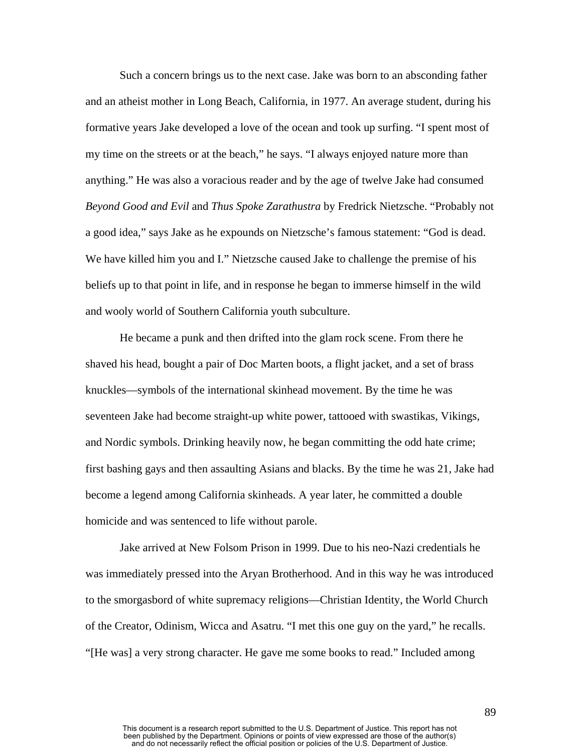Such a concern brings us to the next case. Jake was born to an absconding father and an atheist mother in Long Beach, California, in 1977. An average student, during his formative years Jake developed a love of the ocean and took up surfing. "I spent most of my time on the streets or at the beach," he says. "I always enjoyed nature more than anything." He was also a voracious reader and by the age of twelve Jake had consumed *Beyond Good and Evil* and *Thus Spoke Zarathustra* by Fredrick Nietzsche. "Probably not a good idea," says Jake as he expounds on Nietzsche's famous statement: "God is dead. We have killed him you and I." Nietzsche caused Jake to challenge the premise of his beliefs up to that point in life, and in response he began to immerse himself in the wild and wooly world of Southern California youth subculture.

He became a punk and then drifted into the glam rock scene. From there he shaved his head, bought a pair of Doc Marten boots, a flight jacket, and a set of brass knuckles—symbols of the international skinhead movement. By the time he was seventeen Jake had become straight-up white power, tattooed with swastikas, Vikings, and Nordic symbols. Drinking heavily now, he began committing the odd hate crime; first bashing gays and then assaulting Asians and blacks. By the time he was 21, Jake had become a legend among California skinheads. A year later, he committed a double homicide and was sentenced to life without parole.

Jake arrived at New Folsom Prison in 1999. Due to his neo-Nazi credentials he was immediately pressed into the Aryan Brotherhood. And in this way he was introduced to the smorgasbord of white supremacy religions—Christian Identity, the World Church of the Creator, Odinism, Wicca and Asatru. "I met this one guy on the yard," he recalls. "[He was] a very strong character. He gave me some books to read." Included among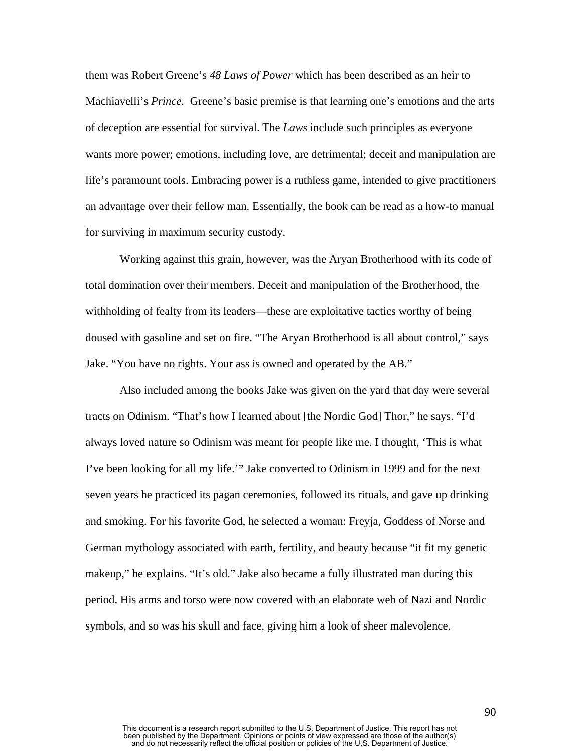them was Robert Greene's *48 Laws of Power* which has been described as an heir to Machiavelli's *Prince.* Greene's basic premise is that learning one's emotions and the arts of deception are essential for survival. The *Laws* include such principles as everyone wants more power; emotions, including love, are detrimental; deceit and manipulation are life's paramount tools. Embracing power is a ruthless game, intended to give practitioners an advantage over their fellow man. Essentially, the book can be read as a how-to manual for surviving in maximum security custody.

Working against this grain, however, was the Aryan Brotherhood with its code of total domination over their members. Deceit and manipulation of the Brotherhood, the withholding of fealty from its leaders—these are exploitative tactics worthy of being doused with gasoline and set on fire. "The Aryan Brotherhood is all about control," says Jake. "You have no rights. Your ass is owned and operated by the AB."

Also included among the books Jake was given on the yard that day were several tracts on Odinism. "That's how I learned about [the Nordic God] Thor," he says. "I'd always loved nature so Odinism was meant for people like me. I thought, 'This is what I've been looking for all my life.'" Jake converted to Odinism in 1999 and for the next seven years he practiced its pagan ceremonies, followed its rituals, and gave up drinking and smoking. For his favorite God, he selected a woman: Freyja, Goddess of Norse and German mythology associated with earth, fertility, and beauty because "it fit my genetic makeup," he explains. "It's old." Jake also became a fully illustrated man during this period. His arms and torso were now covered with an elaborate web of Nazi and Nordic symbols, and so was his skull and face, giving him a look of sheer malevolence.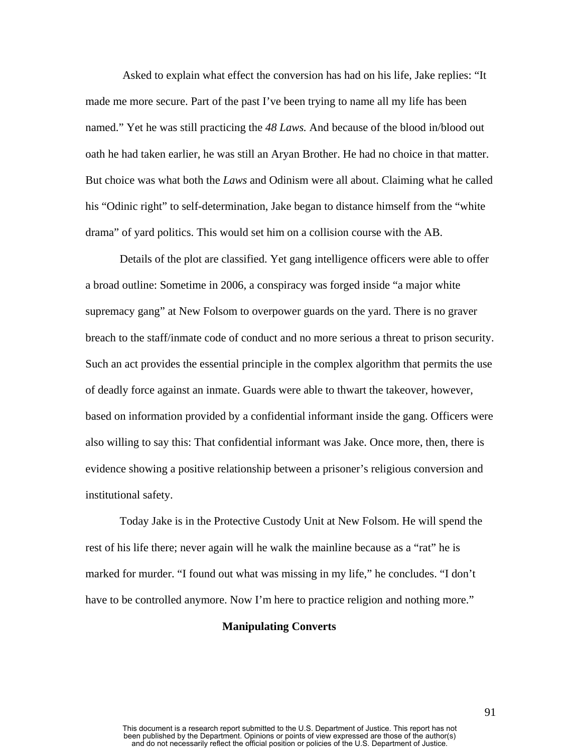Asked to explain what effect the conversion has had on his life, Jake replies: "It made me more secure. Part of the past I've been trying to name all my life has been named." Yet he was still practicing the *48 Laws.* And because of the blood in/blood out oath he had taken earlier, he was still an Aryan Brother. He had no choice in that matter. But choice was what both the *Laws* and Odinism were all about. Claiming what he called his "Odinic right" to self-determination, Jake began to distance himself from the "white drama" of yard politics. This would set him on a collision course with the AB.

Details of the plot are classified. Yet gang intelligence officers were able to offer a broad outline: Sometime in 2006, a conspiracy was forged inside "a major white supremacy gang" at New Folsom to overpower guards on the yard. There is no graver breach to the staff/inmate code of conduct and no more serious a threat to prison security. Such an act provides the essential principle in the complex algorithm that permits the use of deadly force against an inmate. Guards were able to thwart the takeover, however, based on information provided by a confidential informant inside the gang. Officers were also willing to say this: That confidential informant was Jake. Once more, then, there is evidence showing a positive relationship between a prisoner's religious conversion and institutional safety.

Today Jake is in the Protective Custody Unit at New Folsom. He will spend the rest of his life there; never again will he walk the mainline because as a "rat" he is marked for murder. "I found out what was missing in my life," he concludes. "I don't have to be controlled anymore. Now I'm here to practice religion and nothing more."

# **Manipulating Converts**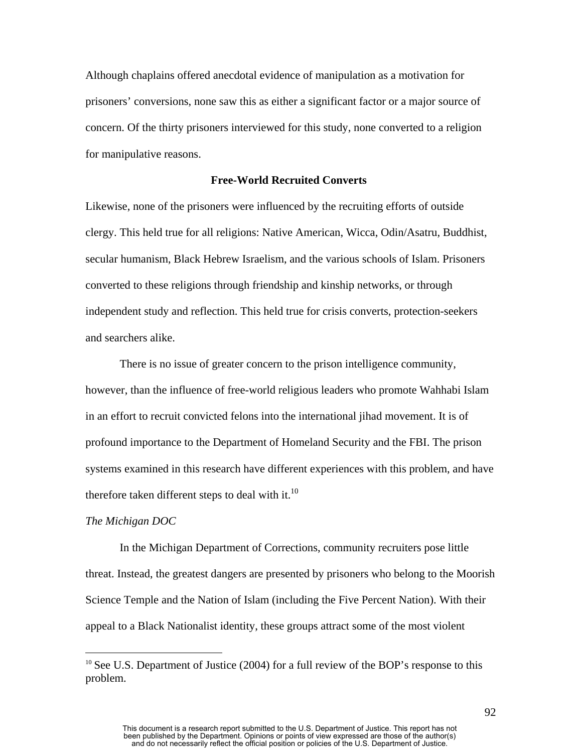Although chaplains offered anecdotal evidence of manipulation as a motivation for prisoners' conversions, none saw this as either a significant factor or a major source of concern. Of the thirty prisoners interviewed for this study, none converted to a religion for manipulative reasons.

# **Free-World Recruited Converts**

Likewise, none of the prisoners were influenced by the recruiting efforts of outside clergy. This held true for all religions: Native American, Wicca, Odin/Asatru, Buddhist, secular humanism, Black Hebrew Israelism, and the various schools of Islam. Prisoners converted to these religions through friendship and kinship networks, or through independent study and reflection. This held true for crisis converts, protection-seekers and searchers alike.

There is no issue of greater concern to the prison intelligence community, however, than the influence of free-world religious leaders who promote Wahhabi Islam in an effort to recruit convicted felons into the international jihad movement. It is of profound importance to the Department of Homeland Security and the FBI. The prison systems examined in this research have different experiences with this problem, and have therefore taken different steps to deal with it.<sup>10</sup>

#### *The Michigan DOC*

 $\overline{a}$ 

In the Michigan Department of Corrections, community recruiters pose little threat. Instead, the greatest dangers are presented by prisoners who belong to the Moorish Science Temple and the Nation of Islam (including the Five Percent Nation). With their appeal to a Black Nationalist identity, these groups attract some of the most violent

<span id="page-92-0"></span><sup>&</sup>lt;sup>10</sup> See U.S. Department of Justice (2004) for a full review of the BOP's response to this problem.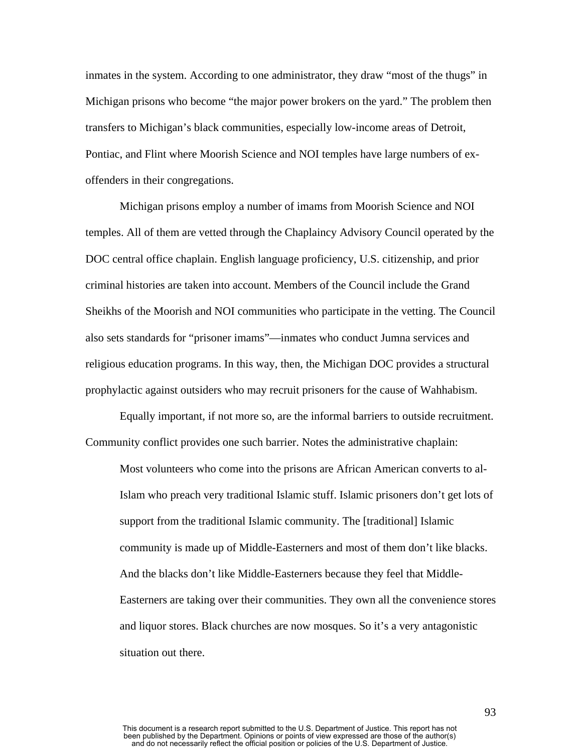inmates in the system. According to one administrator, they draw "most of the thugs" in Michigan prisons who become "the major power brokers on the yard." The problem then transfers to Michigan's black communities, especially low-income areas of Detroit, Pontiac, and Flint where Moorish Science and NOI temples have large numbers of exoffenders in their congregations.

Michigan prisons employ a number of imams from Moorish Science and NOI temples. All of them are vetted through the Chaplaincy Advisory Council operated by the DOC central office chaplain. English language proficiency, U.S. citizenship, and prior criminal histories are taken into account. Members of the Council include the Grand Sheikhs of the Moorish and NOI communities who participate in the vetting. The Council also sets standards for "prisoner imams"—inmates who conduct Jumna services and religious education programs. In this way, then, the Michigan DOC provides a structural prophylactic against outsiders who may recruit prisoners for the cause of Wahhabism.

Equally important, if not more so, are the informal barriers to outside recruitment. Community conflict provides one such barrier. Notes the administrative chaplain:

Most volunteers who come into the prisons are African American converts to al-Islam who preach very traditional Islamic stuff. Islamic prisoners don't get lots of support from the traditional Islamic community. The [traditional] Islamic community is made up of Middle-Easterners and most of them don't like blacks. And the blacks don't like Middle-Easterners because they feel that Middle-Easterners are taking over their communities. They own all the convenience stores and liquor stores. Black churches are now mosques. So it's a very antagonistic situation out there.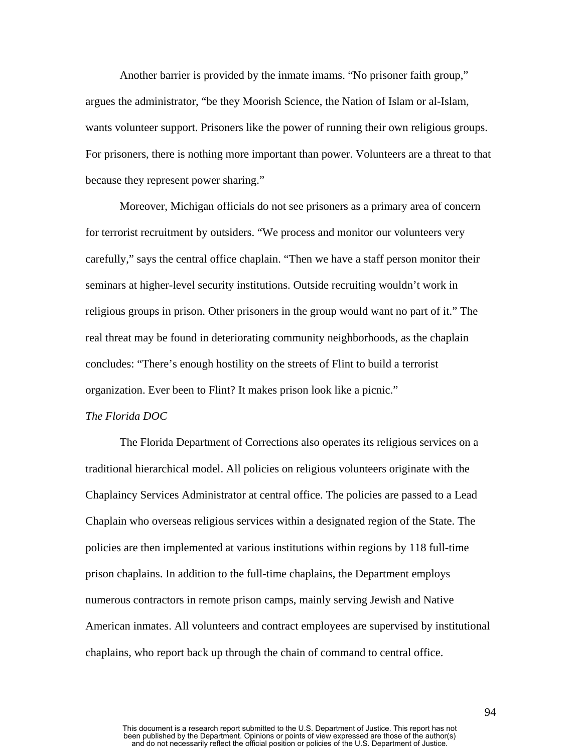Another barrier is provided by the inmate imams. "No prisoner faith group," argues the administrator, "be they Moorish Science, the Nation of Islam or al-Islam, wants volunteer support. Prisoners like the power of running their own religious groups. For prisoners, there is nothing more important than power. Volunteers are a threat to that because they represent power sharing."

Moreover, Michigan officials do not see prisoners as a primary area of concern for terrorist recruitment by outsiders. "We process and monitor our volunteers very carefully," says the central office chaplain. "Then we have a staff person monitor their seminars at higher-level security institutions. Outside recruiting wouldn't work in religious groups in prison. Other prisoners in the group would want no part of it." The real threat may be found in deteriorating community neighborhoods, as the chaplain concludes: "There's enough hostility on the streets of Flint to build a terrorist organization. Ever been to Flint? It makes prison look like a picnic."

## *The Florida DOC*

The Florida Department of Corrections also operates its religious services on a traditional hierarchical model. All policies on religious volunteers originate with the Chaplaincy Services Administrator at central office. The policies are passed to a Lead Chaplain who overseas religious services within a designated region of the State. The policies are then implemented at various institutions within regions by 118 full-time prison chaplains. In addition to the full-time chaplains, the Department employs numerous contractors in remote prison camps, mainly serving Jewish and Native American inmates. All volunteers and contract employees are supervised by institutional chaplains, who report back up through the chain of command to central office.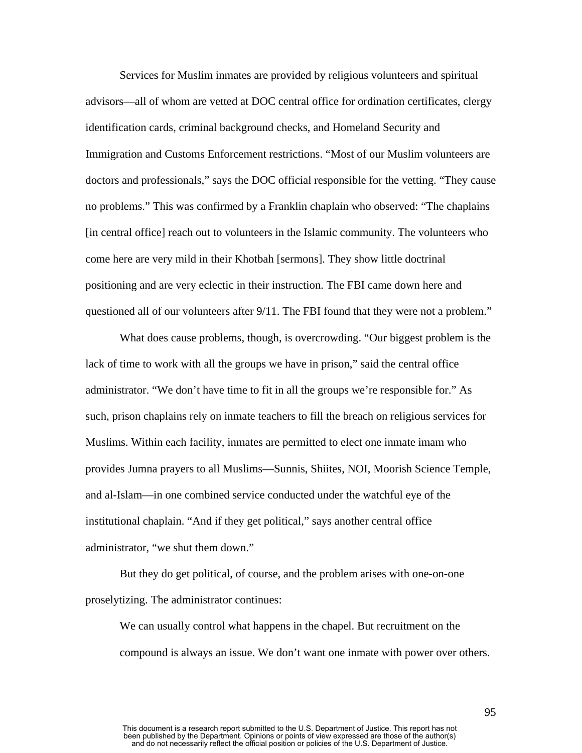Services for Muslim inmates are provided by religious volunteers and spiritual advisors—all of whom are vetted at DOC central office for ordination certificates, clergy identification cards, criminal background checks, and Homeland Security and Immigration and Customs Enforcement restrictions. "Most of our Muslim volunteers are doctors and professionals," says the DOC official responsible for the vetting. "They cause no problems." This was confirmed by a Franklin chaplain who observed: "The chaplains [in central office] reach out to volunteers in the Islamic community. The volunteers who come here are very mild in their Khotbah [sermons]. They show little doctrinal positioning and are very eclectic in their instruction. The FBI came down here and questioned all of our volunteers after 9/11. The FBI found that they were not a problem."

What does cause problems, though, is overcrowding. "Our biggest problem is the lack of time to work with all the groups we have in prison," said the central office administrator. "We don't have time to fit in all the groups we're responsible for." As such, prison chaplains rely on inmate teachers to fill the breach on religious services for Muslims. Within each facility, inmates are permitted to elect one inmate imam who provides Jumna prayers to all Muslims—Sunnis, Shiites, NOI, Moorish Science Temple, and al-Islam—in one combined service conducted under the watchful eye of the institutional chaplain. "And if they get political," says another central office administrator, "we shut them down."

But they do get political, of course, and the problem arises with one-on-one proselytizing. The administrator continues:

We can usually control what happens in the chapel. But recruitment on the compound is always an issue. We don't want one inmate with power over others.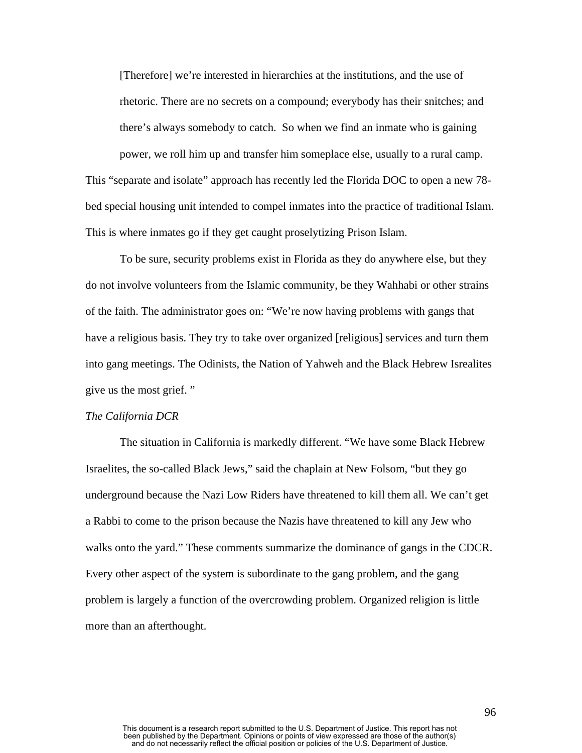[Therefore] we're interested in hierarchies at the institutions, and the use of rhetoric. There are no secrets on a compound; everybody has their snitches; and there's always somebody to catch. So when we find an inmate who is gaining power, we roll him up and transfer him someplace else, usually to a rural camp.

This "separate and isolate" approach has recently led the Florida DOC to open a new 78 bed special housing unit intended to compel inmates into the practice of traditional Islam. This is where inmates go if they get caught proselytizing Prison Islam.

To be sure, security problems exist in Florida as they do anywhere else, but they do not involve volunteers from the Islamic community, be they Wahhabi or other strains of the faith. The administrator goes on: "We're now having problems with gangs that have a religious basis. They try to take over organized [religious] services and turn them into gang meetings. The Odinists, the Nation of Yahweh and the Black Hebrew Isrealites give us the most grief. "

#### *The California DCR*

The situation in California is markedly different. "We have some Black Hebrew Israelites, the so-called Black Jews," said the chaplain at New Folsom, "but they go underground because the Nazi Low Riders have threatened to kill them all. We can't get a Rabbi to come to the prison because the Nazis have threatened to kill any Jew who walks onto the yard." These comments summarize the dominance of gangs in the CDCR. Every other aspect of the system is subordinate to the gang problem, and the gang problem is largely a function of the overcrowding problem. Organized religion is little more than an afterthought.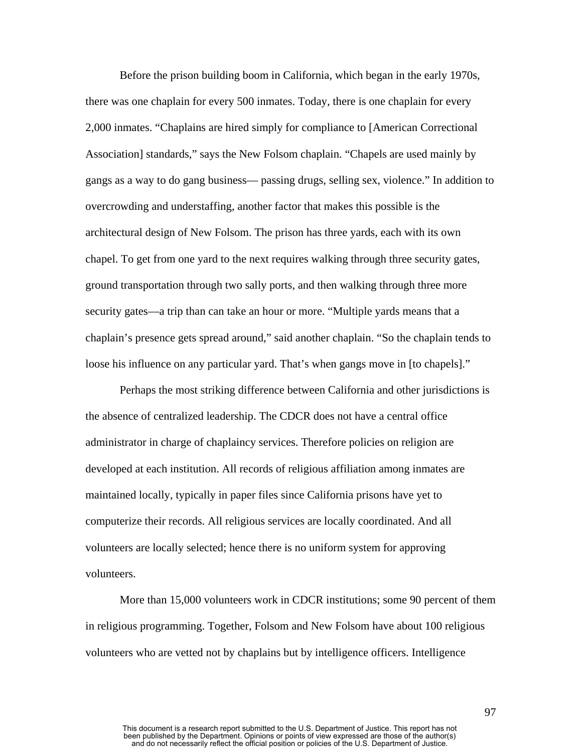Before the prison building boom in California, which began in the early 1970s, there was one chaplain for every 500 inmates. Today, there is one chaplain for every 2,000 inmates. "Chaplains are hired simply for compliance to [American Correctional Association] standards," says the New Folsom chaplain. "Chapels are used mainly by gangs as a way to do gang business— passing drugs, selling sex, violence." In addition to overcrowding and understaffing, another factor that makes this possible is the architectural design of New Folsom. The prison has three yards, each with its own chapel. To get from one yard to the next requires walking through three security gates, ground transportation through two sally ports, and then walking through three more security gates—a trip than can take an hour or more. "Multiple yards means that a chaplain's presence gets spread around," said another chaplain. "So the chaplain tends to loose his influence on any particular yard. That's when gangs move in [to chapels]."

Perhaps the most striking difference between California and other jurisdictions is the absence of centralized leadership. The CDCR does not have a central office administrator in charge of chaplaincy services. Therefore policies on religion are developed at each institution. All records of religious affiliation among inmates are maintained locally, typically in paper files since California prisons have yet to computerize their records. All religious services are locally coordinated. And all volunteers are locally selected; hence there is no uniform system for approving volunteers.

More than 15,000 volunteers work in CDCR institutions; some 90 percent of them in religious programming. Together, Folsom and New Folsom have about 100 religious volunteers who are vetted not by chaplains but by intelligence officers. Intelligence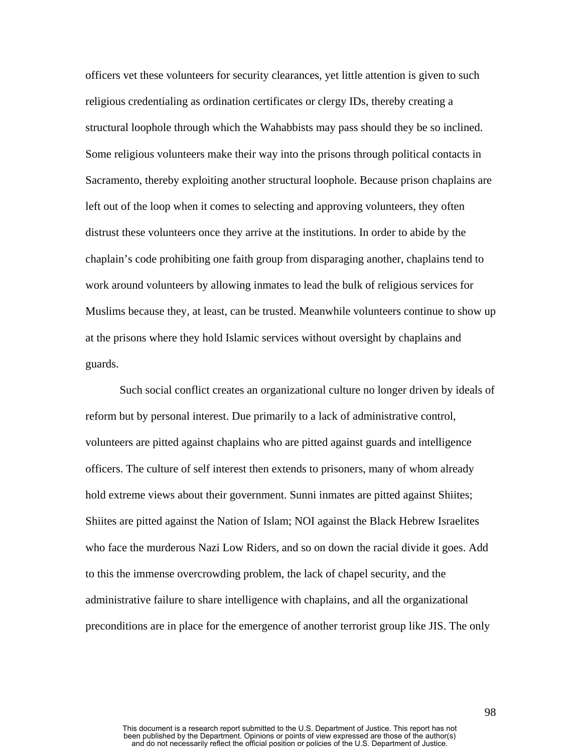officers vet these volunteers for security clearances, yet little attention is given to such religious credentialing as ordination certificates or clergy IDs, thereby creating a structural loophole through which the Wahabbists may pass should they be so inclined. Some religious volunteers make their way into the prisons through political contacts in Sacramento, thereby exploiting another structural loophole. Because prison chaplains are left out of the loop when it comes to selecting and approving volunteers, they often distrust these volunteers once they arrive at the institutions. In order to abide by the chaplain's code prohibiting one faith group from disparaging another, chaplains tend to work around volunteers by allowing inmates to lead the bulk of religious services for Muslims because they, at least, can be trusted. Meanwhile volunteers continue to show up at the prisons where they hold Islamic services without oversight by chaplains and guards.

 Such social conflict creates an organizational culture no longer driven by ideals of reform but by personal interest. Due primarily to a lack of administrative control, volunteers are pitted against chaplains who are pitted against guards and intelligence officers. The culture of self interest then extends to prisoners, many of whom already hold extreme views about their government. Sunni inmates are pitted against Shiites; Shiites are pitted against the Nation of Islam; NOI against the Black Hebrew Israelites who face the murderous Nazi Low Riders, and so on down the racial divide it goes. Add to this the immense overcrowding problem, the lack of chapel security, and the administrative failure to share intelligence with chaplains, and all the organizational preconditions are in place for the emergence of another terrorist group like JIS. The only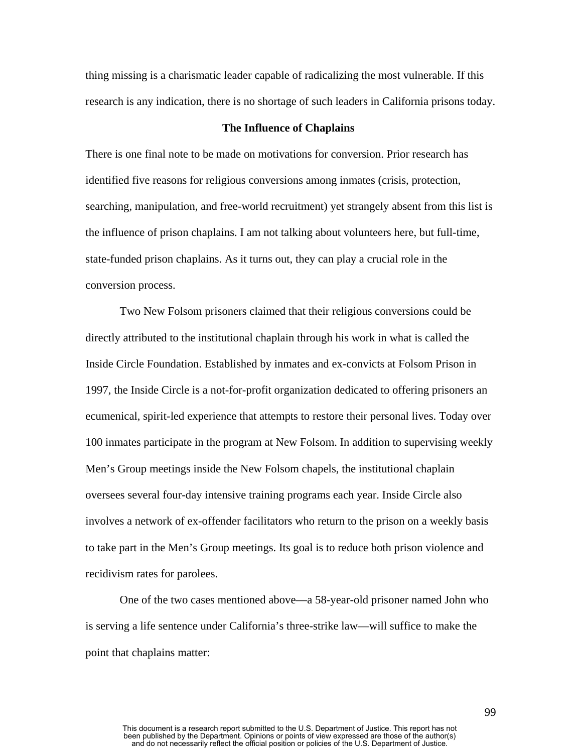thing missing is a charismatic leader capable of radicalizing the most vulnerable. If this research is any indication, there is no shortage of such leaders in California prisons today.

## **The Influence of Chaplains**

There is one final note to be made on motivations for conversion. Prior research has identified five reasons for religious conversions among inmates (crisis, protection, searching, manipulation, and free-world recruitment) yet strangely absent from this list is the influence of prison chaplains. I am not talking about volunteers here, but full-time, state-funded prison chaplains. As it turns out, they can play a crucial role in the conversion process.

Two New Folsom prisoners claimed that their religious conversions could be directly attributed to the institutional chaplain through his work in what is called the Inside Circle Foundation. Established by inmates and ex-convicts at Folsom Prison in 1997, the Inside Circle is a not-for-profit organization dedicated to offering prisoners an ecumenical, spirit-led experience that attempts to restore their personal lives. Today over 100 inmates participate in the program at New Folsom. In addition to supervising weekly Men's Group meetings inside the New Folsom chapels, the institutional chaplain oversees several four-day intensive training programs each year. Inside Circle also involves a network of ex-offender facilitators who return to the prison on a weekly basis to take part in the Men's Group meetings. Its goal is to reduce both prison violence and recidivism rates for parolees.

One of the two cases mentioned above—a 58-year-old prisoner named John who is serving a life sentence under California's three-strike law—will suffice to make the point that chaplains matter: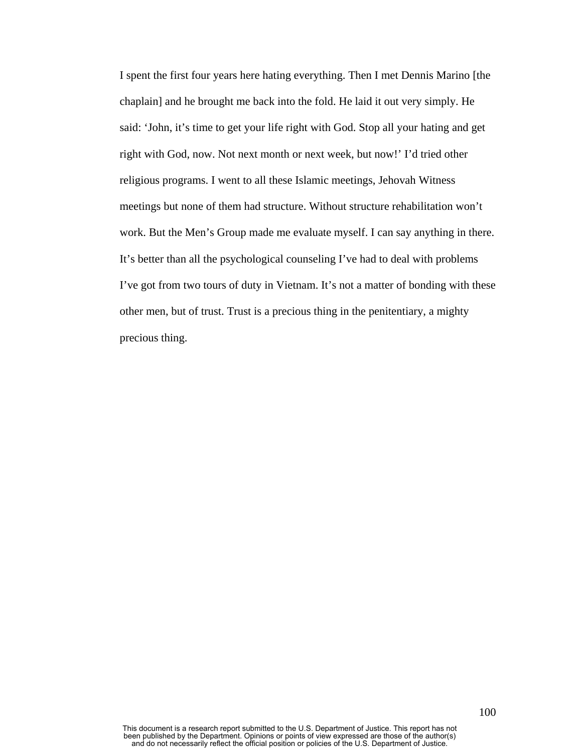I spent the first four years here hating everything. Then I met Dennis Marino [the chaplain] and he brought me back into the fold. He laid it out very simply. He said: 'John, it's time to get your life right with God. Stop all your hating and get right with God, now. Not next month or next week, but now!' I'd tried other religious programs. I went to all these Islamic meetings, Jehovah Witness meetings but none of them had structure. Without structure rehabilitation won't work. But the Men's Group made me evaluate myself. I can say anything in there. It's better than all the psychological counseling I've had to deal with problems I've got from two tours of duty in Vietnam. It's not a matter of bonding with these other men, but of trust. Trust is a precious thing in the penitentiary, a mighty precious thing.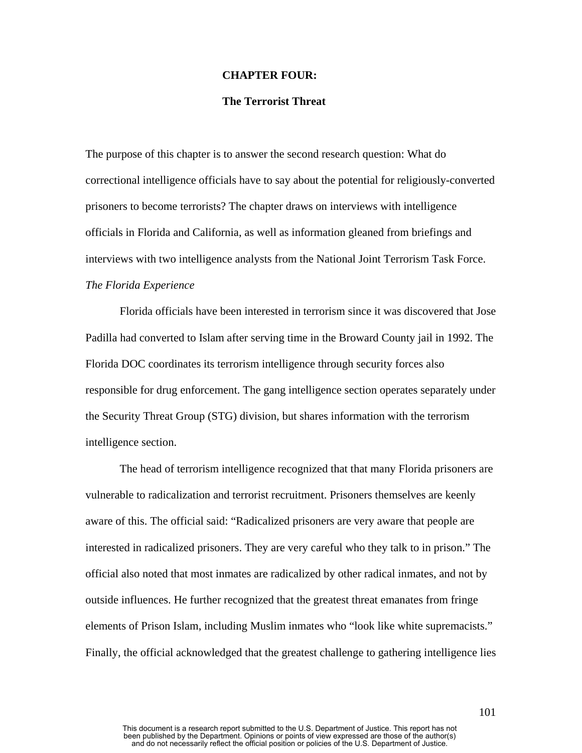### **CHAPTER FOUR:**

## **The Terrorist Threat**

The purpose of this chapter is to answer the second research question: What do correctional intelligence officials have to say about the potential for religiously-converted prisoners to become terrorists? The chapter draws on interviews with intelligence officials in Florida and California, as well as information gleaned from briefings and interviews with two intelligence analysts from the National Joint Terrorism Task Force. *The Florida Experience* 

Florida officials have been interested in terrorism since it was discovered that Jose Padilla had converted to Islam after serving time in the Broward County jail in 1992. The Florida DOC coordinates its terrorism intelligence through security forces also responsible for drug enforcement. The gang intelligence section operates separately under the Security Threat Group (STG) division, but shares information with the terrorism intelligence section.

The head of terrorism intelligence recognized that that many Florida prisoners are vulnerable to radicalization and terrorist recruitment. Prisoners themselves are keenly aware of this. The official said: "Radicalized prisoners are very aware that people are interested in radicalized prisoners. They are very careful who they talk to in prison." The official also noted that most inmates are radicalized by other radical inmates, and not by outside influences. He further recognized that the greatest threat emanates from fringe elements of Prison Islam, including Muslim inmates who "look like white supremacists." Finally, the official acknowledged that the greatest challenge to gathering intelligence lies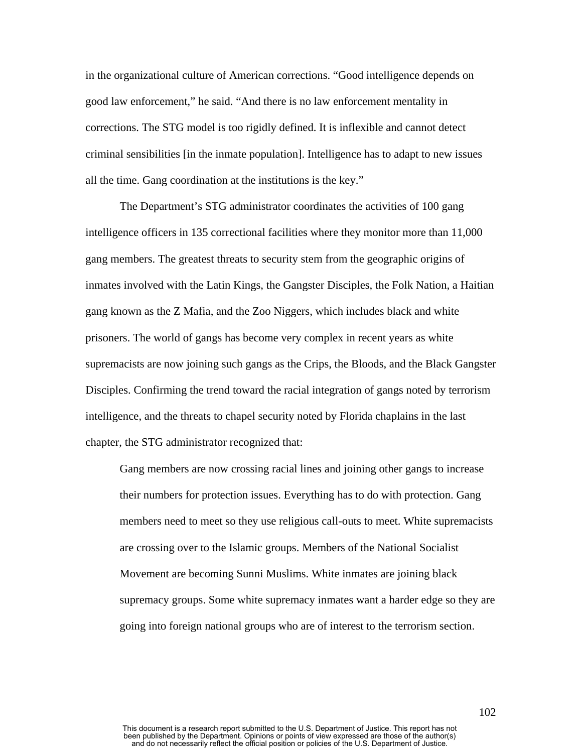in the organizational culture of American corrections. "Good intelligence depends on good law enforcement," he said. "And there is no law enforcement mentality in corrections. The STG model is too rigidly defined. It is inflexible and cannot detect criminal sensibilities [in the inmate population]. Intelligence has to adapt to new issues all the time. Gang coordination at the institutions is the key."

The Department's STG administrator coordinates the activities of 100 gang intelligence officers in 135 correctional facilities where they monitor more than 11,000 gang members. The greatest threats to security stem from the geographic origins of inmates involved with the Latin Kings, the Gangster Disciples, the Folk Nation, a Haitian gang known as the Z Mafia, and the Zoo Niggers, which includes black and white prisoners. The world of gangs has become very complex in recent years as white supremacists are now joining such gangs as the Crips, the Bloods, and the Black Gangster Disciples. Confirming the trend toward the racial integration of gangs noted by terrorism intelligence, and the threats to chapel security noted by Florida chaplains in the last chapter, the STG administrator recognized that:

Gang members are now crossing racial lines and joining other gangs to increase their numbers for protection issues. Everything has to do with protection. Gang members need to meet so they use religious call-outs to meet. White supremacists are crossing over to the Islamic groups. Members of the National Socialist Movement are becoming Sunni Muslims. White inmates are joining black supremacy groups. Some white supremacy inmates want a harder edge so they are going into foreign national groups who are of interest to the terrorism section.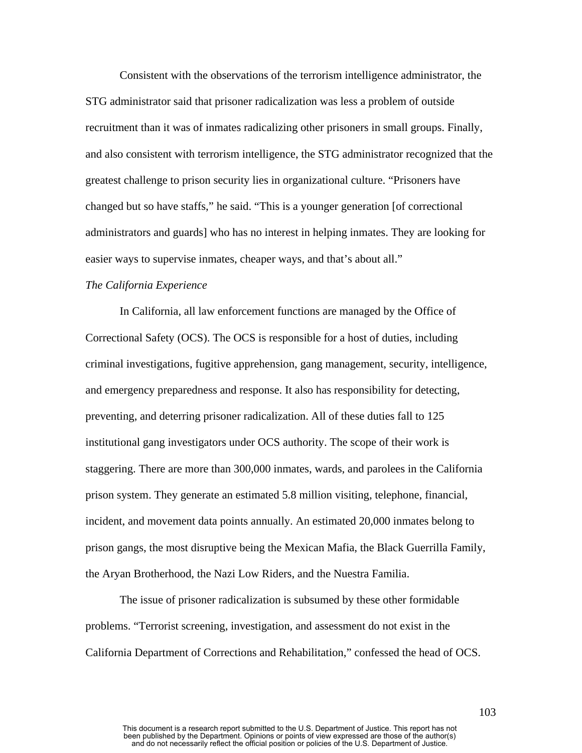Consistent with the observations of the terrorism intelligence administrator, the STG administrator said that prisoner radicalization was less a problem of outside recruitment than it was of inmates radicalizing other prisoners in small groups. Finally, and also consistent with terrorism intelligence, the STG administrator recognized that the greatest challenge to prison security lies in organizational culture. "Prisoners have changed but so have staffs," he said. "This is a younger generation [of correctional administrators and guards] who has no interest in helping inmates. They are looking for easier ways to supervise inmates, cheaper ways, and that's about all."

## *The California Experience*

In California, all law enforcement functions are managed by the Office of Correctional Safety (OCS). The OCS is responsible for a host of duties, including criminal investigations, fugitive apprehension, gang management, security, intelligence, and emergency preparedness and response. It also has responsibility for detecting, preventing, and deterring prisoner radicalization. All of these duties fall to 125 institutional gang investigators under OCS authority. The scope of their work is staggering. There are more than 300,000 inmates, wards, and parolees in the California prison system. They generate an estimated 5.8 million visiting, telephone, financial, incident, and movement data points annually. An estimated 20,000 inmates belong to prison gangs, the most disruptive being the Mexican Mafia, the Black Guerrilla Family, the Aryan Brotherhood, the Nazi Low Riders, and the Nuestra Familia.

The issue of prisoner radicalization is subsumed by these other formidable problems. "Terrorist screening, investigation, and assessment do not exist in the California Department of Corrections and Rehabilitation," confessed the head of OCS.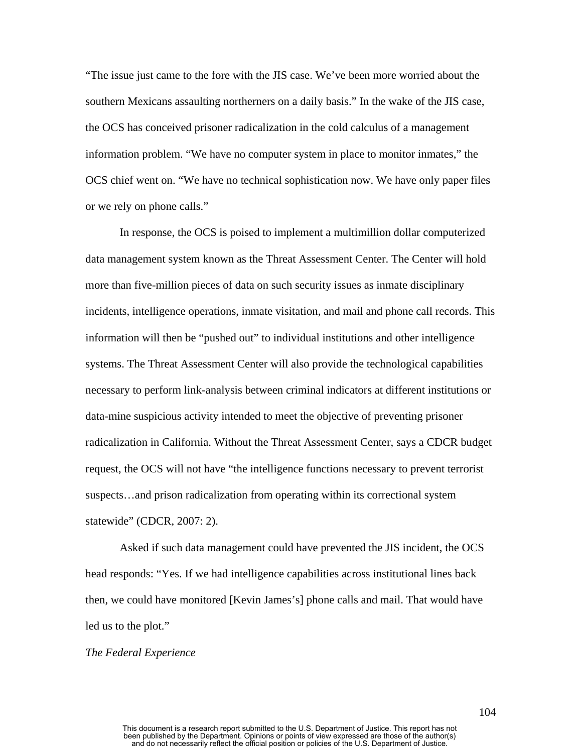"The issue just came to the fore with the JIS case. We've been more worried about the southern Mexicans assaulting northerners on a daily basis." In the wake of the JIS case, the OCS has conceived prisoner radicalization in the cold calculus of a management information problem. "We have no computer system in place to monitor inmates," the OCS chief went on. "We have no technical sophistication now. We have only paper files or we rely on phone calls."

In response, the OCS is poised to implement a multimillion dollar computerized data management system known as the Threat Assessment Center. The Center will hold more than five-million pieces of data on such security issues as inmate disciplinary incidents, intelligence operations, inmate visitation, and mail and phone call records. This information will then be "pushed out" to individual institutions and other intelligence systems. The Threat Assessment Center will also provide the technological capabilities necessary to perform link-analysis between criminal indicators at different institutions or data-mine suspicious activity intended to meet the objective of preventing prisoner radicalization in California. Without the Threat Assessment Center, says a CDCR budget request, the OCS will not have "the intelligence functions necessary to prevent terrorist suspects…and prison radicalization from operating within its correctional system statewide" (CDCR, 2007: 2).

Asked if such data management could have prevented the JIS incident, the OCS head responds: "Yes. If we had intelligence capabilities across institutional lines back then, we could have monitored [Kevin James's] phone calls and mail. That would have led us to the plot."

#### *The Federal Experience*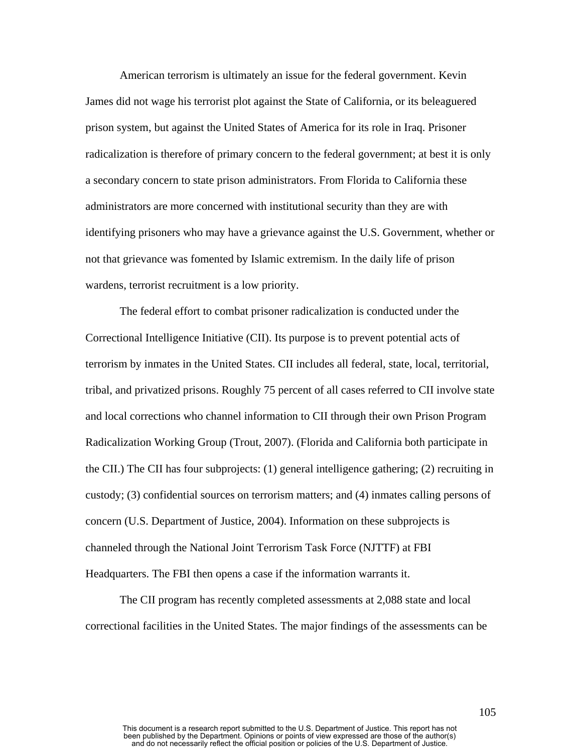American terrorism is ultimately an issue for the federal government. Kevin James did not wage his terrorist plot against the State of California, or its beleaguered prison system, but against the United States of America for its role in Iraq. Prisoner radicalization is therefore of primary concern to the federal government; at best it is only a secondary concern to state prison administrators. From Florida to California these administrators are more concerned with institutional security than they are with identifying prisoners who may have a grievance against the U.S. Government, whether or not that grievance was fomented by Islamic extremism. In the daily life of prison wardens, terrorist recruitment is a low priority.

The federal effort to combat prisoner radicalization is conducted under the Correctional Intelligence Initiative (CII). Its purpose is to prevent potential acts of terrorism by inmates in the United States. CII includes all federal, state, local, territorial, tribal, and privatized prisons. Roughly 75 percent of all cases referred to CII involve state and local corrections who channel information to CII through their own Prison Program Radicalization Working Group (Trout, 2007). (Florida and California both participate in the CII.) The CII has four subprojects: (1) general intelligence gathering; (2) recruiting in custody; (3) confidential sources on terrorism matters; and (4) inmates calling persons of concern (U.S. Department of Justice, 2004). Information on these subprojects is channeled through the National Joint Terrorism Task Force (NJTTF) at FBI Headquarters. The FBI then opens a case if the information warrants it.

The CII program has recently completed assessments at 2,088 state and local correctional facilities in the United States. The major findings of the assessments can be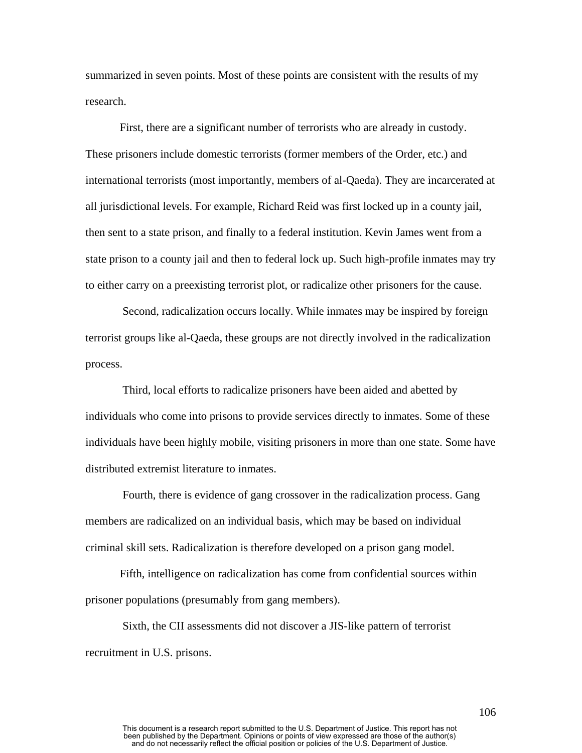summarized in seven points. Most of these points are consistent with the results of my research.

First, there are a significant number of terrorists who are already in custody. These prisoners include domestic terrorists (former members of the Order, etc.) and international terrorists (most importantly, members of al-Qaeda). They are incarcerated at all jurisdictional levels. For example, Richard Reid was first locked up in a county jail, then sent to a state prison, and finally to a federal institution. Kevin James went from a state prison to a county jail and then to federal lock up. Such high-profile inmates may try to either carry on a preexisting terrorist plot, or radicalize other prisoners for the cause.

 Second, radicalization occurs locally. While inmates may be inspired by foreign terrorist groups like al-Qaeda, these groups are not directly involved in the radicalization process.

 Third, local efforts to radicalize prisoners have been aided and abetted by individuals who come into prisons to provide services directly to inmates. Some of these individuals have been highly mobile, visiting prisoners in more than one state. Some have distributed extremist literature to inmates.

 Fourth, there is evidence of gang crossover in the radicalization process. Gang members are radicalized on an individual basis, which may be based on individual criminal skill sets. Radicalization is therefore developed on a prison gang model.

Fifth, intelligence on radicalization has come from confidential sources within prisoner populations (presumably from gang members).

 Sixth, the CII assessments did not discover a JIS-like pattern of terrorist recruitment in U.S. prisons.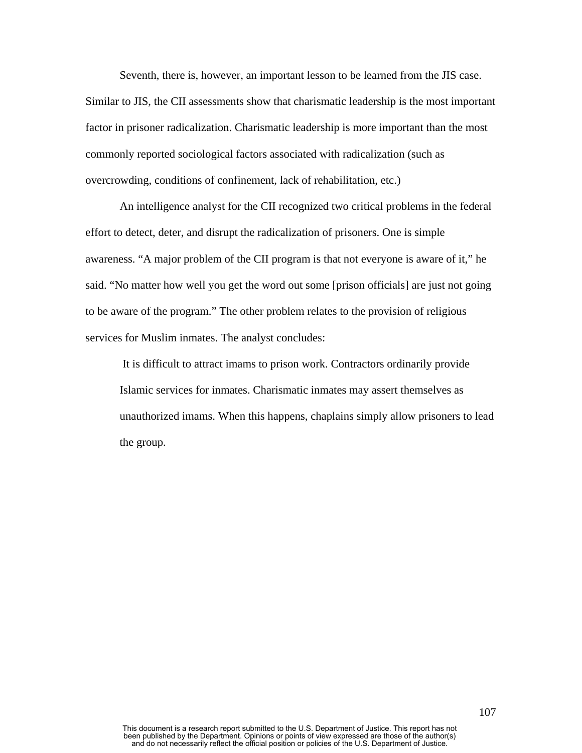Seventh, there is, however, an important lesson to be learned from the JIS case. Similar to JIS, the CII assessments show that charismatic leadership is the most important factor in prisoner radicalization. Charismatic leadership is more important than the most commonly reported sociological factors associated with radicalization (such as overcrowding, conditions of confinement, lack of rehabilitation, etc.)

An intelligence analyst for the CII recognized two critical problems in the federal effort to detect, deter, and disrupt the radicalization of prisoners. One is simple awareness. "A major problem of the CII program is that not everyone is aware of it," he said. "No matter how well you get the word out some [prison officials] are just not going to be aware of the program." The other problem relates to the provision of religious services for Muslim inmates. The analyst concludes:

It is difficult to attract imams to prison work. Contractors ordinarily provide Islamic services for inmates. Charismatic inmates may assert themselves as unauthorized imams. When this happens, chaplains simply allow prisoners to lead the group.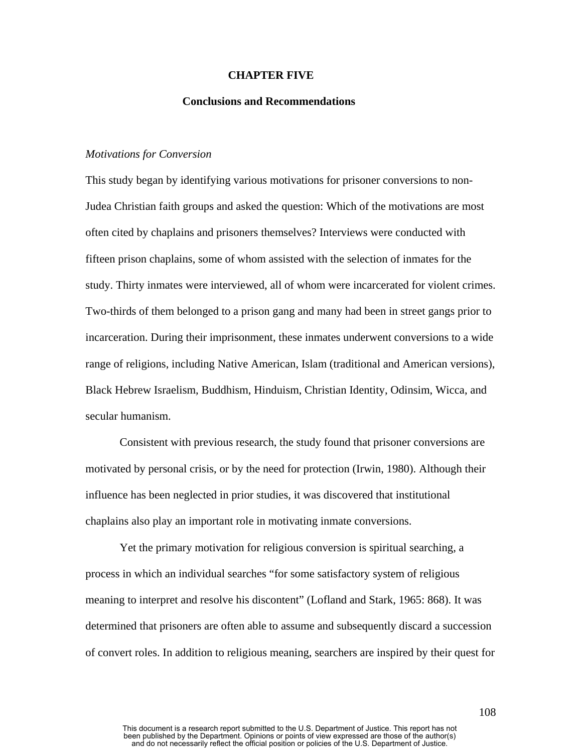### **CHAPTER FIVE**

### **Conclusions and Recommendations**

## *Motivations for Conversion*

This study began by identifying various motivations for prisoner conversions to non-Judea Christian faith groups and asked the question: Which of the motivations are most often cited by chaplains and prisoners themselves? Interviews were conducted with fifteen prison chaplains, some of whom assisted with the selection of inmates for the study. Thirty inmates were interviewed, all of whom were incarcerated for violent crimes. Two-thirds of them belonged to a prison gang and many had been in street gangs prior to incarceration. During their imprisonment, these inmates underwent conversions to a wide range of religions, including Native American, Islam (traditional and American versions), Black Hebrew Israelism, Buddhism, Hinduism, Christian Identity, Odinsim, Wicca, and secular humanism.

Consistent with previous research, the study found that prisoner conversions are motivated by personal crisis, or by the need for protection (Irwin, 1980). Although their influence has been neglected in prior studies, it was discovered that institutional chaplains also play an important role in motivating inmate conversions.

Yet the primary motivation for religious conversion is spiritual searching, a process in which an individual searches "for some satisfactory system of religious meaning to interpret and resolve his discontent" (Lofland and Stark, 1965: 868). It was determined that prisoners are often able to assume and subsequently discard a succession of convert roles. In addition to religious meaning, searchers are inspired by their quest for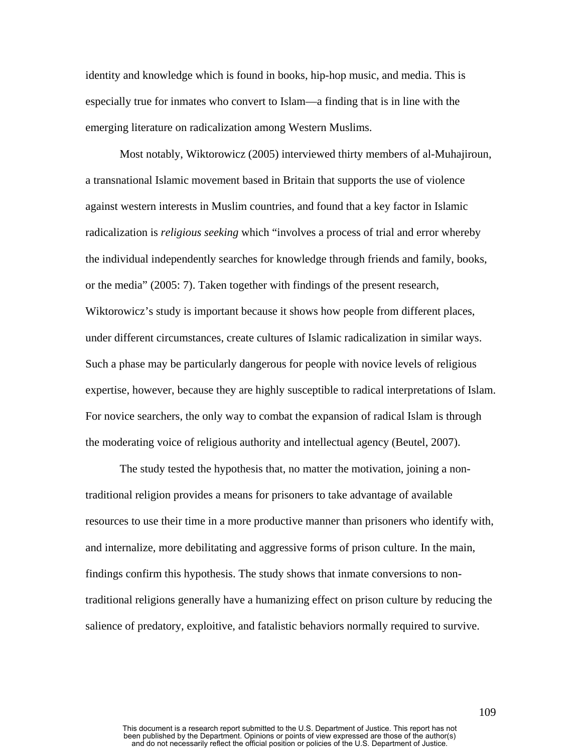identity and knowledge which is found in books, hip-hop music, and media. This is especially true for inmates who convert to Islam—a finding that is in line with the emerging literature on radicalization among Western Muslims.

Most notably, Wiktorowicz (2005) interviewed thirty members of al-Muhajiroun, a transnational Islamic movement based in Britain that supports the use of violence against western interests in Muslim countries, and found that a key factor in Islamic radicalization is *religious seeking* which "involves a process of trial and error whereby the individual independently searches for knowledge through friends and family, books, or the media" (2005: 7). Taken together with findings of the present research, Wiktorowicz's study is important because it shows how people from different places, under different circumstances, create cultures of Islamic radicalization in similar ways. Such a phase may be particularly dangerous for people with novice levels of religious expertise, however, because they are highly susceptible to radical interpretations of Islam. For novice searchers, the only way to combat the expansion of radical Islam is through the moderating voice of religious authority and intellectual agency (Beutel, 2007).

The study tested the hypothesis that, no matter the motivation, joining a nontraditional religion provides a means for prisoners to take advantage of available resources to use their time in a more productive manner than prisoners who identify with, and internalize, more debilitating and aggressive forms of prison culture. In the main, findings confirm this hypothesis. The study shows that inmate conversions to nontraditional religions generally have a humanizing effect on prison culture by reducing the salience of predatory, exploitive, and fatalistic behaviors normally required to survive.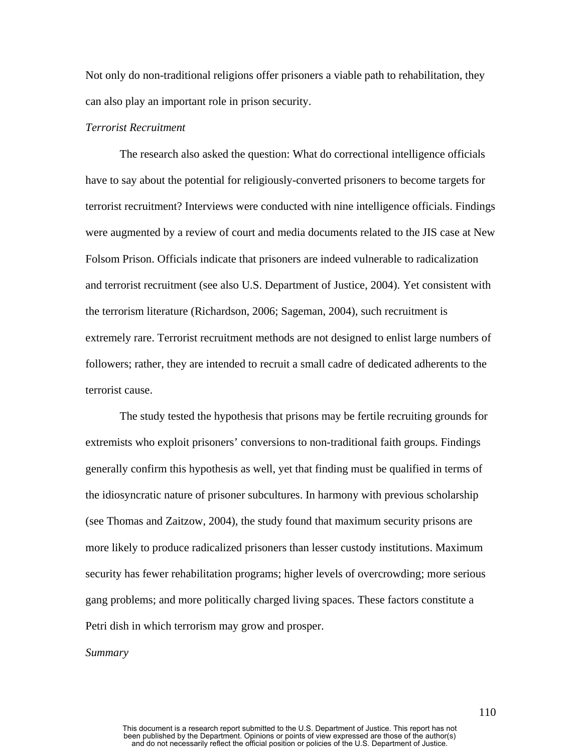Not only do non-traditional religions offer prisoners a viable path to rehabilitation, they can also play an important role in prison security.

## *Terrorist Recruitment*

The research also asked the question: What do correctional intelligence officials have to say about the potential for religiously-converted prisoners to become targets for terrorist recruitment? Interviews were conducted with nine intelligence officials. Findings were augmented by a review of court and media documents related to the JIS case at New Folsom Prison. Officials indicate that prisoners are indeed vulnerable to radicalization and terrorist recruitment (see also U.S. Department of Justice, 2004). Yet consistent with the terrorism literature (Richardson, 2006; Sageman, 2004), such recruitment is extremely rare. Terrorist recruitment methods are not designed to enlist large numbers of followers; rather, they are intended to recruit a small cadre of dedicated adherents to the terrorist cause.

The study tested the hypothesis that prisons may be fertile recruiting grounds for extremists who exploit prisoners' conversions to non-traditional faith groups. Findings generally confirm this hypothesis as well, yet that finding must be qualified in terms of the idiosyncratic nature of prisoner subcultures. In harmony with previous scholarship (see Thomas and Zaitzow, 2004), the study found that maximum security prisons are more likely to produce radicalized prisoners than lesser custody institutions. Maximum security has fewer rehabilitation programs; higher levels of overcrowding; more serious gang problems; and more politically charged living spaces. These factors constitute a Petri dish in which terrorism may grow and prosper.

### *Summary*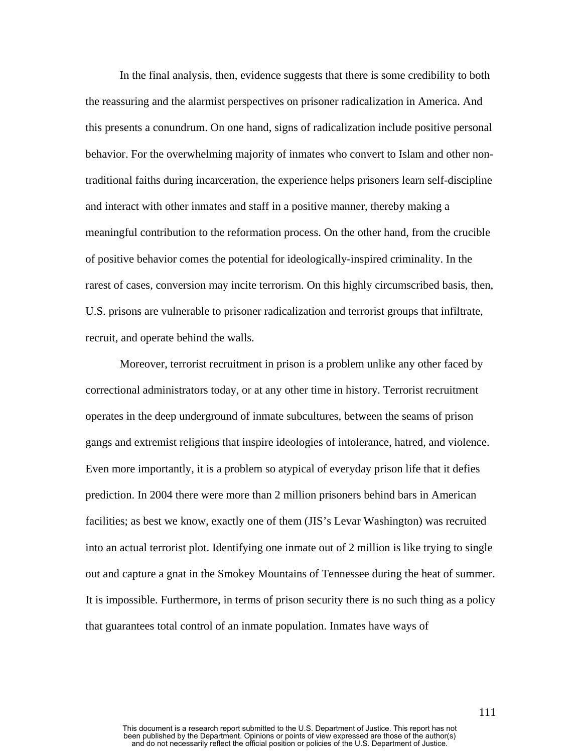In the final analysis, then, evidence suggests that there is some credibility to both the reassuring and the alarmist perspectives on prisoner radicalization in America. And this presents a conundrum. On one hand, signs of radicalization include positive personal behavior. For the overwhelming majority of inmates who convert to Islam and other nontraditional faiths during incarceration, the experience helps prisoners learn self-discipline and interact with other inmates and staff in a positive manner, thereby making a meaningful contribution to the reformation process. On the other hand, from the crucible of positive behavior comes the potential for ideologically-inspired criminality. In the rarest of cases, conversion may incite terrorism. On this highly circumscribed basis, then, U.S. prisons are vulnerable to prisoner radicalization and terrorist groups that infiltrate, recruit, and operate behind the walls.

Moreover, terrorist recruitment in prison is a problem unlike any other faced by correctional administrators today, or at any other time in history. Terrorist recruitment operates in the deep underground of inmate subcultures, between the seams of prison gangs and extremist religions that inspire ideologies of intolerance, hatred, and violence. Even more importantly, it is a problem so atypical of everyday prison life that it defies prediction. In 2004 there were more than 2 million prisoners behind bars in American facilities; as best we know, exactly one of them (JIS's Levar Washington) was recruited into an actual terrorist plot. Identifying one inmate out of 2 million is like trying to single out and capture a gnat in the Smokey Mountains of Tennessee during the heat of summer. It is impossible. Furthermore, in terms of prison security there is no such thing as a policy that guarantees total control of an inmate population. Inmates have ways of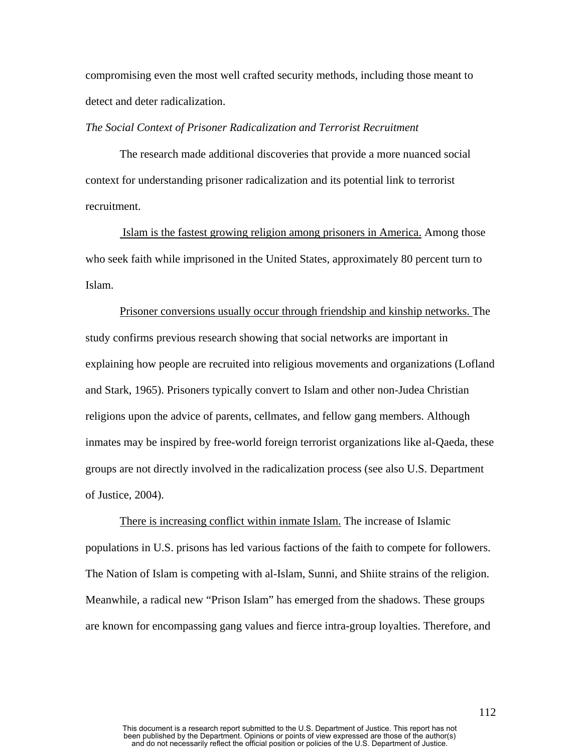compromising even the most well crafted security methods, including those meant to detect and deter radicalization.

## *The Social Context of Prisoner Radicalization and Terrorist Recruitment*

The research made additional discoveries that provide a more nuanced social context for understanding prisoner radicalization and its potential link to terrorist recruitment.

 Islam is the fastest growing religion among prisoners in America. Among those who seek faith while imprisoned in the United States, approximately 80 percent turn to Islam.

Prisoner conversions usually occur through friendship and kinship networks. The study confirms previous research showing that social networks are important in explaining how people are recruited into religious movements and organizations (Lofland and Stark, 1965). Prisoners typically convert to Islam and other non-Judea Christian religions upon the advice of parents, cellmates, and fellow gang members. Although inmates may be inspired by free-world foreign terrorist organizations like al-Qaeda, these groups are not directly involved in the radicalization process (see also U.S. Department of Justice, 2004).

There is increasing conflict within inmate Islam. The increase of Islamic populations in U.S. prisons has led various factions of the faith to compete for followers. The Nation of Islam is competing with al-Islam, Sunni, and Shiite strains of the religion. Meanwhile, a radical new "Prison Islam" has emerged from the shadows. These groups are known for encompassing gang values and fierce intra-group loyalties. Therefore, and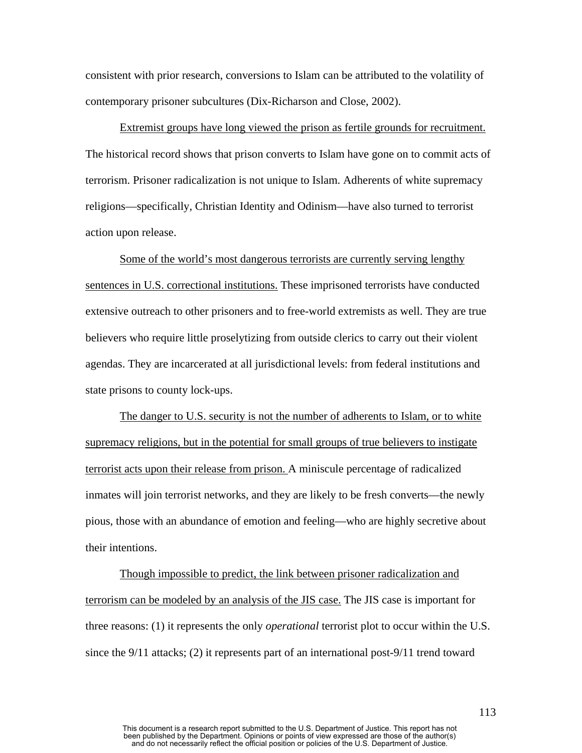consistent with prior research, conversions to Islam can be attributed to the volatility of contemporary prisoner subcultures (Dix-Richarson and Close, 2002).

Extremist groups have long viewed the prison as fertile grounds for recruitment. The historical record shows that prison converts to Islam have gone on to commit acts of terrorism. Prisoner radicalization is not unique to Islam. Adherents of white supremacy religions—specifically, Christian Identity and Odinism—have also turned to terrorist action upon release.

Some of the world's most dangerous terrorists are currently serving lengthy sentences in U.S. correctional institutions. These imprisoned terrorists have conducted extensive outreach to other prisoners and to free-world extremists as well. They are true believers who require little proselytizing from outside clerics to carry out their violent agendas. They are incarcerated at all jurisdictional levels: from federal institutions and state prisons to county lock-ups.

The danger to U.S. security is not the number of adherents to Islam, or to white supremacy religions, but in the potential for small groups of true believers to instigate terrorist acts upon their release from prison. A miniscule percentage of radicalized inmates will join terrorist networks, and they are likely to be fresh converts—the newly pious, those with an abundance of emotion and feeling—who are highly secretive about their intentions.

Though impossible to predict, the link between prisoner radicalization and terrorism can be modeled by an analysis of the JIS case. The JIS case is important for three reasons: (1) it represents the only *operational* terrorist plot to occur within the U.S. since the 9/11 attacks; (2) it represents part of an international post-9/11 trend toward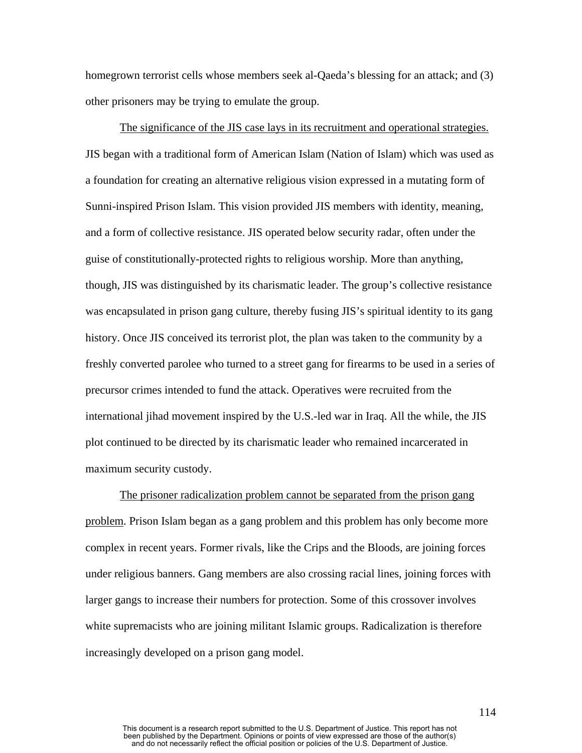homegrown terrorist cells whose members seek al-Qaeda's blessing for an attack; and (3) other prisoners may be trying to emulate the group.

The significance of the JIS case lays in its recruitment and operational strategies. JIS began with a traditional form of American Islam (Nation of Islam) which was used as a foundation for creating an alternative religious vision expressed in a mutating form of Sunni-inspired Prison Islam. This vision provided JIS members with identity, meaning, and a form of collective resistance. JIS operated below security radar, often under the guise of constitutionally-protected rights to religious worship. More than anything, though, JIS was distinguished by its charismatic leader. The group's collective resistance was encapsulated in prison gang culture, thereby fusing JIS's spiritual identity to its gang history. Once JIS conceived its terrorist plot, the plan was taken to the community by a freshly converted parolee who turned to a street gang for firearms to be used in a series of precursor crimes intended to fund the attack. Operatives were recruited from the international jihad movement inspired by the U.S.-led war in Iraq. All the while, the JIS plot continued to be directed by its charismatic leader who remained incarcerated in maximum security custody.

The prisoner radicalization problem cannot be separated from the prison gang problem. Prison Islam began as a gang problem and this problem has only become more complex in recent years. Former rivals, like the Crips and the Bloods, are joining forces under religious banners. Gang members are also crossing racial lines, joining forces with larger gangs to increase their numbers for protection. Some of this crossover involves white supremacists who are joining militant Islamic groups. Radicalization is therefore increasingly developed on a prison gang model.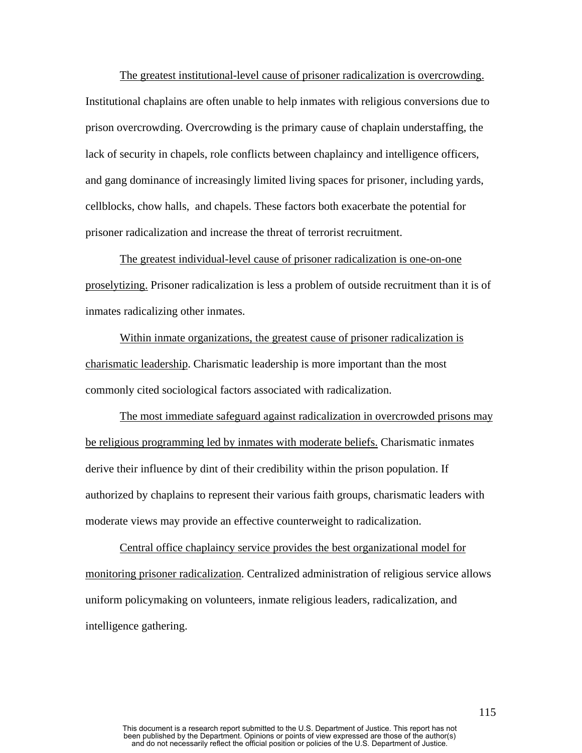The greatest institutional-level cause of prisoner radicalization is overcrowding. Institutional chaplains are often unable to help inmates with religious conversions due to prison overcrowding. Overcrowding is the primary cause of chaplain understaffing, the lack of security in chapels, role conflicts between chaplaincy and intelligence officers, and gang dominance of increasingly limited living spaces for prisoner, including yards, cellblocks, chow halls, and chapels. These factors both exacerbate the potential for prisoner radicalization and increase the threat of terrorist recruitment.

The greatest individual-level cause of prisoner radicalization is one-on-one proselytizing. Prisoner radicalization is less a problem of outside recruitment than it is of inmates radicalizing other inmates.

Within inmate organizations, the greatest cause of prisoner radicalization is charismatic leadership. Charismatic leadership is more important than the most commonly cited sociological factors associated with radicalization.

The most immediate safeguard against radicalization in overcrowded prisons may be religious programming led by inmates with moderate beliefs. Charismatic inmates derive their influence by dint of their credibility within the prison population. If authorized by chaplains to represent their various faith groups, charismatic leaders with moderate views may provide an effective counterweight to radicalization.

Central office chaplaincy service provides the best organizational model for monitoring prisoner radicalization. Centralized administration of religious service allows uniform policymaking on volunteers, inmate religious leaders, radicalization, and intelligence gathering.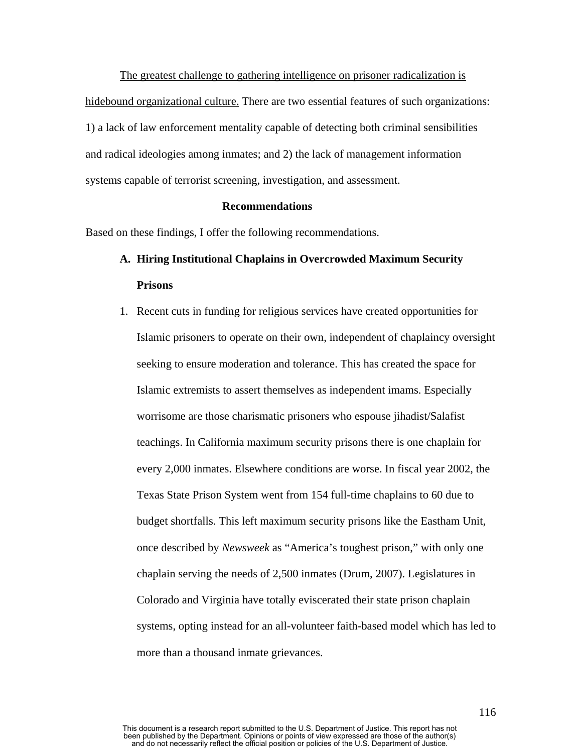The greatest challenge to gathering intelligence on prisoner radicalization is hidebound organizational culture. There are two essential features of such organizations: 1) a lack of law enforcement mentality capable of detecting both criminal sensibilities and radical ideologies among inmates; and 2) the lack of management information systems capable of terrorist screening, investigation, and assessment.

## **Recommendations**

Based on these findings, I offer the following recommendations.

# **A. Hiring Institutional Chaplains in Overcrowded Maximum Security Prisons**

1. Recent cuts in funding for religious services have created opportunities for Islamic prisoners to operate on their own, independent of chaplaincy oversight seeking to ensure moderation and tolerance. This has created the space for Islamic extremists to assert themselves as independent imams. Especially worrisome are those charismatic prisoners who espouse jihadist/Salafist teachings. In California maximum security prisons there is one chaplain for every 2,000 inmates. Elsewhere conditions are worse. In fiscal year 2002, the Texas State Prison System went from 154 full-time chaplains to 60 due to budget shortfalls. This left maximum security prisons like the Eastham Unit, once described by *Newsweek* as "America's toughest prison," with only one chaplain serving the needs of 2,500 inmates (Drum, 2007). Legislatures in Colorado and Virginia have totally eviscerated their state prison chaplain systems, opting instead for an all-volunteer faith-based model which has led to more than a thousand inmate grievances.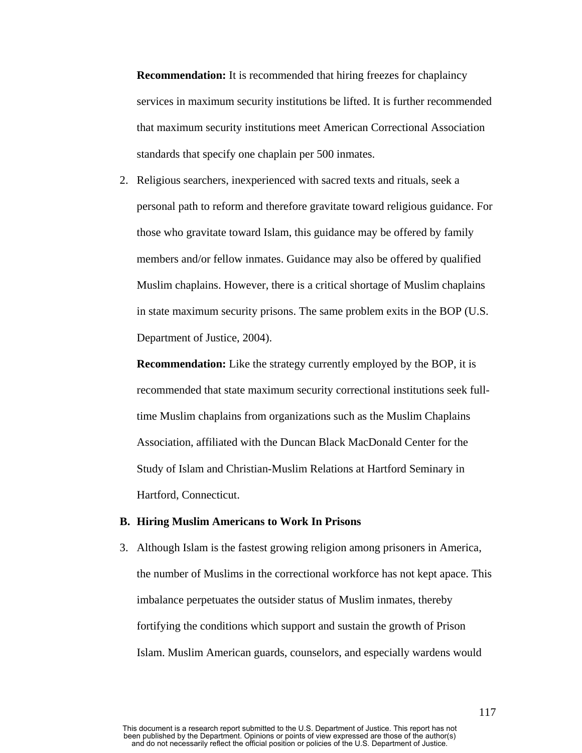**Recommendation:** It is recommended that hiring freezes for chaplaincy services in maximum security institutions be lifted. It is further recommended that maximum security institutions meet American Correctional Association standards that specify one chaplain per 500 inmates.

2. Religious searchers, inexperienced with sacred texts and rituals, seek a personal path to reform and therefore gravitate toward religious guidance. For those who gravitate toward Islam, this guidance may be offered by family members and/or fellow inmates. Guidance may also be offered by qualified Muslim chaplains. However, there is a critical shortage of Muslim chaplains in state maximum security prisons. The same problem exits in the BOP (U.S. Department of Justice, 2004).

**Recommendation:** Like the strategy currently employed by the BOP, it is recommended that state maximum security correctional institutions seek fulltime Muslim chaplains from organizations such as the Muslim Chaplains Association, affiliated with the Duncan Black MacDonald Center for the Study of Islam and Christian-Muslim Relations at Hartford Seminary in Hartford, Connecticut.

#### **B. Hiring Muslim Americans to Work In Prisons**

3. Although Islam is the fastest growing religion among prisoners in America, the number of Muslims in the correctional workforce has not kept apace. This imbalance perpetuates the outsider status of Muslim inmates, thereby fortifying the conditions which support and sustain the growth of Prison Islam. Muslim American guards, counselors, and especially wardens would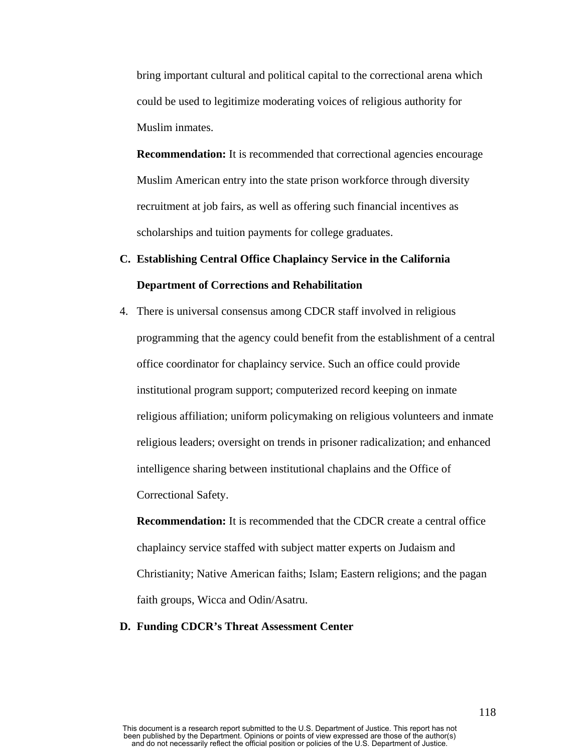bring important cultural and political capital to the correctional arena which could be used to legitimize moderating voices of religious authority for Muslim inmates.

**Recommendation:** It is recommended that correctional agencies encourage Muslim American entry into the state prison workforce through diversity recruitment at job fairs, as well as offering such financial incentives as scholarships and tuition payments for college graduates.

# **C. Establishing Central Office Chaplaincy Service in the California Department of Corrections and Rehabilitation**

4. There is universal consensus among CDCR staff involved in religious programming that the agency could benefit from the establishment of a central office coordinator for chaplaincy service. Such an office could provide institutional program support; computerized record keeping on inmate religious affiliation; uniform policymaking on religious volunteers and inmate religious leaders; oversight on trends in prisoner radicalization; and enhanced intelligence sharing between institutional chaplains and the Office of Correctional Safety.

**Recommendation:** It is recommended that the CDCR create a central office chaplaincy service staffed with subject matter experts on Judaism and Christianity; Native American faiths; Islam; Eastern religions; and the pagan faith groups, Wicca and Odin/Asatru.

# **D. Funding CDCR's Threat Assessment Center**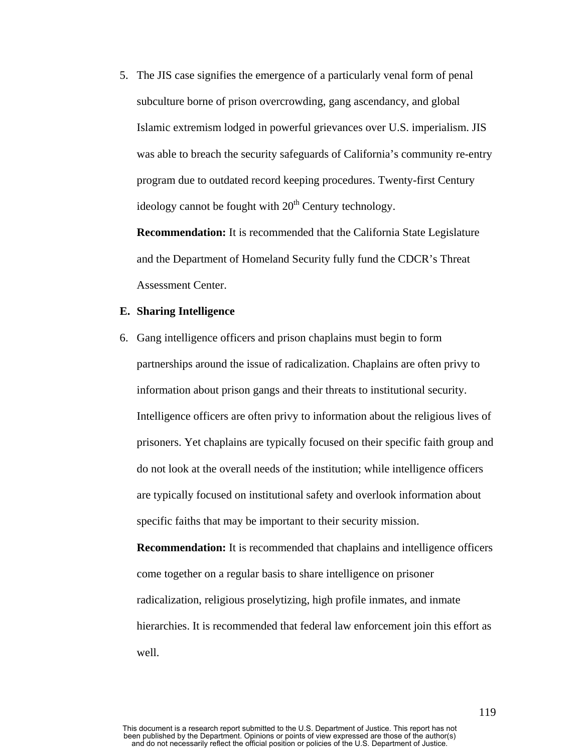5. The JIS case signifies the emergence of a particularly venal form of penal subculture borne of prison overcrowding, gang ascendancy, and global Islamic extremism lodged in powerful grievances over U.S. imperialism. JIS was able to breach the security safeguards of California's community re-entry program due to outdated record keeping procedures. Twenty-first Century ideology cannot be fought with  $20<sup>th</sup>$  Century technology.

**Recommendation:** It is recommended that the California State Legislature and the Department of Homeland Security fully fund the CDCR's Threat Assessment Center.

## **E. Sharing Intelligence**

6. Gang intelligence officers and prison chaplains must begin to form partnerships around the issue of radicalization. Chaplains are often privy to information about prison gangs and their threats to institutional security. Intelligence officers are often privy to information about the religious lives of prisoners. Yet chaplains are typically focused on their specific faith group and do not look at the overall needs of the institution; while intelligence officers are typically focused on institutional safety and overlook information about specific faiths that may be important to their security mission.

**Recommendation:** It is recommended that chaplains and intelligence officers come together on a regular basis to share intelligence on prisoner radicalization, religious proselytizing, high profile inmates, and inmate hierarchies. It is recommended that federal law enforcement join this effort as well.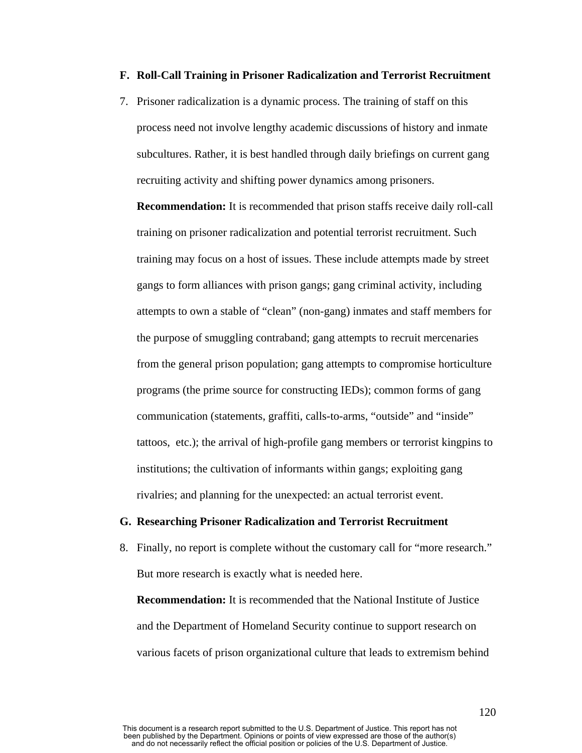## **F. Roll-Call Training in Prisoner Radicalization and Terrorist Recruitment**

7. Prisoner radicalization is a dynamic process. The training of staff on this process need not involve lengthy academic discussions of history and inmate subcultures. Rather, it is best handled through daily briefings on current gang recruiting activity and shifting power dynamics among prisoners.

**Recommendation:** It is recommended that prison staffs receive daily roll-call training on prisoner radicalization and potential terrorist recruitment. Such training may focus on a host of issues. These include attempts made by street gangs to form alliances with prison gangs; gang criminal activity, including attempts to own a stable of "clean" (non-gang) inmates and staff members for the purpose of smuggling contraband; gang attempts to recruit mercenaries from the general prison population; gang attempts to compromise horticulture programs (the prime source for constructing IEDs); common forms of gang communication (statements, graffiti, calls-to-arms, "outside" and "inside" tattoos, etc.); the arrival of high-profile gang members or terrorist kingpins to institutions; the cultivation of informants within gangs; exploiting gang rivalries; and planning for the unexpected: an actual terrorist event.

#### **G. Researching Prisoner Radicalization and Terrorist Recruitment**

8. Finally, no report is complete without the customary call for "more research." But more research is exactly what is needed here.

**Recommendation:** It is recommended that the National Institute of Justice and the Department of Homeland Security continue to support research on various facets of prison organizational culture that leads to extremism behind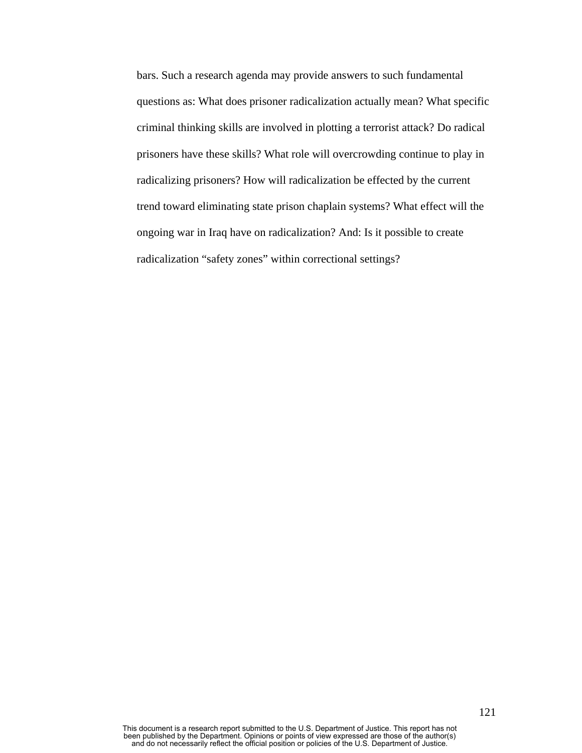bars. Such a research agenda may provide answers to such fundamental questions as: What does prisoner radicalization actually mean? What specific criminal thinking skills are involved in plotting a terrorist attack? Do radical prisoners have these skills? What role will overcrowding continue to play in radicalizing prisoners? How will radicalization be effected by the current trend toward eliminating state prison chaplain systems? What effect will the ongoing war in Iraq have on radicalization? And: Is it possible to create radicalization "safety zones" within correctional settings?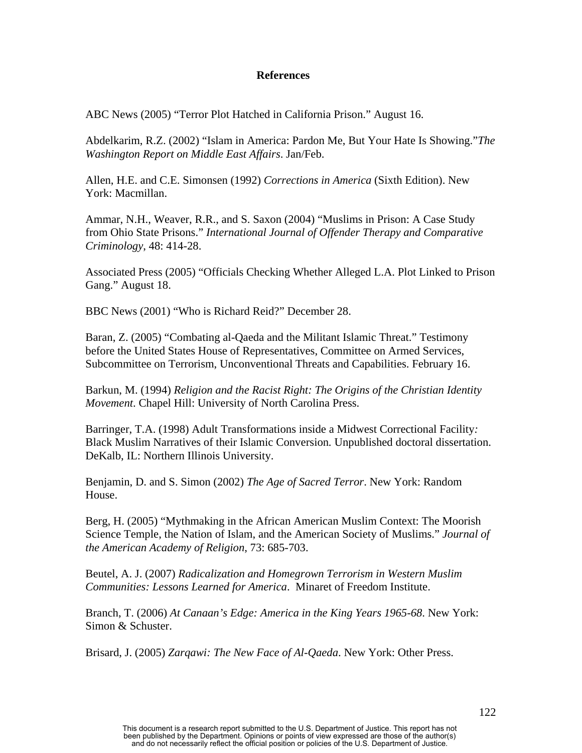# **References**

ABC News (2005) "Terror Plot Hatched in California Prison." August 16.

Abdelkarim, R.Z. (2002) "Islam in America: Pardon Me, But Your Hate Is Showing."*The Washington Report on Middle East Affairs*. Jan/Feb.

Allen, H.E. and C.E. Simonsen (1992) *Corrections in America* (Sixth Edition). New York: Macmillan.

Ammar, N.H., Weaver, R.R., and S. Saxon (2004) "Muslims in Prison: A Case Study from Ohio State Prisons." *International Journal of Offender Therapy and Comparative Criminology*, 48: 414-28.

Associated Press (2005) "Officials Checking Whether Alleged L.A. Plot Linked to Prison Gang." August 18.

BBC News (2001) "Who is Richard Reid?" December 28.

Baran, Z. (2005) "Combating al-Qaeda and the Militant Islamic Threat." Testimony before the United States House of Representatives, Committee on Armed Services, Subcommittee on Terrorism, Unconventional Threats and Capabilities. February 16.

Barkun, M. (1994) *Religion and the Racist Right: The Origins of the Christian Identity Movement*. Chapel Hill: University of North Carolina Press.

Barringer, T.A. (1998) Adult Transformations inside a Midwest Correctional Facility*:*  Black Muslim Narratives of their Islamic Conversion*.* Unpublished doctoral dissertation. DeKalb, IL: Northern Illinois University.

Benjamin, D. and S. Simon (2002) *The Age of Sacred Terror*. New York: Random House.

Berg, H. (2005) "Mythmaking in the African American Muslim Context: The Moorish Science Temple, the Nation of Islam, and the American Society of Muslims." *Journal of the American Academy of Religion*, 73: 685-703.

Beutel, A. J. (2007) *Radicalization and Homegrown Terrorism in Western Muslim Communities: Lessons Learned for America*. Minaret of Freedom Institute.

Branch, T. (2006) *At Canaan's Edge: America in the King Years 1965-68*. New York: Simon & Schuster.

Brisard, J. (2005) *Zarqawi: The New Face of Al-Qaeda*. New York: Other Press.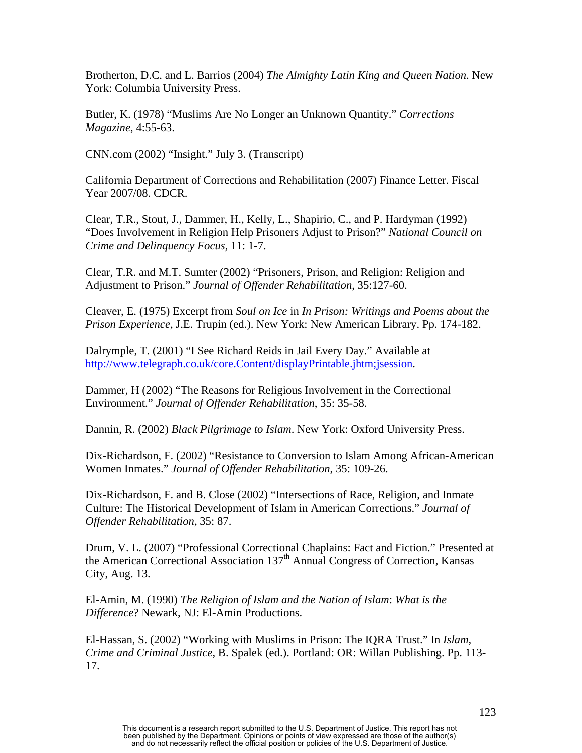Brotherton, D.C. and L. Barrios (2004) *The Almighty Latin King and Queen Nation*. New York: Columbia University Press.

Butler, K. (1978) "Muslims Are No Longer an Unknown Quantity." *Corrections Magazine*, 4:55-63.

CNN.com (2002) "Insight." July 3. (Transcript)

California Department of Corrections and Rehabilitation (2007) Finance Letter. Fiscal Year 2007/08. CDCR.

Clear, T.R., Stout, J., Dammer, H., Kelly, L., Shapirio, C., and P. Hardyman (1992) "Does Involvement in Religion Help Prisoners Adjust to Prison?" *National Council on Crime and Delinquency Focus*, 11: 1-7.

Clear, T.R. and M.T. Sumter (2002) "Prisoners, Prison, and Religion: Religion and Adjustment to Prison." *Journal of Offender Rehabilitation*, 35:127-60.

Cleaver, E. (1975) Excerpt from *Soul on Ice* in *In Prison: Writings and Poems about the Prison Experience*, J.E. Trupin (ed.). New York: New American Library. Pp. 174-182.

Dalrymple, T. (2001) "I See Richard Reids in Jail Every Day." Available at <http://www.telegraph.co.uk/core.Content/displayPrintable.jhtm;jsession>.

Dammer, H (2002) "The Reasons for Religious Involvement in the Correctional Environment." *Journal of Offender Rehabilitation*, 35: 35-58.

Dannin, R. (2002) *Black Pilgrimage to Islam*. New York: Oxford University Press.

Dix-Richardson, F. (2002) "Resistance to Conversion to Islam Among African-American Women Inmates." *Journal of Offender Rehabilitation*, 35: 109-26.

Dix-Richardson, F. and B. Close (2002) "Intersections of Race, Religion, and Inmate Culture: The Historical Development of Islam in American Corrections." *Journal of Offender Rehabilitation*, 35: 87.

Drum, V. L. (2007) "Professional Correctional Chaplains: Fact and Fiction." Presented at the American Correctional Association  $137<sup>th</sup>$  Annual Congress of Correction, Kansas City, Aug. 13.

El-Amin, M. (1990) *The Religion of Islam and the Nation of Islam*: *What is the Difference*? Newark, NJ: El-Amin Productions.

El-Hassan, S. (2002) "Working with Muslims in Prison: The IQRA Trust." In *Islam, Crime and Criminal Justice*, B. Spalek (ed.). Portland: OR: Willan Publishing. Pp. 113- 17.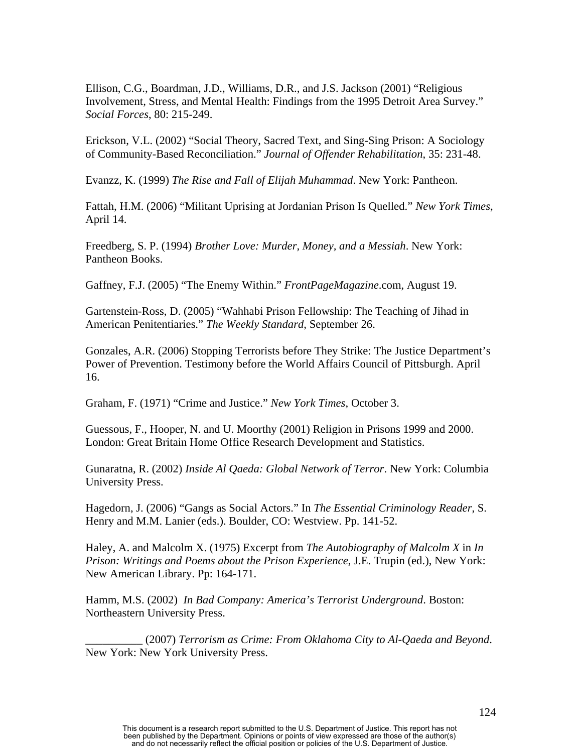Ellison, C.G., Boardman, J.D., Williams, D.R., and J.S. Jackson (2001) "Religious Involvement, Stress, and Mental Health: Findings from the 1995 Detroit Area Survey." *Social Forces*, 80: 215-249.

Erickson, V.L. (2002) "Social Theory, Sacred Text, and Sing-Sing Prison: A Sociology of Community-Based Reconciliation." *Journal of Offender Rehabilitation*, 35: 231-48.

Evanzz, K. (1999) *The Rise and Fall of Elijah Muhammad*. New York: Pantheon.

Fattah, H.M. (2006) "Militant Uprising at Jordanian Prison Is Quelled." *New York Times*, April 14.

Freedberg, S. P. (1994) *Brother Love: Murder, Money, and a Messiah*. New York: Pantheon Books.

Gaffney, F.J. (2005) "The Enemy Within." *FrontPageMagazine*.com, August 19.

Gartenstein-Ross, D. (2005) "Wahhabi Prison Fellowship: The Teaching of Jihad in American Penitentiaries." *The Weekly Standard*, September 26.

Gonzales, A.R. (2006) Stopping Terrorists before They Strike: The Justice Department's Power of Prevention. Testimony before the World Affairs Council of Pittsburgh. April 16.

Graham, F. (1971) "Crime and Justice." *New York Times*, October 3.

Guessous, F., Hooper, N. and U. Moorthy (2001) Religion in Prisons 1999 and 2000. London: Great Britain Home Office Research Development and Statistics.

Gunaratna, R. (2002) *Inside Al Qaeda: Global Network of Terror*. New York: Columbia University Press.

Hagedorn, J. (2006) "Gangs as Social Actors." In *The Essential Criminology Reader*, S. Henry and M.M. Lanier (eds.). Boulder, CO: Westview. Pp. 141-52.

Haley, A. and Malcolm X. (1975) Excerpt from *The Autobiography of Malcolm X* in *In Prison: Writings and Poems about the Prison Experience*, J.E. Trupin (ed.), New York: New American Library. Pp: 164-171.

Hamm, M.S. (2002) *In Bad Company: America's Terrorist Underground*. Boston: Northeastern University Press.

\_\_\_\_\_\_\_\_\_\_ (2007) *Terrorism as Crime: From Oklahoma City to Al-Qaeda and Beyond*. New York: New York University Press.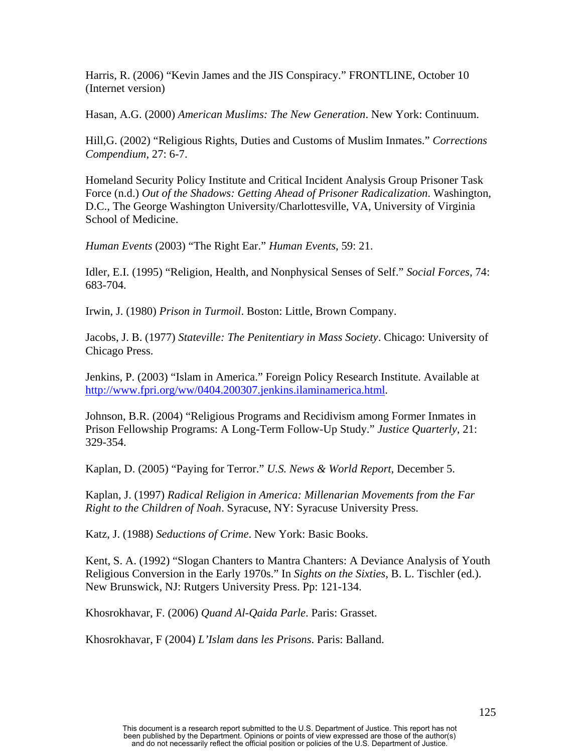Harris, R. (2006) "Kevin James and the JIS Conspiracy." FRONTLINE, October 10 (Internet version)

Hasan, A.G. (2000) *American Muslims: The New Generation*. New York: Continuum.

Hill,G. (2002) "Religious Rights, Duties and Customs of Muslim Inmates." *Corrections Compendium*, 27: 6-7.

Homeland Security Policy Institute and Critical Incident Analysis Group Prisoner Task Force (n.d.) *Out of the Shadows: Getting Ahead of Prisoner Radicalization*. Washington, D.C., The George Washington University/Charlottesville, VA, University of Virginia School of Medicine.

*Human Events* (2003) "The Right Ear." *Human Events*, 59: 21.

Idler, E.I. (1995) "Religion, Health, and Nonphysical Senses of Self." *Social Forces*, 74: 683-704.

Irwin, J. (1980) *Prison in Turmoil*. Boston: Little, Brown Company.

Jacobs, J. B. (1977) *Stateville: The Penitentiary in Mass Society*. Chicago: University of Chicago Press.

Jenkins, P. (2003) "Islam in America." Foreign Policy Research Institute. Available at <http://www.fpri.org/ww/0404.200307.jenkins.ilaminamerica.html>.

Johnson, B.R. (2004) "Religious Programs and Recidivism among Former Inmates in Prison Fellowship Programs: A Long-Term Follow-Up Study." *Justice Quarterly*, 21: 329-354.

Kaplan, D. (2005) "Paying for Terror." *U.S. News & World Report*, December 5.

Kaplan, J. (1997) *Radical Religion in America: Millenarian Movements from the Far Right to the Children of Noah*. Syracuse, NY: Syracuse University Press.

Katz, J. (1988) *Seductions of Crime*. New York: Basic Books.

Kent, S. A. (1992) "Slogan Chanters to Mantra Chanters: A Deviance Analysis of Youth Religious Conversion in the Early 1970s." In *Sights on the Sixties*, B. L. Tischler (ed.). New Brunswick, NJ: Rutgers University Press. Pp: 121-134.

Khosrokhavar, F. (2006) *Quand Al-Qaida Parle*. Paris: Grasset.

Khosrokhavar, F (2004) *L'Islam dans les Prisons*. Paris: Balland.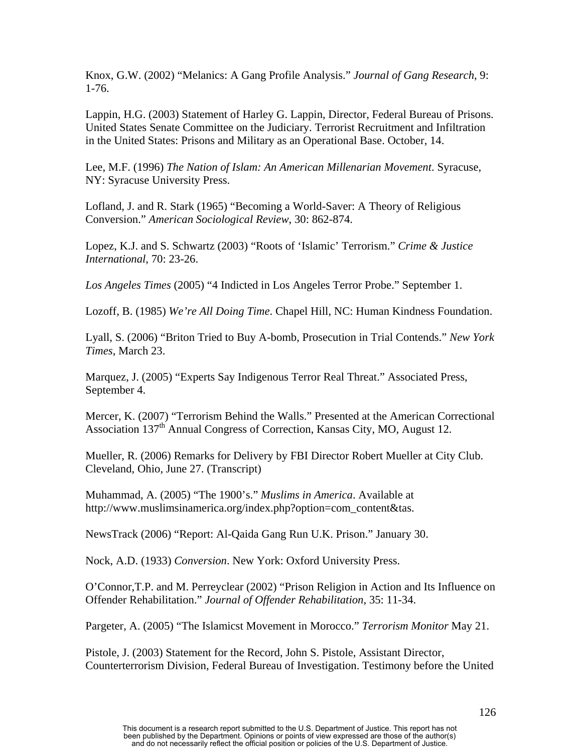Knox, G.W. (2002) "Melanics: A Gang Profile Analysis." *Journal of Gang Research*, 9: 1-76.

Lappin, H.G. (2003) Statement of Harley G. Lappin, Director, Federal Bureau of Prisons. United States Senate Committee on the Judiciary. Terrorist Recruitment and Infiltration in the United States: Prisons and Military as an Operational Base. October, 14.

Lee, M.F. (1996) *The Nation of Islam: An American Millenarian Movement*. Syracuse, NY: Syracuse University Press.

Lofland, J. and R. Stark (1965) "Becoming a World-Saver: A Theory of Religious Conversion." *American Sociological Review*, 30: 862-874.

Lopez, K.J. and S. Schwartz (2003) "Roots of 'Islamic' Terrorism." *Crime & Justice International*, 70: 23-26.

*Los Angeles Times* (2005) "4 Indicted in Los Angeles Terror Probe." September 1.

Lozoff, B. (1985) *We're All Doing Time*. Chapel Hill, NC: Human Kindness Foundation.

Lyall, S. (2006) "Briton Tried to Buy A-bomb, Prosecution in Trial Contends." *New York Times*, March 23.

Marquez, J. (2005) "Experts Say Indigenous Terror Real Threat." Associated Press, September 4.

Mercer, K. (2007) "Terrorism Behind the Walls." Presented at the American Correctional Association  $137<sup>th</sup>$  Annual Congress of Correction, Kansas City, MO, August 12.

Mueller, R. (2006) Remarks for Delivery by FBI Director Robert Mueller at City Club. Cleveland, Ohio, June 27. (Transcript)

Muhammad, A. (2005) "The 1900's." *Muslims in America*. Available at http://www.muslimsinamerica.org/index.php?option=com\_content&tas.

NewsTrack (2006) "Report: Al-Qaida Gang Run U.K. Prison." January 30.

Nock, A.D. (1933) *Conversion*. New York: Oxford University Press.

O'Connor,T.P. and M. Perreyclear (2002) "Prison Religion in Action and Its Influence on Offender Rehabilitation." *Journal of Offender Rehabilitation*, 35: 11-34.

Pargeter, A. (2005) "The Islamicst Movement in Morocco." *Terrorism Monitor* May 21.

Pistole, J. (2003) Statement for the Record, John S. Pistole, Assistant Director, Counterterrorism Division, Federal Bureau of Investigation. Testimony before the United

This document is a research report submitted to the U.S. Department of Justice. This report has not been published by the Department. Opinions or points of view expressed are those of the author(s) and do not necessarily reflect the official position or policies of the U.S. Department of Justice.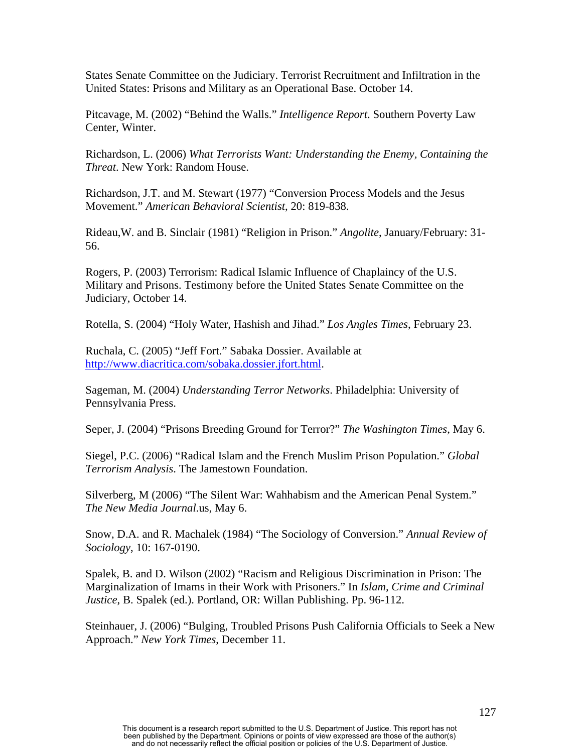States Senate Committee on the Judiciary. Terrorist Recruitment and Infiltration in the United States: Prisons and Military as an Operational Base. October 14.

Pitcavage, M. (2002) "Behind the Walls." *Intelligence Report*. Southern Poverty Law Center, Winter.

Richardson, L. (2006) *What Terrorists Want: Understanding the Enemy, Containing the Threat*. New York: Random House.

Richardson, J.T. and M. Stewart (1977) "Conversion Process Models and the Jesus Movement." *American Behavioral Scientist*, 20: 819-838.

Rideau,W. and B. Sinclair (1981) "Religion in Prison." *Angolite*, January/February: 31- 56.

Rogers, P. (2003) Terrorism: Radical Islamic Influence of Chaplaincy of the U.S. Military and Prisons. Testimony before the United States Senate Committee on the Judiciary, October 14.

Rotella, S. (2004) "Holy Water, Hashish and Jihad." *Los Angles Times*, February 23.

Ruchala, C. (2005) "Jeff Fort." Sabaka Dossier. Available at <http://www.diacritica.com/sobaka.dossier.jfort.html>.

Sageman, M. (2004) *Understanding Terror Networks*. Philadelphia: University of Pennsylvania Press.

Seper, J. (2004) "Prisons Breeding Ground for Terror?" *The Washington Times*, May 6.

Siegel, P.C. (2006) "Radical Islam and the French Muslim Prison Population." *Global Terrorism Analysis*. The Jamestown Foundation.

Silverberg, M (2006) "The Silent War: Wahhabism and the American Penal System." *The New Media Journal*.us, May 6.

Snow, D.A. and R. Machalek (1984) "The Sociology of Conversion." *Annual Review of Sociology*, 10: 167-0190.

Spalek, B. and D. Wilson (2002) "Racism and Religious Discrimination in Prison: The Marginalization of Imams in their Work with Prisoners." In *Islam, Crime and Criminal Justice*, B. Spalek (ed.). Portland, OR: Willan Publishing. Pp. 96-112.

Steinhauer, J. (2006) "Bulging, Troubled Prisons Push California Officials to Seek a New Approach." *New York Times*, December 11.